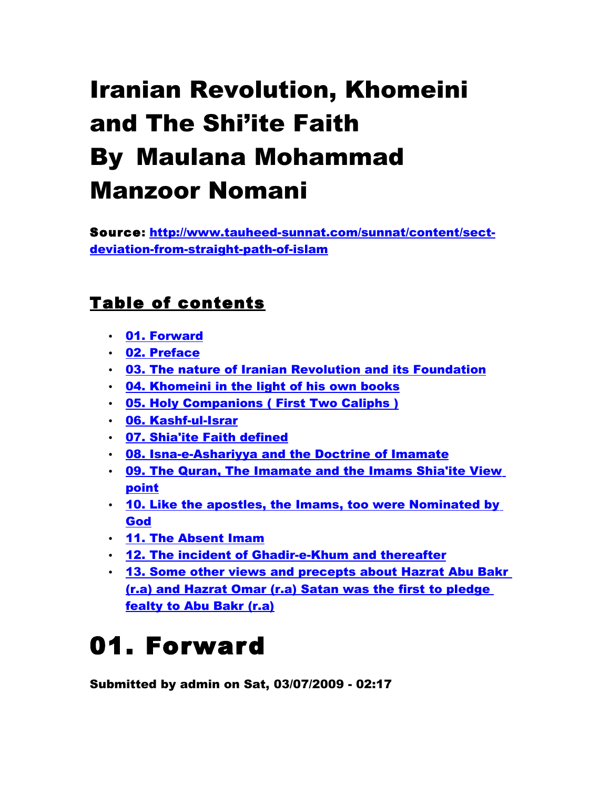# Iranian Revolution, Khomeini and The Shi'ite Faith By Maulana Mohammad Manzoor Nomani

Source: [http://www.tauheed-sunnat.com/sunnat/content/sect](http://www.tauheed-sunnat.com/sunnat/content/sect-deviation-from-straight-path-of-islam)[deviation-from-straight-path-of-islam](http://www.tauheed-sunnat.com/sunnat/content/sect-deviation-from-straight-path-of-islam)

#### Table of contents

- • [01. Forward](http://www.tauheed-sunnat.com/sunnat/content/01-forward)
- • [02. Preface](http://www.tauheed-sunnat.com/sunnat/content/02-preface)
- [03. The nature of Iranian Revolution and its Foundation](http://www.tauheed-sunnat.com/sunnat/content/03-the-nature-iranian-revolution-and-its-foundation)
- [04. Khomeini in the light of his own books](http://www.tauheed-sunnat.com/sunnat/content/04-khomeini-light-his-own-books)
- [05. Holy Companions \( First Two Caliphs \)](http://www.tauheed-sunnat.com/sunnat/content/05-holy-companions-first-two-caliphs)
- • [06. Kashf-ul-Israr](http://www.tauheed-sunnat.com/sunnat/content/06-kashf-ul-israr)
- [07. Shia'ite Faith defined](http://www.tauheed-sunnat.com/sunnat/content/07-shiaite-faith-defined)
- [08. Isna-e-Ashariyya and the Doctrine of Imamate](http://www.tauheed-sunnat.com/sunnat/content/08-isna-e-ashariyya-and-doctrine-imamate)
- [09. The Quran, The Imamate and the Imams Shia'ite View](http://www.tauheed-sunnat.com/sunnat/content/09-the-quran-the-imamate-and-imams-shiaite-view-point) [point](http://www.tauheed-sunnat.com/sunnat/content/09-the-quran-the-imamate-and-imams-shiaite-view-point)
- [10. Like the apostles, the Imams, too were Nominated by](http://www.tauheed-sunnat.com/sunnat/content/10-like-apostles-imams-too-were-nominated-god) [God](http://www.tauheed-sunnat.com/sunnat/content/10-like-apostles-imams-too-were-nominated-god)
- • [11. The Absent Imam](http://www.tauheed-sunnat.com/sunnat/content/11-the-absent-imam)
- [12. The incident of Ghadir-e-Khum and thereafter](http://www.tauheed-sunnat.com/sunnat/content/12-the-incident-ghadir-e-khum-and-thereafter)
- [13. Some other views and precepts about Hazrat Abu Bakr](http://www.tauheed-sunnat.com/sunnat/content/13-some-other-views-and-precepts-about-hazrat-abu-bakr-ra-and-hazrat-omar-ra-satan-was-first) [\(r.a\) and Hazrat Omar \(r.a\) Satan was the first to pledge](http://www.tauheed-sunnat.com/sunnat/content/13-some-other-views-and-precepts-about-hazrat-abu-bakr-ra-and-hazrat-omar-ra-satan-was-first) [fealty to Abu Bakr \(r.a\)](http://www.tauheed-sunnat.com/sunnat/content/13-some-other-views-and-precepts-about-hazrat-abu-bakr-ra-and-hazrat-omar-ra-satan-was-first)

### 01. Forward

Submitted by admin on Sat, 03/07/2009 - 02:17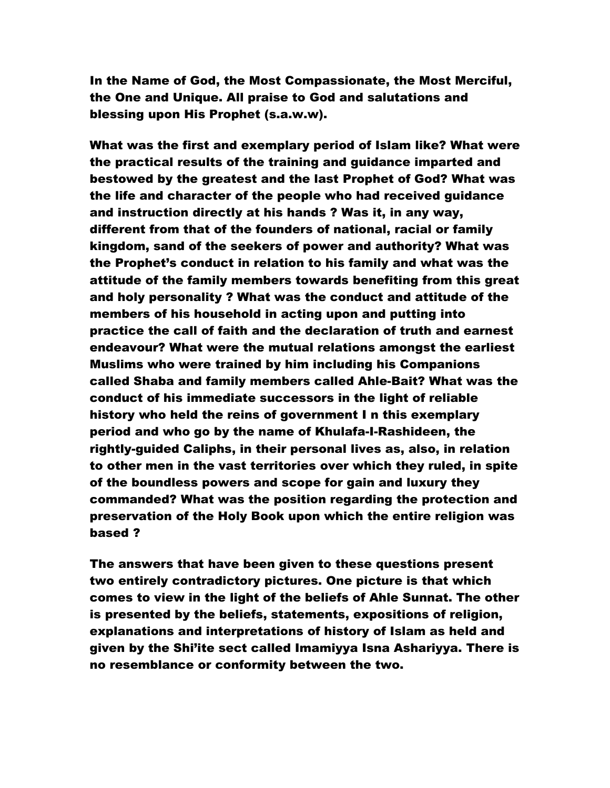In the Name of God, the Most Compassionate, the Most Merciful, the One and Unique. All praise to God and salutations and blessing upon His Prophet (s.a.w.w).

What was the first and exemplary period of Islam like? What were the practical results of the training and guidance imparted and bestowed by the greatest and the last Prophet of God? What was the life and character of the people who had received guidance and instruction directly at his hands ? Was it, in any way, different from that of the founders of national, racial or family kingdom, sand of the seekers of power and authority? What was the Prophet's conduct in relation to his family and what was the attitude of the family members towards benefiting from this great and holy personality ? What was the conduct and attitude of the members of his household in acting upon and putting into practice the call of faith and the declaration of truth and earnest endeavour? What were the mutual relations amongst the earliest Muslims who were trained by him including his Companions called Shaba and family members called Ahle-Bait? What was the conduct of his immediate successors in the light of reliable history who held the reins of government I n this exemplary period and who go by the name of Khulafa-I-Rashideen, the rightly-guided Caliphs, in their personal lives as, also, in relation to other men in the vast territories over which they ruled, in spite of the boundless powers and scope for gain and luxury they commanded? What was the position regarding the protection and preservation of the Holy Book upon which the entire religion was based ?

The answers that have been given to these questions present two entirely contradictory pictures. One picture is that which comes to view in the light of the beliefs of Ahle Sunnat. The other is presented by the beliefs, statements, expositions of religion, explanations and interpretations of history of Islam as held and given by the Shi'ite sect called Imamiyya Isna Ashariyya. There is no resemblance or conformity between the two.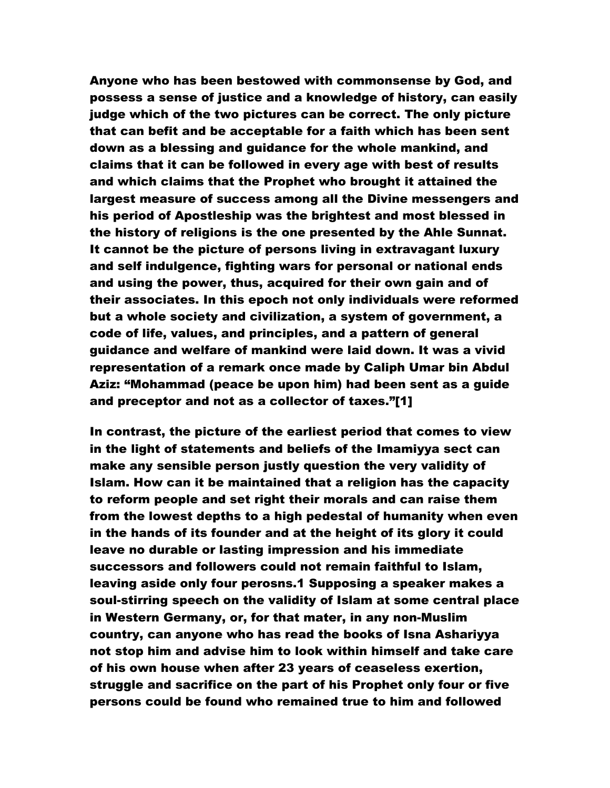Anyone who has been bestowed with commonsense by God, and possess a sense of justice and a knowledge of history, can easily judge which of the two pictures can be correct. The only picture that can befit and be acceptable for a faith which has been sent down as a blessing and guidance for the whole mankind, and claims that it can be followed in every age with best of results and which claims that the Prophet who brought it attained the largest measure of success among all the Divine messengers and his period of Apostleship was the brightest and most blessed in the history of religions is the one presented by the Ahle Sunnat. It cannot be the picture of persons living in extravagant luxury and self indulgence, fighting wars for personal or national ends and using the power, thus, acquired for their own gain and of their associates. In this epoch not only individuals were reformed but a whole society and civilization, a system of government, a code of life, values, and principles, and a pattern of general guidance and welfare of mankind were laid down. It was a vivid representation of a remark once made by Caliph Umar bin Abdul Aziz: "Mohammad (peace be upon him) had been sent as a guide and preceptor and not as a collector of taxes."[1]

In contrast, the picture of the earliest period that comes to view in the light of statements and beliefs of the Imamiyya sect can make any sensible person justly question the very validity of Islam. How can it be maintained that a religion has the capacity to reform people and set right their morals and can raise them from the lowest depths to a high pedestal of humanity when even in the hands of its founder and at the height of its glory it could leave no durable or lasting impression and his immediate successors and followers could not remain faithful to Islam, leaving aside only four perosns.1 Supposing a speaker makes a soul-stirring speech on the validity of Islam at some central place in Western Germany, or, for that mater, in any non-Muslim country, can anyone who has read the books of Isna Ashariyya not stop him and advise him to look within himself and take care of his own house when after 23 years of ceaseless exertion, struggle and sacrifice on the part of his Prophet only four or five persons could be found who remained true to him and followed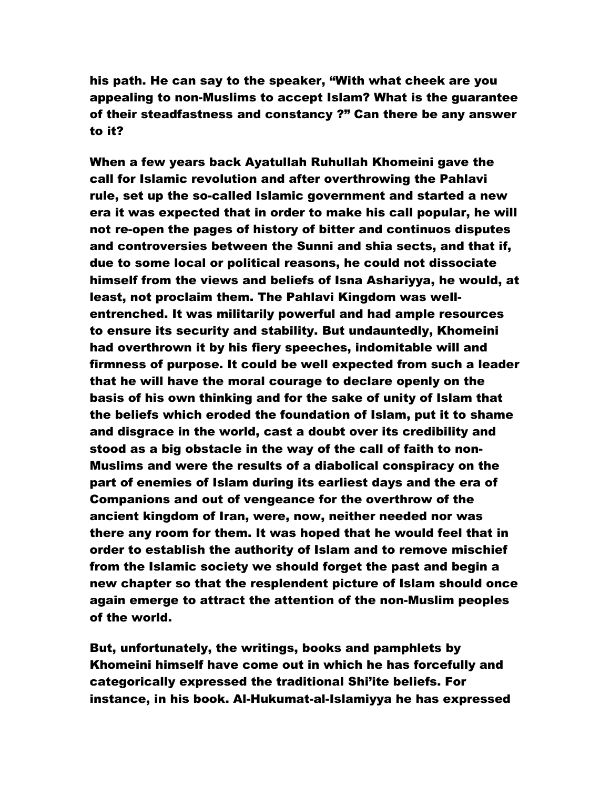his path. He can say to the speaker, "With what cheek are you appealing to non-Muslims to accept Islam? What is the guarantee of their steadfastness and constancy ?" Can there be any answer to it?

When a few years back Ayatullah Ruhullah Khomeini gave the call for Islamic revolution and after overthrowing the Pahlavi rule, set up the so-called Islamic government and started a new era it was expected that in order to make his call popular, he will not re-open the pages of history of bitter and continuos disputes and controversies between the Sunni and shia sects, and that if, due to some local or political reasons, he could not dissociate himself from the views and beliefs of Isna Ashariyya, he would, at least, not proclaim them. The Pahlavi Kingdom was wellentrenched. It was militarily powerful and had ample resources to ensure its security and stability. But undauntedly, Khomeini had overthrown it by his fiery speeches, indomitable will and firmness of purpose. It could be well expected from such a leader that he will have the moral courage to declare openly on the basis of his own thinking and for the sake of unity of Islam that the beliefs which eroded the foundation of Islam, put it to shame and disgrace in the world, cast a doubt over its credibility and stood as a big obstacle in the way of the call of faith to non-Muslims and were the results of a diabolical conspiracy on the part of enemies of Islam during its earliest days and the era of Companions and out of vengeance for the overthrow of the ancient kingdom of Iran, were, now, neither needed nor was there any room for them. It was hoped that he would feel that in order to establish the authority of Islam and to remove mischief from the Islamic society we should forget the past and begin a new chapter so that the resplendent picture of Islam should once again emerge to attract the attention of the non-Muslim peoples of the world.

But, unfortunately, the writings, books and pamphlets by Khomeini himself have come out in which he has forcefully and categorically expressed the traditional Shi'ite beliefs. For instance, in his book. Al-Hukumat-al-Islamiyya he has expressed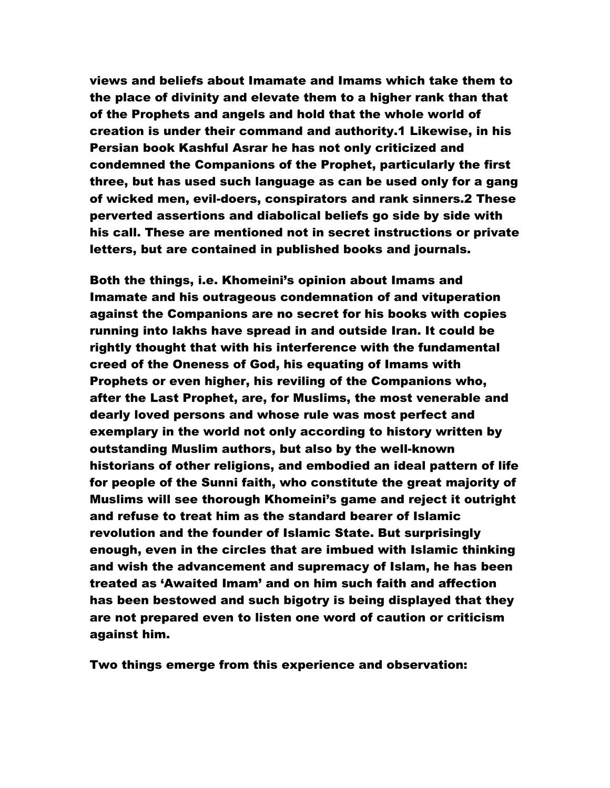views and beliefs about Imamate and Imams which take them to the place of divinity and elevate them to a higher rank than that of the Prophets and angels and hold that the whole world of creation is under their command and authority.1 Likewise, in his Persian book Kashful Asrar he has not only criticized and condemned the Companions of the Prophet, particularly the first three, but has used such language as can be used only for a gang of wicked men, evil-doers, conspirators and rank sinners.2 These perverted assertions and diabolical beliefs go side by side with his call. These are mentioned not in secret instructions or private letters, but are contained in published books and journals.

Both the things, i.e. Khomeini's opinion about Imams and Imamate and his outrageous condemnation of and vituperation against the Companions are no secret for his books with copies running into lakhs have spread in and outside Iran. It could be rightly thought that with his interference with the fundamental creed of the Oneness of God, his equating of Imams with Prophets or even higher, his reviling of the Companions who, after the Last Prophet, are, for Muslims, the most venerable and dearly loved persons and whose rule was most perfect and exemplary in the world not only according to history written by outstanding Muslim authors, but also by the well-known historians of other religions, and embodied an ideal pattern of life for people of the Sunni faith, who constitute the great majority of Muslims will see thorough Khomeini's game and reject it outright and refuse to treat him as the standard bearer of Islamic revolution and the founder of Islamic State. But surprisingly enough, even in the circles that are imbued with Islamic thinking and wish the advancement and supremacy of Islam, he has been treated as 'Awaited Imam' and on him such faith and affection has been bestowed and such bigotry is being displayed that they are not prepared even to listen one word of caution or criticism against him.

Two things emerge from this experience and observation: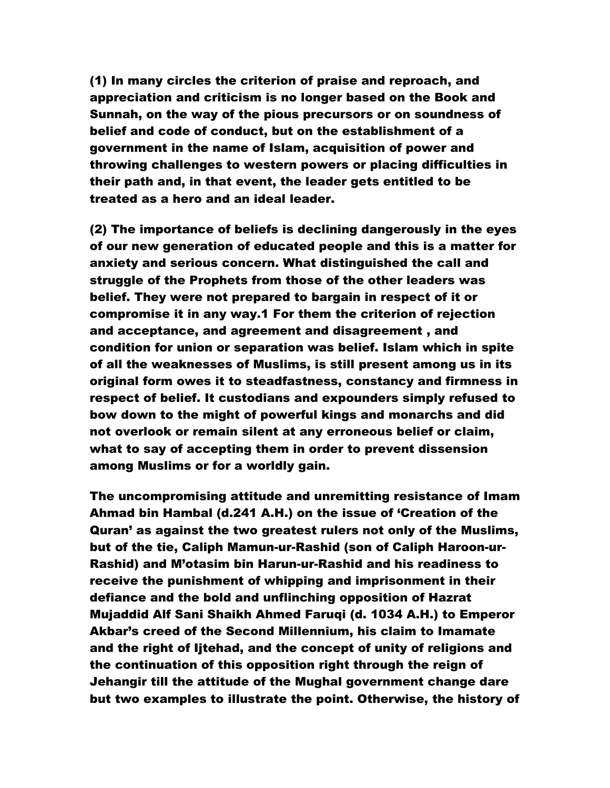(1) In many circles the criterion of praise and reproach, and appreciation and criticism is no longer based on the Book and Sunnah, on the way of the pious precursors or on soundness of belief and code of conduct, but on the establishment of a government in the name of Islam, acquisition of power and throwing challenges to western powers or placing difficulties in their path and, in that event, the leader gets entitled to be treated as a hero and an ideal leader.

(2) The importance of beliefs is declining dangerously in the eyes of our new generation of educated people and this is a matter for anxiety and serious concern. What distinguished the call and struggle of the Prophets from those of the other leaders was belief. They were not prepared to bargain in respect of it or compromise it in any way.1 For them the criterion of rejection and acceptance, and agreement and disagreement , and condition for union or separation was belief. Islam which in spite of all the weaknesses of Muslims, is still present among us in its original form owes it to steadfastness, constancy and firmness in respect of belief. It custodians and expounders simply refused to bow down to the might of powerful kings and monarchs and did not overlook or remain silent at any erroneous belief or claim, what to say of accepting them in order to prevent dissension among Muslims or for a worldly gain.

The uncompromising attitude and unremitting resistance of Imam Ahmad bin Hambal (d.241 A.H.) on the issue of 'Creation of the Quran' as against the two greatest rulers not only of the Muslims, but of the tie, Caliph Mamun-ur-Rashid (son of Caliph Haroon-ur-Rashid) and M'otasim bin Harun-ur-Rashid and his readiness to receive the punishment of whipping and imprisonment in their defiance and the bold and unflinching opposition of Hazrat Mujaddid Alf Sani Shaikh Ahmed Faruqi (d. 1034 A.H.) to Emperor Akbar's creed of the Second Millennium, his claim to Imamate and the right of Ijtehad, and the concept of unity of religions and the continuation of this opposition right through the reign of Jehangir till the attitude of the Mughal government change dare but two examples to illustrate the point. Otherwise, the history of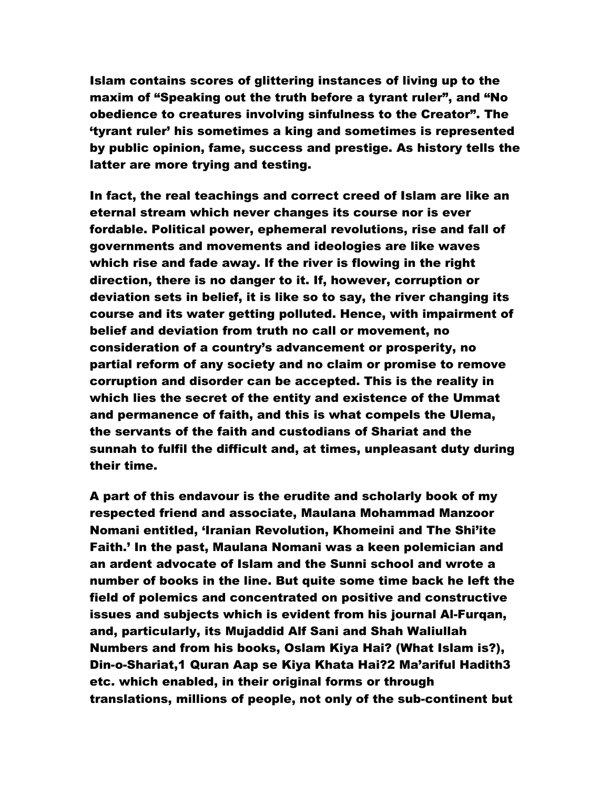Islam contains scores of glittering instances of living up to the maxim of "Speaking out the truth before a tyrant ruler", and "No obedience to creatures involving sinfulness to the Creator". The 'tyrant ruler' his sometimes a king and sometimes is represented by public opinion, fame, success and prestige. As history tells the latter are more trying and testing.

In fact, the real teachings and correct creed of Islam are like an eternal stream which never changes its course nor is ever fordable. Political power, ephemeral revolutions, rise and fall of governments and movements and ideologies are like waves which rise and fade away. If the river is flowing in the right direction, there is no danger to it. If, however, corruption or deviation sets in belief, it is like so to say, the river changing its course and its water getting polluted. Hence, with impairment of belief and deviation from truth no call or movement, no consideration of a country's advancement or prosperity, no partial reform of any society and no claim or promise to remove corruption and disorder can be accepted. This is the reality in which lies the secret of the entity and existence of the Ummat and permanence of faith, and this is what compels the Ulema, the servants of the faith and custodians of Shariat and the sunnah to fulfil the difficult and, at times, unpleasant duty during their time.

A part of this endavour is the erudite and scholarly book of my respected friend and associate, Maulana Mohammad Manzoor Nomani entitled, 'Iranian Revolution, Khomeini and The Shi'ite Faith.' In the past, Maulana Nomani was a keen polemician and an ardent advocate of Islam and the Sunni school and wrote a number of books in the line. But quite some time back he left the field of polemics and concentrated on positive and constructive issues and subjects which is evident from his journal Al-Furqan, and, particularly, its Mujaddid Alf Sani and Shah Waliullah Numbers and from his books, Oslam Kiya Hai? (What Islam is?), Din-o-Shariat,1 Quran Aap se Kiya Khata Hai?2 Ma'ariful Hadith3 etc. which enabled, in their original forms or through translations, millions of people, not only of the sub-continent but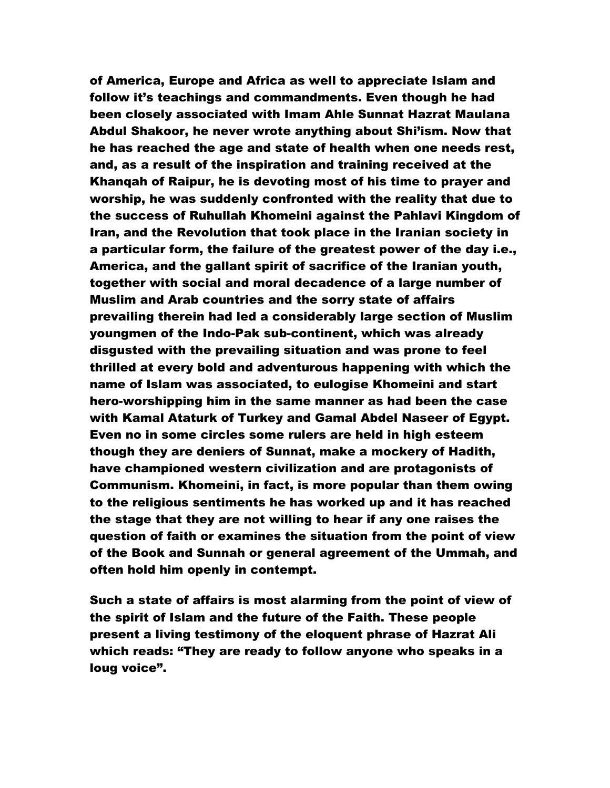of America, Europe and Africa as well to appreciate Islam and follow it's teachings and commandments. Even though he had been closely associated with Imam Ahle Sunnat Hazrat Maulana Abdul Shakoor, he never wrote anything about Shi'ism. Now that he has reached the age and state of health when one needs rest, and, as a result of the inspiration and training received at the Khanqah of Raipur, he is devoting most of his time to prayer and worship, he was suddenly confronted with the reality that due to the success of Ruhullah Khomeini against the Pahlavi Kingdom of Iran, and the Revolution that took place in the Iranian society in a particular form, the failure of the greatest power of the day i.e., America, and the gallant spirit of sacrifice of the Iranian youth, together with social and moral decadence of a large number of Muslim and Arab countries and the sorry state of affairs prevailing therein had led a considerably large section of Muslim youngmen of the Indo-Pak sub-continent, which was already disgusted with the prevailing situation and was prone to feel thrilled at every bold and adventurous happening with which the name of Islam was associated, to eulogise Khomeini and start hero-worshipping him in the same manner as had been the case with Kamal Ataturk of Turkey and Gamal Abdel Naseer of Egypt. Even no in some circles some rulers are held in high esteem though they are deniers of Sunnat, make a mockery of Hadith, have championed western civilization and are protagonists of Communism. Khomeini, in fact, is more popular than them owing to the religious sentiments he has worked up and it has reached the stage that they are not willing to hear if any one raises the question of faith or examines the situation from the point of view of the Book and Sunnah or general agreement of the Ummah, and often hold him openly in contempt.

Such a state of affairs is most alarming from the point of view of the spirit of Islam and the future of the Faith. These people present a living testimony of the eloquent phrase of Hazrat Ali which reads: "They are ready to follow anyone who speaks in a loug voice".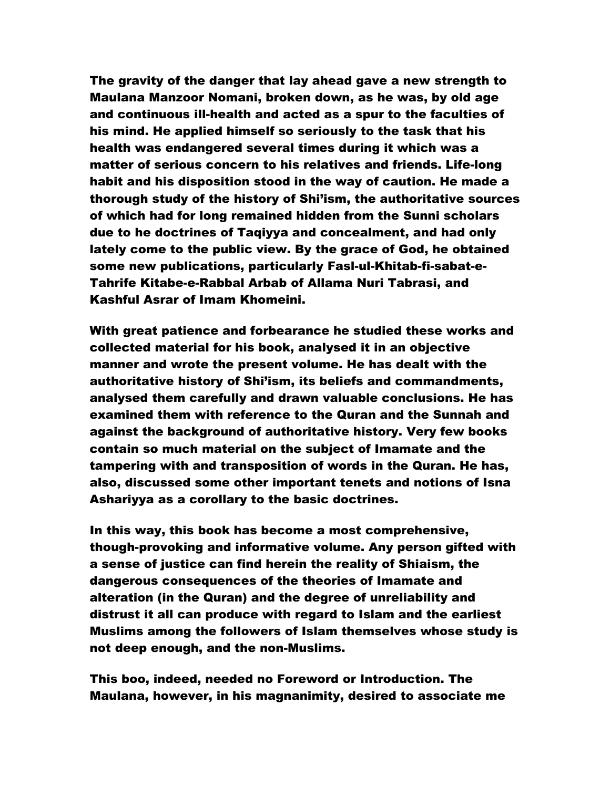The gravity of the danger that lay ahead gave a new strength to Maulana Manzoor Nomani, broken down, as he was, by old age and continuous ill-health and acted as a spur to the faculties of his mind. He applied himself so seriously to the task that his health was endangered several times during it which was a matter of serious concern to his relatives and friends. Life-long habit and his disposition stood in the way of caution. He made a thorough study of the history of Shi'ism, the authoritative sources of which had for long remained hidden from the Sunni scholars due to he doctrines of Taqiyya and concealment, and had only lately come to the public view. By the grace of God, he obtained some new publications, particularly Fasl-ul-Khitab-fi-sabat-e-Tahrife Kitabe-e-Rabbal Arbab of Allama Nuri Tabrasi, and Kashful Asrar of Imam Khomeini.

With great patience and forbearance he studied these works and collected material for his book, analysed it in an objective manner and wrote the present volume. He has dealt with the authoritative history of Shi'ism, its beliefs and commandments, analysed them carefully and drawn valuable conclusions. He has examined them with reference to the Quran and the Sunnah and against the background of authoritative history. Very few books contain so much material on the subject of Imamate and the tampering with and transposition of words in the Quran. He has, also, discussed some other important tenets and notions of Isna Ashariyya as a corollary to the basic doctrines.

In this way, this book has become a most comprehensive, though-provoking and informative volume. Any person gifted with a sense of justice can find herein the reality of Shiaism, the dangerous consequences of the theories of Imamate and alteration (in the Quran) and the degree of unreliability and distrust it all can produce with regard to Islam and the earliest Muslims among the followers of Islam themselves whose study is not deep enough, and the non-Muslims.

This boo, indeed, needed no Foreword or Introduction. The Maulana, however, in his magnanimity, desired to associate me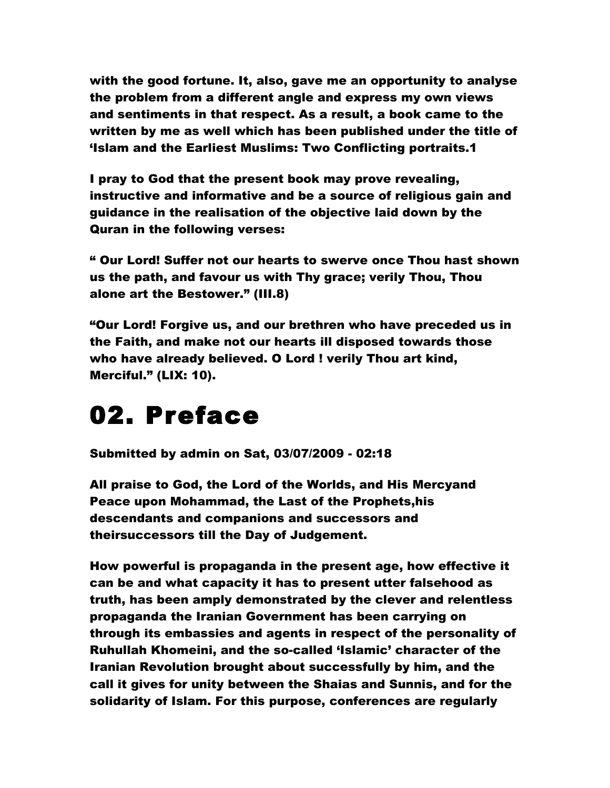with the good fortune. It, also, gave me an opportunity to analyse the problem from a different angle and express my own views and sentiments in that respect. As a result, a book came to the written by me as well which has been published under the title of 'Islam and the Earliest Muslims: Two Conflicting portraits.1

I pray to God that the present book may prove revealing, instructive and informative and be a source of religious gain and guidance in the realisation of the objective laid down by the Quran in the following verses:

" Our Lord! Suffer not our hearts to swerve once Thou hast shown us the path, and favour us with Thy grace; verily Thou, Thou alone art the Bestower." (III.8)

"Our Lord! Forgive us, and our brethren who have preceded us in the Faith, and make not our hearts ill disposed towards those who have already believed. O Lord ! verily Thou art kind, Merciful." (LIX: 10).

### 02. Preface

Submitted by admin on Sat, 03/07/2009 - 02:18

All praise to God, the Lord of the Worlds, and His Mercyand Peace upon Mohammad, the Last of the Prophets,his descendants and companions and successors and theirsuccessors till the Day of Judgement.

How powerful is propaganda in the present age, how effective it can be and what capacity it has to present utter falsehood as truth, has been amply demonstrated by the clever and relentless propaganda the Iranian Government has been carrying on through its embassies and agents in respect of the personality of Ruhullah Khomeini, and the so-called 'Islamic' character of the Iranian Revolution brought about successfully by him, and the call it gives for unity between the Shaias and Sunnis, and for the solidarity of Islam. For this purpose, conferences are regularly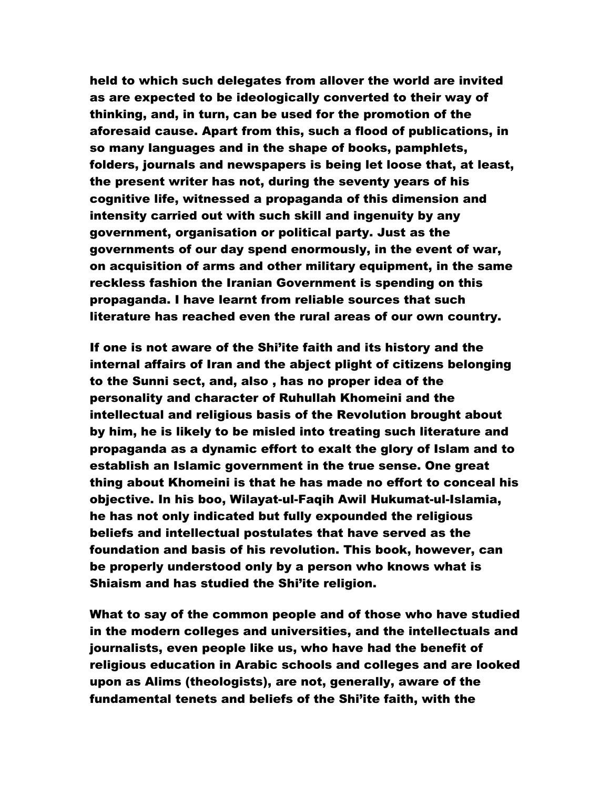held to which such delegates from allover the world are invited as are expected to be ideologically converted to their way of thinking, and, in turn, can be used for the promotion of the aforesaid cause. Apart from this, such a flood of publications, in so many languages and in the shape of books, pamphlets, folders, journals and newspapers is being let loose that, at least, the present writer has not, during the seventy years of his cognitive life, witnessed a propaganda of this dimension and intensity carried out with such skill and ingenuity by any government, organisation or political party. Just as the governments of our day spend enormously, in the event of war, on acquisition of arms and other military equipment, in the same reckless fashion the Iranian Government is spending on this propaganda. I have learnt from reliable sources that such literature has reached even the rural areas of our own country.

If one is not aware of the Shi'ite faith and its history and the internal affairs of Iran and the abject plight of citizens belonging to the Sunni sect, and, also , has no proper idea of the personality and character of Ruhullah Khomeini and the intellectual and religious basis of the Revolution brought about by him, he is likely to be misled into treating such literature and propaganda as a dynamic effort to exalt the glory of Islam and to establish an Islamic government in the true sense. One great thing about Khomeini is that he has made no effort to conceal his objective. In his boo, Wilayat-ul-Faqih Awil Hukumat-ul-Islamia, he has not only indicated but fully expounded the religious beliefs and intellectual postulates that have served as the foundation and basis of his revolution. This book, however, can be properly understood only by a person who knows what is Shiaism and has studied the Shi'ite religion.

What to say of the common people and of those who have studied in the modern colleges and universities, and the intellectuals and journalists, even people like us, who have had the benefit of religious education in Arabic schools and colleges and are looked upon as Alims (theologists), are not, generally, aware of the fundamental tenets and beliefs of the Shi'ite faith, with the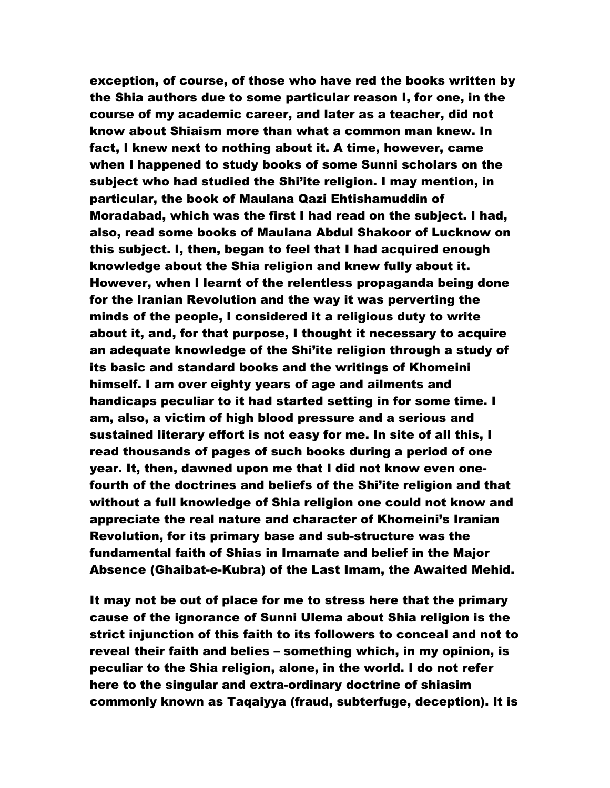exception, of course, of those who have red the books written by the Shia authors due to some particular reason I, for one, in the course of my academic career, and later as a teacher, did not know about Shiaism more than what a common man knew. In fact, I knew next to nothing about it. A time, however, came when I happened to study books of some Sunni scholars on the subject who had studied the Shi'ite religion. I may mention, in particular, the book of Maulana Qazi Ehtishamuddin of Moradabad, which was the first I had read on the subject. I had, also, read some books of Maulana Abdul Shakoor of Lucknow on this subject. I, then, began to feel that I had acquired enough knowledge about the Shia religion and knew fully about it. However, when I learnt of the relentless propaganda being done for the Iranian Revolution and the way it was perverting the minds of the people, I considered it a religious duty to write about it, and, for that purpose, I thought it necessary to acquire an adequate knowledge of the Shi'ite religion through a study of its basic and standard books and the writings of Khomeini himself. I am over eighty years of age and ailments and handicaps peculiar to it had started setting in for some time. I am, also, a victim of high blood pressure and a serious and sustained literary effort is not easy for me. In site of all this, I read thousands of pages of such books during a period of one year. It, then, dawned upon me that I did not know even onefourth of the doctrines and beliefs of the Shi'ite religion and that without a full knowledge of Shia religion one could not know and appreciate the real nature and character of Khomeini's Iranian Revolution, for its primary base and sub-structure was the fundamental faith of Shias in Imamate and belief in the Major Absence (Ghaibat-e-Kubra) of the Last Imam, the Awaited Mehid.

It may not be out of place for me to stress here that the primary cause of the ignorance of Sunni Ulema about Shia religion is the strict injunction of this faith to its followers to conceal and not to reveal their faith and belies – something which, in my opinion, is peculiar to the Shia religion, alone, in the world. I do not refer here to the singular and extra-ordinary doctrine of shiasim commonly known as Taqaiyya (fraud, subterfuge, deception). It is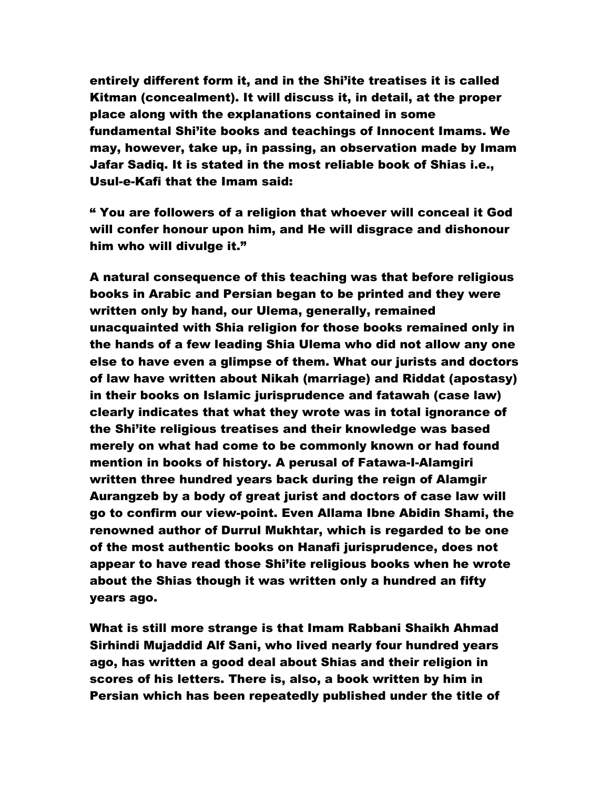entirely different form it, and in the Shi'ite treatises it is called Kitman (concealment). It will discuss it, in detail, at the proper place along with the explanations contained in some fundamental Shi'ite books and teachings of Innocent Imams. We may, however, take up, in passing, an observation made by Imam Jafar Sadiq. It is stated in the most reliable book of Shias i.e., Usul-e-Kafi that the Imam said:

" You are followers of a religion that whoever will conceal it God will confer honour upon him, and He will disgrace and dishonour him who will divulge it."

A natural consequence of this teaching was that before religious books in Arabic and Persian began to be printed and they were written only by hand, our Ulema, generally, remained unacquainted with Shia religion for those books remained only in the hands of a few leading Shia Ulema who did not allow any one else to have even a glimpse of them. What our jurists and doctors of law have written about Nikah (marriage) and Riddat (apostasy) in their books on Islamic jurisprudence and fatawah (case law) clearly indicates that what they wrote was in total ignorance of the Shi'ite religious treatises and their knowledge was based merely on what had come to be commonly known or had found mention in books of history. A perusal of Fatawa-I-Alamgiri written three hundred years back during the reign of Alamgir Aurangzeb by a body of great jurist and doctors of case law will go to confirm our view-point. Even Allama Ibne Abidin Shami, the renowned author of Durrul Mukhtar, which is regarded to be one of the most authentic books on Hanafi jurisprudence, does not appear to have read those Shi'ite religious books when he wrote about the Shias though it was written only a hundred an fifty years ago.

What is still more strange is that Imam Rabbani Shaikh Ahmad Sirhindi Mujaddid Alf Sani, who lived nearly four hundred years ago, has written a good deal about Shias and their religion in scores of his letters. There is, also, a book written by him in Persian which has been repeatedly published under the title of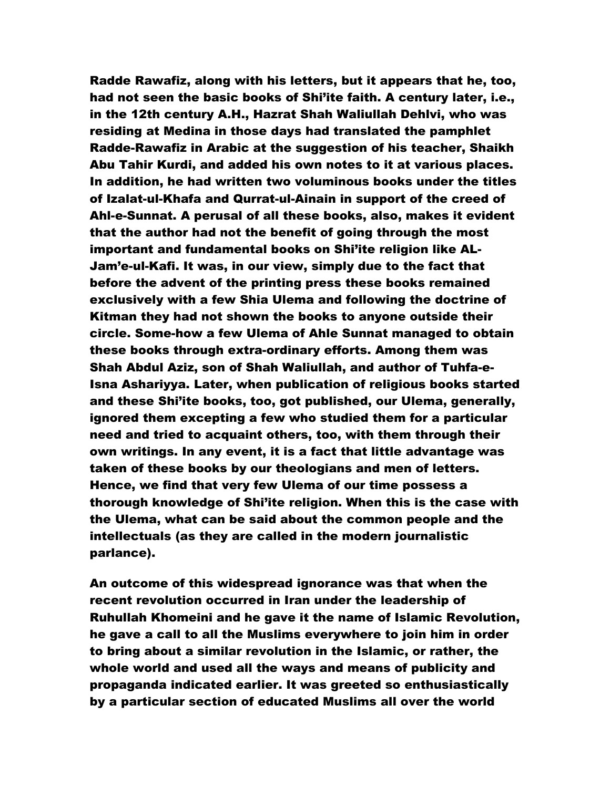Radde Rawafiz, along with his letters, but it appears that he, too, had not seen the basic books of Shi'ite faith. A century later, i.e., in the 12th century A.H., Hazrat Shah Waliullah Dehlvi, who was residing at Medina in those days had translated the pamphlet Radde-Rawafiz in Arabic at the suggestion of his teacher, Shaikh Abu Tahir Kurdi, and added his own notes to it at various places. In addition, he had written two voluminous books under the titles of Izalat-ul-Khafa and Qurrat-ul-Ainain in support of the creed of Ahl-e-Sunnat. A perusal of all these books, also, makes it evident that the author had not the benefit of going through the most important and fundamental books on Shi'ite religion like AL-Jam'e-ul-Kafi. It was, in our view, simply due to the fact that before the advent of the printing press these books remained exclusively with a few Shia Ulema and following the doctrine of Kitman they had not shown the books to anyone outside their circle. Some-how a few Ulema of Ahle Sunnat managed to obtain these books through extra-ordinary efforts. Among them was Shah Abdul Aziz, son of Shah Waliullah, and author of Tuhfa-e-Isna Ashariyya. Later, when publication of religious books started and these Shi'ite books, too, got published, our Ulema, generally, ignored them excepting a few who studied them for a particular need and tried to acquaint others, too, with them through their own writings. In any event, it is a fact that little advantage was taken of these books by our theologians and men of letters. Hence, we find that very few Ulema of our time possess a thorough knowledge of Shi'ite religion. When this is the case with the Ulema, what can be said about the common people and the intellectuals (as they are called in the modern journalistic parlance).

An outcome of this widespread ignorance was that when the recent revolution occurred in Iran under the leadership of Ruhullah Khomeini and he gave it the name of Islamic Revolution, he gave a call to all the Muslims everywhere to join him in order to bring about a similar revolution in the Islamic, or rather, the whole world and used all the ways and means of publicity and propaganda indicated earlier. It was greeted so enthusiastically by a particular section of educated Muslims all over the world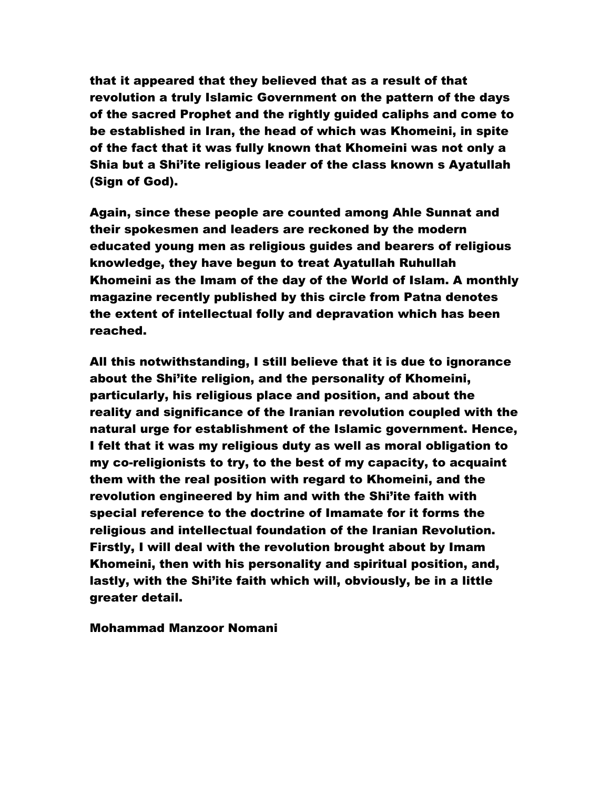that it appeared that they believed that as a result of that revolution a truly Islamic Government on the pattern of the days of the sacred Prophet and the rightly guided caliphs and come to be established in Iran, the head of which was Khomeini, in spite of the fact that it was fully known that Khomeini was not only a Shia but a Shi'ite religious leader of the class known s Ayatullah (Sign of God).

Again, since these people are counted among Ahle Sunnat and their spokesmen and leaders are reckoned by the modern educated young men as religious guides and bearers of religious knowledge, they have begun to treat Ayatullah Ruhullah Khomeini as the Imam of the day of the World of Islam. A monthly magazine recently published by this circle from Patna denotes the extent of intellectual folly and depravation which has been reached.

All this notwithstanding, I still believe that it is due to ignorance about the Shi'ite religion, and the personality of Khomeini, particularly, his religious place and position, and about the reality and significance of the Iranian revolution coupled with the natural urge for establishment of the Islamic government. Hence, I felt that it was my religious duty as well as moral obligation to my co-religionists to try, to the best of my capacity, to acquaint them with the real position with regard to Khomeini, and the revolution engineered by him and with the Shi'ite faith with special reference to the doctrine of Imamate for it forms the religious and intellectual foundation of the Iranian Revolution. Firstly, I will deal with the revolution brought about by Imam Khomeini, then with his personality and spiritual position, and, lastly, with the Shi'ite faith which will, obviously, be in a little greater detail.

Mohammad Manzoor Nomani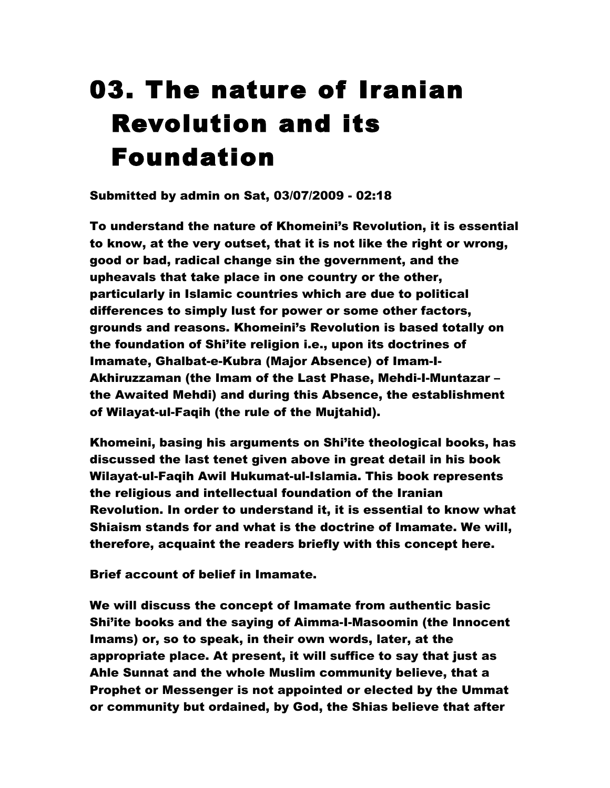# 03. The nature of Iranian Revolution and its Foundation

Submitted by admin on Sat, 03/07/2009 - 02:18

To understand the nature of Khomeini's Revolution, it is essential to know, at the very outset, that it is not like the right or wrong, good or bad, radical change sin the government, and the upheavals that take place in one country or the other, particularly in Islamic countries which are due to political differences to simply lust for power or some other factors, grounds and reasons. Khomeini's Revolution is based totally on the foundation of Shi'ite religion i.e., upon its doctrines of Imamate, Ghalbat-e-Kubra (Major Absence) of Imam-I-Akhiruzzaman (the Imam of the Last Phase, Mehdi-I-Muntazar – the Awaited Mehdi) and during this Absence, the establishment of Wilayat-ul-Faqih (the rule of the Mujtahid).

Khomeini, basing his arguments on Shi'ite theological books, has discussed the last tenet given above in great detail in his book Wilayat-ul-Faqih Awil Hukumat-ul-Islamia. This book represents the religious and intellectual foundation of the Iranian Revolution. In order to understand it, it is essential to know what Shiaism stands for and what is the doctrine of Imamate. We will, therefore, acquaint the readers briefly with this concept here.

Brief account of belief in Imamate.

We will discuss the concept of Imamate from authentic basic Shi'ite books and the saying of Aimma-I-Masoomin (the Innocent Imams) or, so to speak, in their own words, later, at the appropriate place. At present, it will suffice to say that just as Ahle Sunnat and the whole Muslim community believe, that a Prophet or Messenger is not appointed or elected by the Ummat or community but ordained, by God, the Shias believe that after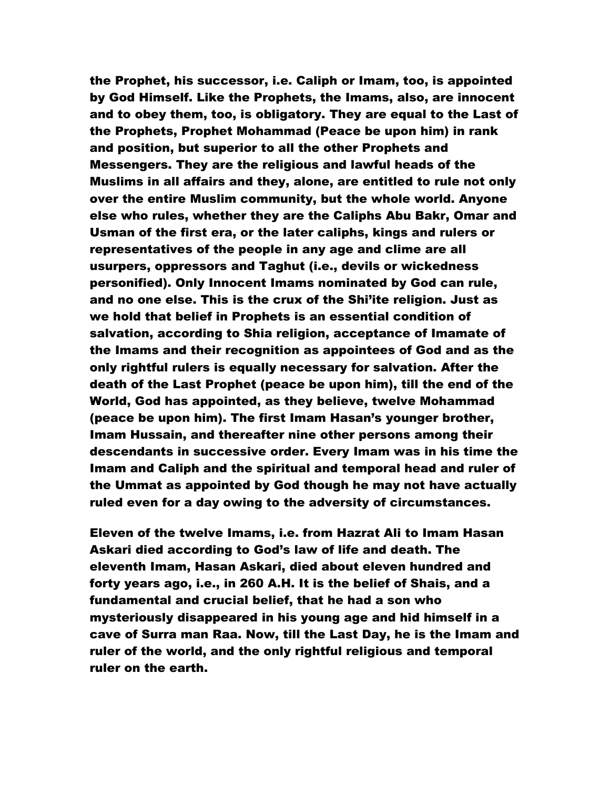the Prophet, his successor, i.e. Caliph or Imam, too, is appointed by God Himself. Like the Prophets, the Imams, also, are innocent and to obey them, too, is obligatory. They are equal to the Last of the Prophets, Prophet Mohammad (Peace be upon him) in rank and position, but superior to all the other Prophets and Messengers. They are the religious and lawful heads of the Muslims in all affairs and they, alone, are entitled to rule not only over the entire Muslim community, but the whole world. Anyone else who rules, whether they are the Caliphs Abu Bakr, Omar and Usman of the first era, or the later caliphs, kings and rulers or representatives of the people in any age and clime are all usurpers, oppressors and Taghut (i.e., devils or wickedness personified). Only Innocent Imams nominated by God can rule, and no one else. This is the crux of the Shi'ite religion. Just as we hold that belief in Prophets is an essential condition of salvation, according to Shia religion, acceptance of Imamate of the Imams and their recognition as appointees of God and as the only rightful rulers is equally necessary for salvation. After the death of the Last Prophet (peace be upon him), till the end of the World, God has appointed, as they believe, twelve Mohammad (peace be upon him). The first Imam Hasan's younger brother, Imam Hussain, and thereafter nine other persons among their descendants in successive order. Every Imam was in his time the Imam and Caliph and the spiritual and temporal head and ruler of the Ummat as appointed by God though he may not have actually ruled even for a day owing to the adversity of circumstances.

Eleven of the twelve Imams, i.e. from Hazrat Ali to Imam Hasan Askari died according to God's law of life and death. The eleventh Imam, Hasan Askari, died about eleven hundred and forty years ago, i.e., in 260 A.H. It is the belief of Shais, and a fundamental and crucial belief, that he had a son who mysteriously disappeared in his young age and hid himself in a cave of Surra man Raa. Now, till the Last Day, he is the Imam and ruler of the world, and the only rightful religious and temporal ruler on the earth.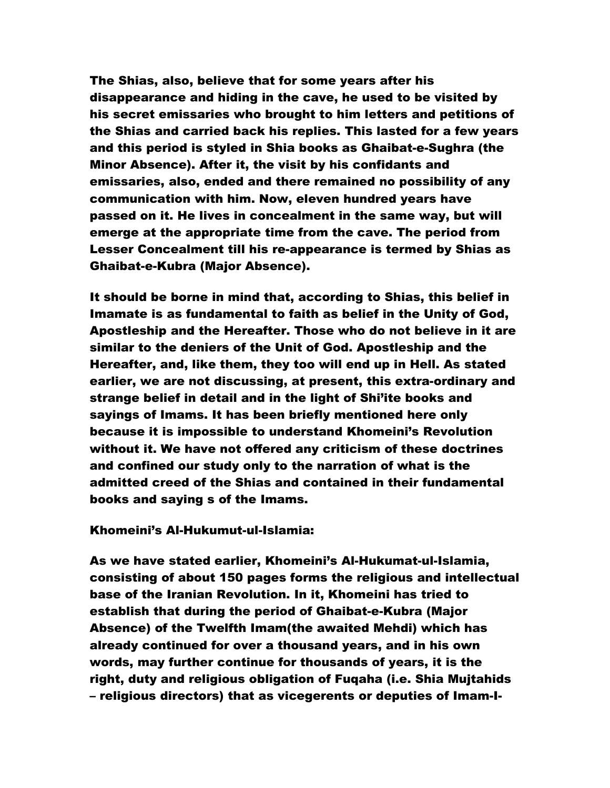The Shias, also, believe that for some years after his disappearance and hiding in the cave, he used to be visited by his secret emissaries who brought to him letters and petitions of the Shias and carried back his replies. This lasted for a few years and this period is styled in Shia books as Ghaibat-e-Sughra (the Minor Absence). After it, the visit by his confidants and emissaries, also, ended and there remained no possibility of any communication with him. Now, eleven hundred years have passed on it. He lives in concealment in the same way, but will emerge at the appropriate time from the cave. The period from Lesser Concealment till his re-appearance is termed by Shias as Ghaibat-e-Kubra (Major Absence).

It should be borne in mind that, according to Shias, this belief in Imamate is as fundamental to faith as belief in the Unity of God, Apostleship and the Hereafter. Those who do not believe in it are similar to the deniers of the Unit of God. Apostleship and the Hereafter, and, like them, they too will end up in Hell. As stated earlier, we are not discussing, at present, this extra-ordinary and strange belief in detail and in the light of Shi'ite books and sayings of Imams. It has been briefly mentioned here only because it is impossible to understand Khomeini's Revolution without it. We have not offered any criticism of these doctrines and confined our study only to the narration of what is the admitted creed of the Shias and contained in their fundamental books and saying s of the Imams.

#### Khomeini's Al-Hukumut-ul-Islamia:

As we have stated earlier, Khomeini's Al-Hukumat-ul-Islamia, consisting of about 150 pages forms the religious and intellectual base of the Iranian Revolution. In it, Khomeini has tried to establish that during the period of Ghaibat-e-Kubra (Major Absence) of the Twelfth Imam(the awaited Mehdi) which has already continued for over a thousand years, and in his own words, may further continue for thousands of years, it is the right, duty and religious obligation of Fuqaha (i.e. Shia Mujtahids – religious directors) that as vicegerents or deputies of Imam-I-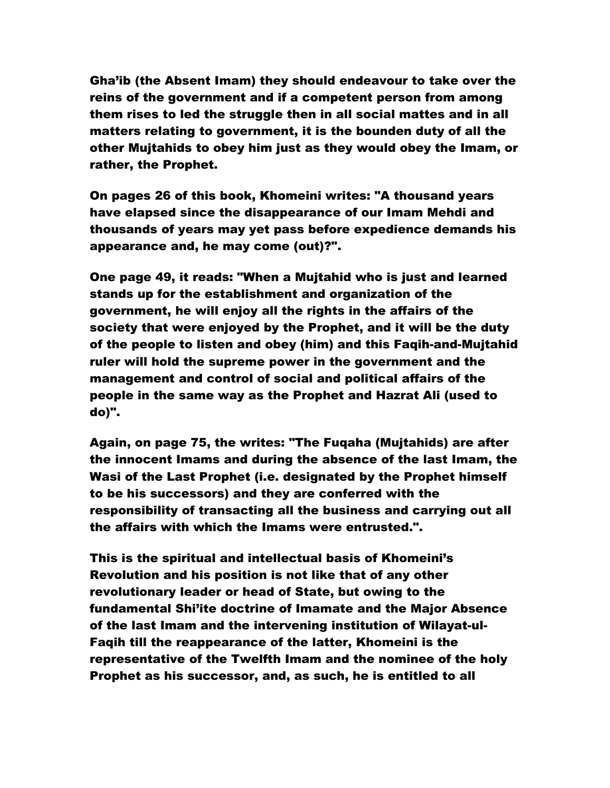Gha'ib (the Absent Imam) they should endeavour to take over the reins of the government and if a competent person from among them rises to led the struggle then in all social mattes and in all matters relating to government, it is the bounden duty of all the other Mujtahids to obey him just as they would obey the Imam, or rather, the Prophet.

On pages 26 of this book, Khomeini writes: "A thousand years have elapsed since the disappearance of our Imam Mehdi and thousands of years may yet pass before expedience demands his appearance and, he may come (out)?".

One page 49, it reads: "When a Mujtahid who is just and learned stands up for the establishment and organization of the government, he will enjoy all the rights in the affairs of the society that were enjoyed by the Prophet, and it will be the duty of the people to listen and obey (him) and this Faqih-and-Mujtahid ruler will hold the supreme power in the government and the management and control of social and political affairs of the people in the same way as the Prophet and Hazrat Ali (used to do)".

Again, on page 75, the writes: "The Fuqaha (Mujtahids) are after the innocent Imams and during the absence of the last Imam, the Wasi of the Last Prophet (i.e. designated by the Prophet himself to be his successors) and they are conferred with the responsibility of transacting all the business and carrying out all the affairs with which the Imams were entrusted.".

This is the spiritual and intellectual basis of Khomeini's Revolution and his position is not like that of any other revolutionary leader or head of State, but owing to the fundamental Shi'ite doctrine of Imamate and the Major Absence of the last Imam and the intervening institution of Wilayat-ul-Faqih till the reappearance of the latter, Khomeini is the representative of the Twelfth Imam and the nominee of the holy Prophet as his successor, and, as such, he is entitled to all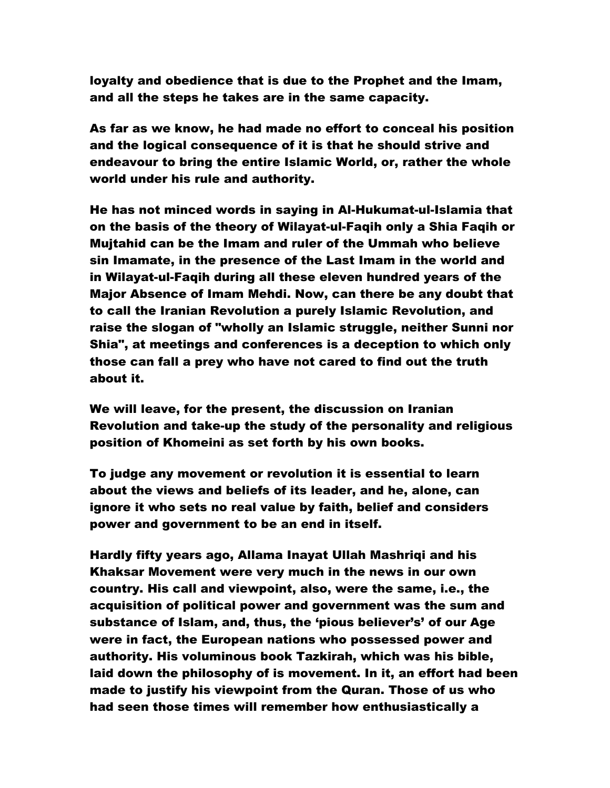loyalty and obedience that is due to the Prophet and the Imam, and all the steps he takes are in the same capacity.

As far as we know, he had made no effort to conceal his position and the logical consequence of it is that he should strive and endeavour to bring the entire Islamic World, or, rather the whole world under his rule and authority.

He has not minced words in saying in Al-Hukumat-ul-Islamia that on the basis of the theory of Wilayat-ul-Faqih only a Shia Faqih or Mujtahid can be the Imam and ruler of the Ummah who believe sin Imamate, in the presence of the Last Imam in the world and in Wilayat-ul-Faqih during all these eleven hundred years of the Major Absence of Imam Mehdi. Now, can there be any doubt that to call the Iranian Revolution a purely Islamic Revolution, and raise the slogan of "wholly an Islamic struggle, neither Sunni nor Shia", at meetings and conferences is a deception to which only those can fall a prey who have not cared to find out the truth about it.

We will leave, for the present, the discussion on Iranian Revolution and take-up the study of the personality and religious position of Khomeini as set forth by his own books.

To judge any movement or revolution it is essential to learn about the views and beliefs of its leader, and he, alone, can ignore it who sets no real value by faith, belief and considers power and government to be an end in itself.

Hardly fifty years ago, Allama Inayat Ullah Mashriqi and his Khaksar Movement were very much in the news in our own country. His call and viewpoint, also, were the same, i.e., the acquisition of political power and government was the sum and substance of Islam, and, thus, the 'pious believer's' of our Age were in fact, the European nations who possessed power and authority. His voluminous book Tazkirah, which was his bible, laid down the philosophy of is movement. In it, an effort had been made to justify his viewpoint from the Quran. Those of us who had seen those times will remember how enthusiastically a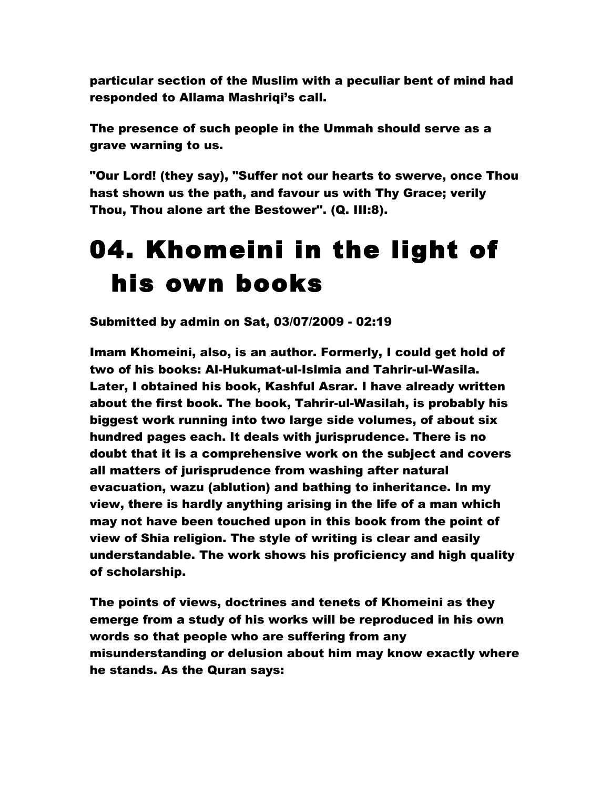particular section of the Muslim with a peculiar bent of mind had responded to Allama Mashriqi's call.

The presence of such people in the Ummah should serve as a grave warning to us.

"Our Lord! (they say), "Suffer not our hearts to swerve, once Thou hast shown us the path, and favour us with Thy Grace; verily Thou, Thou alone art the Bestower". (Q. III:8).

### 04. Khomeini in the light of his own books

Submitted by admin on Sat, 03/07/2009 - 02:19

Imam Khomeini, also, is an author. Formerly, I could get hold of two of his books: Al-Hukumat-ul-Islmia and Tahrir-ul-Wasila. Later, I obtained his book, Kashful Asrar. I have already written about the first book. The book, Tahrir-ul-Wasilah, is probably his biggest work running into two large side volumes, of about six hundred pages each. It deals with jurisprudence. There is no doubt that it is a comprehensive work on the subject and covers all matters of jurisprudence from washing after natural evacuation, wazu (ablution) and bathing to inheritance. In my view, there is hardly anything arising in the life of a man which may not have been touched upon in this book from the point of view of Shia religion. The style of writing is clear and easily understandable. The work shows his proficiency and high quality of scholarship.

The points of views, doctrines and tenets of Khomeini as they emerge from a study of his works will be reproduced in his own words so that people who are suffering from any misunderstanding or delusion about him may know exactly where he stands. As the Quran says: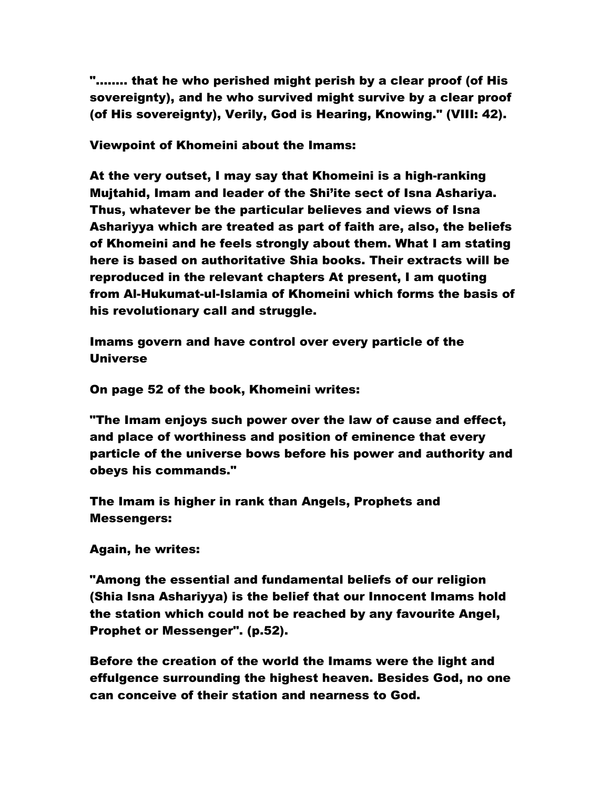"…….. that he who perished might perish by a clear proof (of His sovereignty), and he who survived might survive by a clear proof (of His sovereignty), Verily, God is Hearing, Knowing." (VIII: 42).

Viewpoint of Khomeini about the Imams:

At the very outset, I may say that Khomeini is a high-ranking Mujtahid, Imam and leader of the Shi'ite sect of Isna Ashariya. Thus, whatever be the particular believes and views of Isna Ashariyya which are treated as part of faith are, also, the beliefs of Khomeini and he feels strongly about them. What I am stating here is based on authoritative Shia books. Their extracts will be reproduced in the relevant chapters At present, I am quoting from Al-Hukumat-ul-Islamia of Khomeini which forms the basis of his revolutionary call and struggle.

Imams govern and have control over every particle of the Universe

On page 52 of the book, Khomeini writes:

"The Imam enjoys such power over the law of cause and effect, and place of worthiness and position of eminence that every particle of the universe bows before his power and authority and obeys his commands."

The Imam is higher in rank than Angels, Prophets and Messengers:

Again, he writes:

"Among the essential and fundamental beliefs of our religion (Shia Isna Ashariyya) is the belief that our Innocent Imams hold the station which could not be reached by any favourite Angel, Prophet or Messenger". (p.52).

Before the creation of the world the Imams were the light and effulgence surrounding the highest heaven. Besides God, no one can conceive of their station and nearness to God.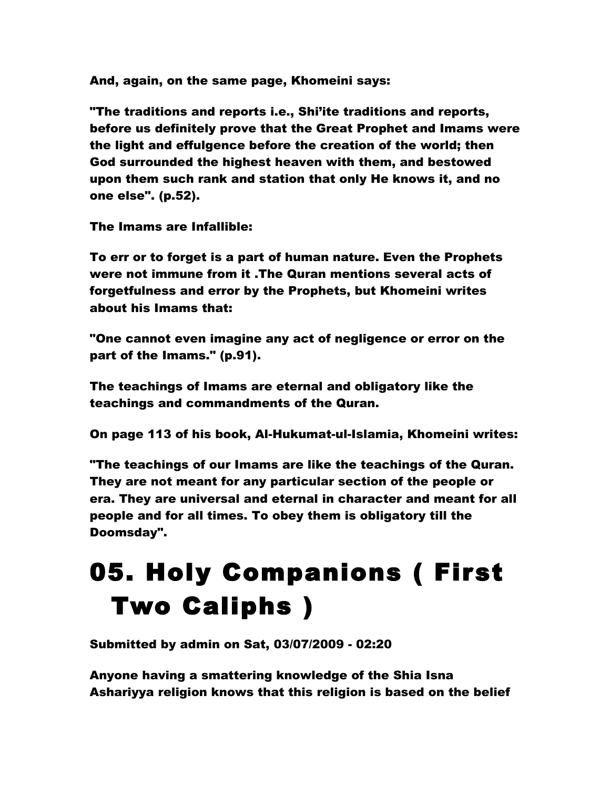And, again, on the same page, Khomeini says:

"The traditions and reports i.e., Shi'ite traditions and reports, before us definitely prove that the Great Prophet and Imams were the light and effulgence before the creation of the world; then God surrounded the highest heaven with them, and bestowed upon them such rank and station that only He knows it, and no one else". (p.52).

The Imams are Infallible:

To err or to forget is a part of human nature. Even the Prophets were not immune from it .The Quran mentions several acts of forgetfulness and error by the Prophets, but Khomeini writes about his Imams that:

"One cannot even imagine any act of negligence or error on the part of the Imams." (p.91).

The teachings of Imams are eternal and obligatory like the teachings and commandments of the Quran.

On page 113 of his book, Al-Hukumat-ul-Islamia, Khomeini writes:

"The teachings of our Imams are like the teachings of the Quran. They are not meant for any particular section of the people or era. They are universal and eternal in character and meant for all people and for all times. To obey them is obligatory till the Doomsday".

# 05. Holy Companions ( First Two Caliphs )

Submitted by admin on Sat, 03/07/2009 - 02:20

Anyone having a smattering knowledge of the Shia Isna Ashariyya religion knows that this religion is based on the belief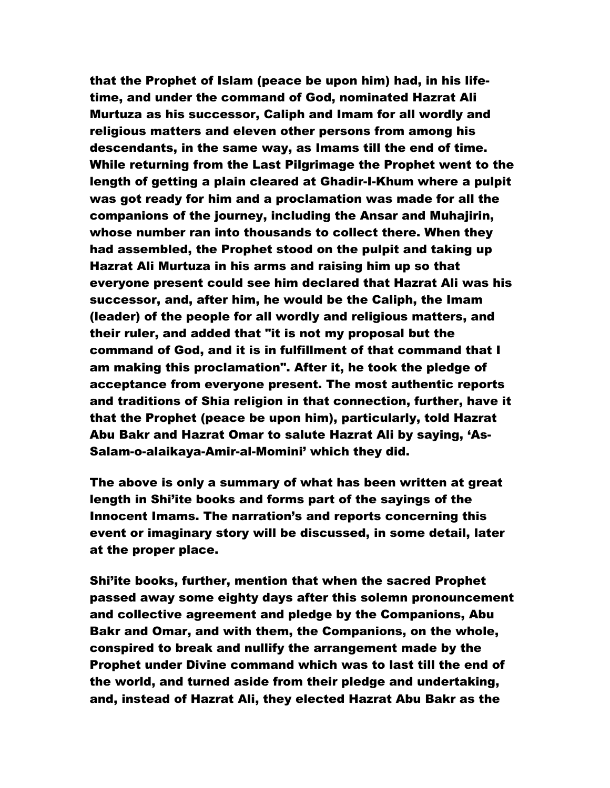that the Prophet of Islam (peace be upon him) had, in his lifetime, and under the command of God, nominated Hazrat Ali Murtuza as his successor, Caliph and Imam for all wordly and religious matters and eleven other persons from among his descendants, in the same way, as Imams till the end of time. While returning from the Last Pilgrimage the Prophet went to the length of getting a plain cleared at Ghadir-I-Khum where a pulpit was got ready for him and a proclamation was made for all the companions of the journey, including the Ansar and Muhajirin, whose number ran into thousands to collect there. When they had assembled, the Prophet stood on the pulpit and taking up Hazrat Ali Murtuza in his arms and raising him up so that everyone present could see him declared that Hazrat Ali was his successor, and, after him, he would be the Caliph, the Imam (leader) of the people for all wordly and religious matters, and their ruler, and added that "it is not my proposal but the command of God, and it is in fulfillment of that command that I am making this proclamation". After it, he took the pledge of acceptance from everyone present. The most authentic reports and traditions of Shia religion in that connection, further, have it that the Prophet (peace be upon him), particularly, told Hazrat Abu Bakr and Hazrat Omar to salute Hazrat Ali by saying, 'As-Salam-o-alaikaya-Amir-al-Momini' which they did.

The above is only a summary of what has been written at great length in Shi'ite books and forms part of the sayings of the Innocent Imams. The narration's and reports concerning this event or imaginary story will be discussed, in some detail, later at the proper place.

Shi'ite books, further, mention that when the sacred Prophet passed away some eighty days after this solemn pronouncement and collective agreement and pledge by the Companions, Abu Bakr and Omar, and with them, the Companions, on the whole, conspired to break and nullify the arrangement made by the Prophet under Divine command which was to last till the end of the world, and turned aside from their pledge and undertaking, and, instead of Hazrat Ali, they elected Hazrat Abu Bakr as the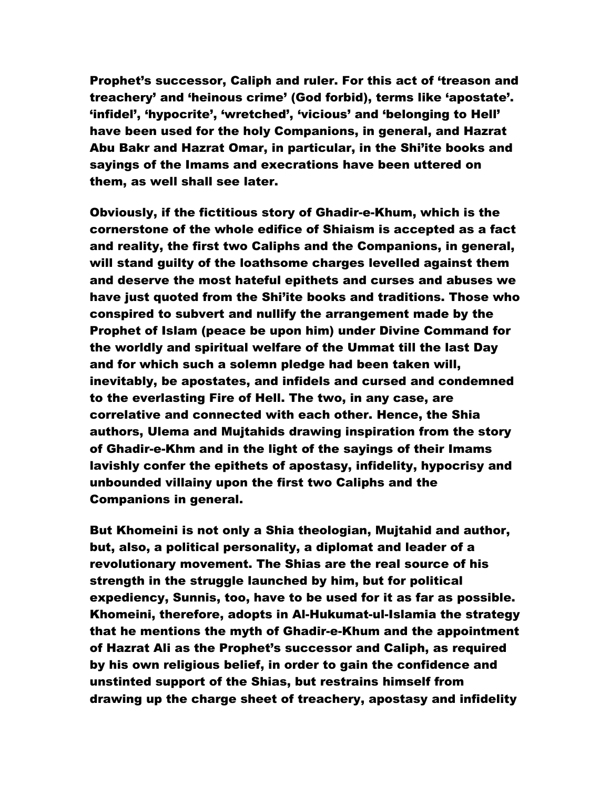Prophet's successor, Caliph and ruler. For this act of 'treason and treachery' and 'heinous crime' (God forbid), terms like 'apostate'. 'infidel', 'hypocrite', 'wretched', 'vicious' and 'belonging to Hell' have been used for the holy Companions, in general, and Hazrat Abu Bakr and Hazrat Omar, in particular, in the Shi'ite books and sayings of the Imams and execrations have been uttered on them, as well shall see later.

Obviously, if the fictitious story of Ghadir-e-Khum, which is the cornerstone of the whole edifice of Shiaism is accepted as a fact and reality, the first two Caliphs and the Companions, in general, will stand guilty of the loathsome charges levelled against them and deserve the most hateful epithets and curses and abuses we have just quoted from the Shi'ite books and traditions. Those who conspired to subvert and nullify the arrangement made by the Prophet of Islam (peace be upon him) under Divine Command for the worldly and spiritual welfare of the Ummat till the last Day and for which such a solemn pledge had been taken will, inevitably, be apostates, and infidels and cursed and condemned to the everlasting Fire of Hell. The two, in any case, are correlative and connected with each other. Hence, the Shia authors, Ulema and Mujtahids drawing inspiration from the story of Ghadir-e-Khm and in the light of the sayings of their Imams lavishly confer the epithets of apostasy, infidelity, hypocrisy and unbounded villainy upon the first two Caliphs and the Companions in general.

But Khomeini is not only a Shia theologian, Mujtahid and author, but, also, a political personality, a diplomat and leader of a revolutionary movement. The Shias are the real source of his strength in the struggle launched by him, but for political expediency, Sunnis, too, have to be used for it as far as possible. Khomeini, therefore, adopts in Al-Hukumat-ul-Islamia the strategy that he mentions the myth of Ghadir-e-Khum and the appointment of Hazrat Ali as the Prophet's successor and Caliph, as required by his own religious belief, in order to gain the confidence and unstinted support of the Shias, but restrains himself from drawing up the charge sheet of treachery, apostasy and infidelity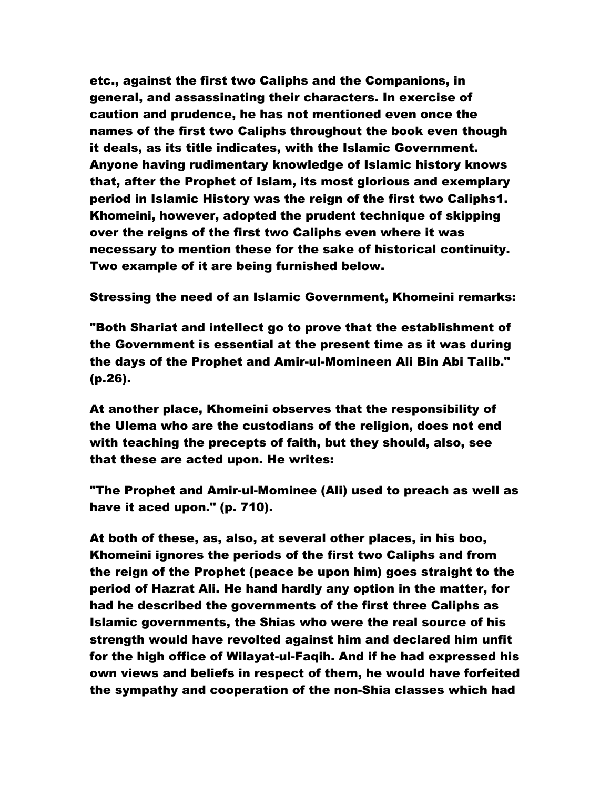etc., against the first two Caliphs and the Companions, in general, and assassinating their characters. In exercise of caution and prudence, he has not mentioned even once the names of the first two Caliphs throughout the book even though it deals, as its title indicates, with the Islamic Government. Anyone having rudimentary knowledge of Islamic history knows that, after the Prophet of Islam, its most glorious and exemplary period in Islamic History was the reign of the first two Caliphs1. Khomeini, however, adopted the prudent technique of skipping over the reigns of the first two Caliphs even where it was necessary to mention these for the sake of historical continuity. Two example of it are being furnished below.

Stressing the need of an Islamic Government, Khomeini remarks:

"Both Shariat and intellect go to prove that the establishment of the Government is essential at the present time as it was during the days of the Prophet and Amir-ul-Momineen Ali Bin Abi Talib." (p.26).

At another place, Khomeini observes that the responsibility of the Ulema who are the custodians of the religion, does not end with teaching the precepts of faith, but they should, also, see that these are acted upon. He writes:

"The Prophet and Amir-ul-Mominee (Ali) used to preach as well as have it aced upon." (p. 710).

At both of these, as, also, at several other places, in his boo, Khomeini ignores the periods of the first two Caliphs and from the reign of the Prophet (peace be upon him) goes straight to the period of Hazrat Ali. He hand hardly any option in the matter, for had he described the governments of the first three Caliphs as Islamic governments, the Shias who were the real source of his strength would have revolted against him and declared him unfit for the high office of Wilayat-ul-Faqih. And if he had expressed his own views and beliefs in respect of them, he would have forfeited the sympathy and cooperation of the non-Shia classes which had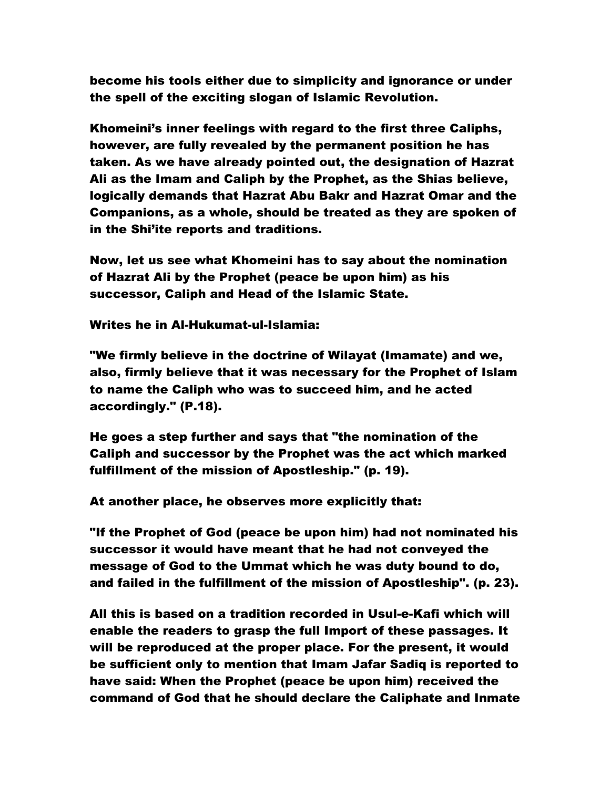become his tools either due to simplicity and ignorance or under the spell of the exciting slogan of Islamic Revolution.

Khomeini's inner feelings with regard to the first three Caliphs, however, are fully revealed by the permanent position he has taken. As we have already pointed out, the designation of Hazrat Ali as the Imam and Caliph by the Prophet, as the Shias believe, logically demands that Hazrat Abu Bakr and Hazrat Omar and the Companions, as a whole, should be treated as they are spoken of in the Shi'ite reports and traditions.

Now, let us see what Khomeini has to say about the nomination of Hazrat Ali by the Prophet (peace be upon him) as his successor, Caliph and Head of the Islamic State.

Writes he in Al-Hukumat-ul-Islamia:

"We firmly believe in the doctrine of Wilayat (Imamate) and we, also, firmly believe that it was necessary for the Prophet of Islam to name the Caliph who was to succeed him, and he acted accordingly." (P.18).

He goes a step further and says that "the nomination of the Caliph and successor by the Prophet was the act which marked fulfillment of the mission of Apostleship." (p. 19).

At another place, he observes more explicitly that:

"If the Prophet of God (peace be upon him) had not nominated his successor it would have meant that he had not conveyed the message of God to the Ummat which he was duty bound to do, and failed in the fulfillment of the mission of Apostleship". (p. 23).

All this is based on a tradition recorded in Usul-e-Kafi which will enable the readers to grasp the full Import of these passages. It will be reproduced at the proper place. For the present, it would be sufficient only to mention that Imam Jafar Sadiq is reported to have said: When the Prophet (peace be upon him) received the command of God that he should declare the Caliphate and Inmate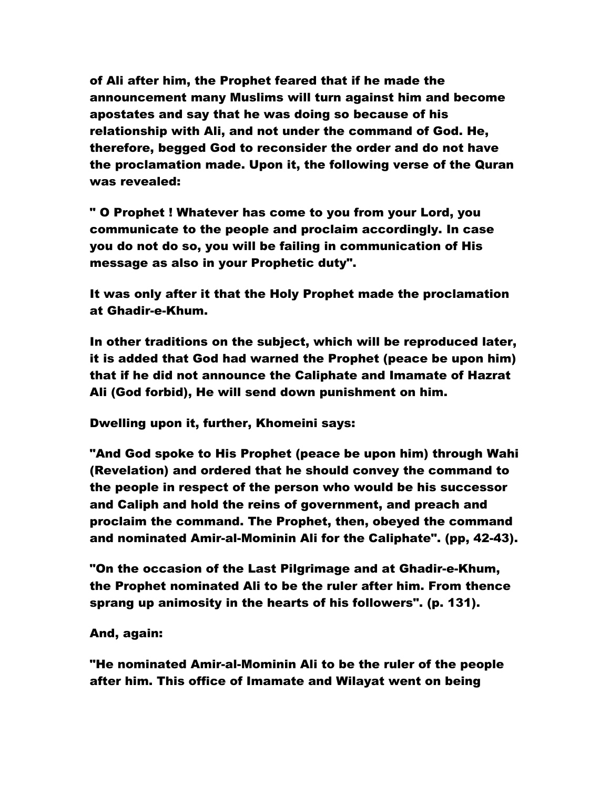of Ali after him, the Prophet feared that if he made the announcement many Muslims will turn against him and become apostates and say that he was doing so because of his relationship with Ali, and not under the command of God. He, therefore, begged God to reconsider the order and do not have the proclamation made. Upon it, the following verse of the Quran was revealed:

" O Prophet ! Whatever has come to you from your Lord, you communicate to the people and proclaim accordingly. In case you do not do so, you will be failing in communication of His message as also in your Prophetic duty".

It was only after it that the Holy Prophet made the proclamation at Ghadir-e-Khum.

In other traditions on the subject, which will be reproduced later, it is added that God had warned the Prophet (peace be upon him) that if he did not announce the Caliphate and Imamate of Hazrat Ali (God forbid), He will send down punishment on him.

Dwelling upon it, further, Khomeini says:

"And God spoke to His Prophet (peace be upon him) through Wahi (Revelation) and ordered that he should convey the command to the people in respect of the person who would be his successor and Caliph and hold the reins of government, and preach and proclaim the command. The Prophet, then, obeyed the command and nominated Amir-al-Mominin Ali for the Caliphate". (pp, 42-43).

"On the occasion of the Last Pilgrimage and at Ghadir-e-Khum, the Prophet nominated Ali to be the ruler after him. From thence sprang up animosity in the hearts of his followers". (p. 131).

#### And, again:

"He nominated Amir-al-Mominin Ali to be the ruler of the people after him. This office of Imamate and Wilayat went on being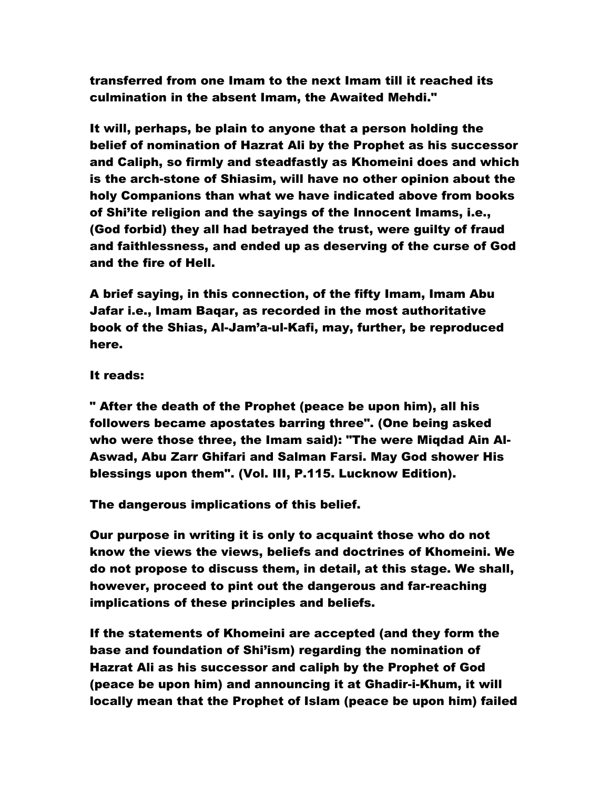transferred from one Imam to the next Imam till it reached its culmination in the absent Imam, the Awaited Mehdi."

It will, perhaps, be plain to anyone that a person holding the belief of nomination of Hazrat Ali by the Prophet as his successor and Caliph, so firmly and steadfastly as Khomeini does and which is the arch-stone of Shiasim, will have no other opinion about the holy Companions than what we have indicated above from books of Shi'ite religion and the sayings of the Innocent Imams, i.e., (God forbid) they all had betrayed the trust, were guilty of fraud and faithlessness, and ended up as deserving of the curse of God and the fire of Hell.

A brief saying, in this connection, of the fifty Imam, Imam Abu Jafar i.e., Imam Baqar, as recorded in the most authoritative book of the Shias, Al-Jam'a-ul-Kafi, may, further, be reproduced here.

#### It reads:

" After the death of the Prophet (peace be upon him), all his followers became apostates barring three". (One being asked who were those three, the Imam said): "The were Miqdad Ain Al-Aswad, Abu Zarr Ghifari and Salman Farsi. May God shower His blessings upon them". (Vol. III, P.115. Lucknow Edition).

The dangerous implications of this belief.

Our purpose in writing it is only to acquaint those who do not know the views the views, beliefs and doctrines of Khomeini. We do not propose to discuss them, in detail, at this stage. We shall, however, proceed to pint out the dangerous and far-reaching implications of these principles and beliefs.

If the statements of Khomeini are accepted (and they form the base and foundation of Shi'ism) regarding the nomination of Hazrat Ali as his successor and caliph by the Prophet of God (peace be upon him) and announcing it at Ghadir-i-Khum, it will locally mean that the Prophet of Islam (peace be upon him) failed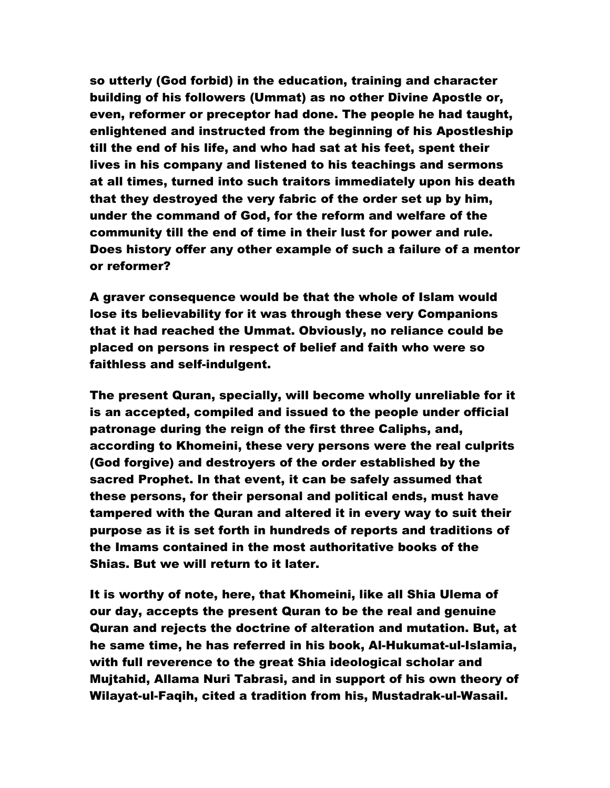so utterly (God forbid) in the education, training and character building of his followers (Ummat) as no other Divine Apostle or, even, reformer or preceptor had done. The people he had taught, enlightened and instructed from the beginning of his Apostleship till the end of his life, and who had sat at his feet, spent their lives in his company and listened to his teachings and sermons at all times, turned into such traitors immediately upon his death that they destroyed the very fabric of the order set up by him, under the command of God, for the reform and welfare of the community till the end of time in their lust for power and rule. Does history offer any other example of such a failure of a mentor or reformer?

A graver consequence would be that the whole of Islam would lose its believability for it was through these very Companions that it had reached the Ummat. Obviously, no reliance could be placed on persons in respect of belief and faith who were so faithless and self-indulgent.

The present Quran, specially, will become wholly unreliable for it is an accepted, compiled and issued to the people under official patronage during the reign of the first three Caliphs, and, according to Khomeini, these very persons were the real culprits (God forgive) and destroyers of the order established by the sacred Prophet. In that event, it can be safely assumed that these persons, for their personal and political ends, must have tampered with the Quran and altered it in every way to suit their purpose as it is set forth in hundreds of reports and traditions of the Imams contained in the most authoritative books of the Shias. But we will return to it later.

It is worthy of note, here, that Khomeini, like all Shia Ulema of our day, accepts the present Quran to be the real and genuine Quran and rejects the doctrine of alteration and mutation. But, at he same time, he has referred in his book, Al-Hukumat-ul-Islamia, with full reverence to the great Shia ideological scholar and Mujtahid, Allama Nuri Tabrasi, and in support of his own theory of Wilayat-ul-Faqih, cited a tradition from his, Mustadrak-ul-Wasail.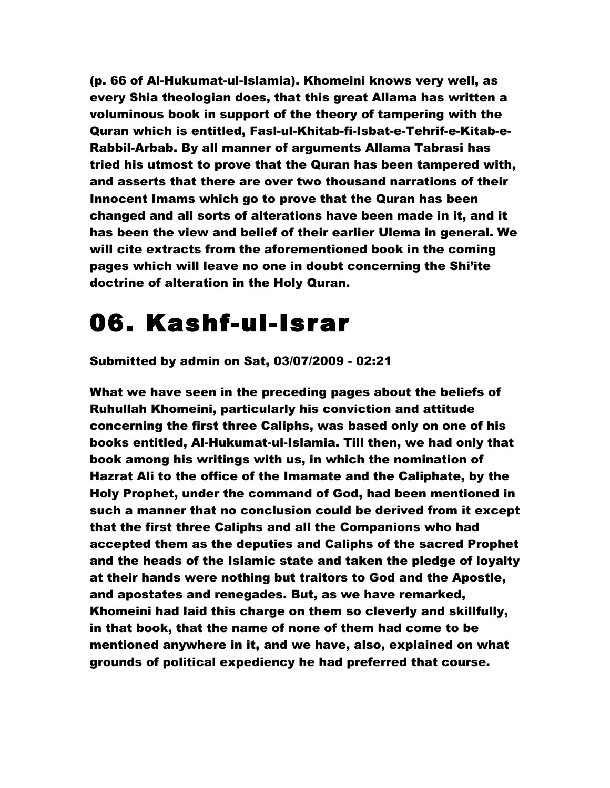(p. 66 of Al-Hukumat-ul-Islamia). Khomeini knows very well, as every Shia theologian does, that this great Allama has written a voluminous book in support of the theory of tampering with the Quran which is entitled, Fasl-ul-Khitab-fi-Isbat-e-Tehrif-e-Kitab-e-Rabbil-Arbab. By all manner of arguments Allama Tabrasi has tried his utmost to prove that the Quran has been tampered with, and asserts that there are over two thousand narrations of their Innocent Imams which go to prove that the Quran has been changed and all sorts of alterations have been made in it, and it has been the view and belief of their earlier Ulema in general. We will cite extracts from the aforementioned book in the coming pages which will leave no one in doubt concerning the Shi'ite doctrine of alteration in the Holy Quran.

### 06. Kashf-ul-Israr

Submitted by admin on Sat, 03/07/2009 - 02:21

What we have seen in the preceding pages about the beliefs of Ruhullah Khomeini, particularly his conviction and attitude concerning the first three Caliphs, was based only on one of his books entitled, Al-Hukumat-ul-Islamia. Till then, we had only that book among his writings with us, in which the nomination of Hazrat Ali to the office of the Imamate and the Caliphate, by the Holy Prophet, under the command of God, had been mentioned in such a manner that no conclusion could be derived from it except that the first three Caliphs and all the Companions who had accepted them as the deputies and Caliphs of the sacred Prophet and the heads of the Islamic state and taken the pledge of loyalty at their hands were nothing but traitors to God and the Apostle, and apostates and renegades. But, as we have remarked, Khomeini had laid this charge on them so cleverly and skillfully, in that book, that the name of none of them had come to be mentioned anywhere in it, and we have, also, explained on what grounds of political expediency he had preferred that course.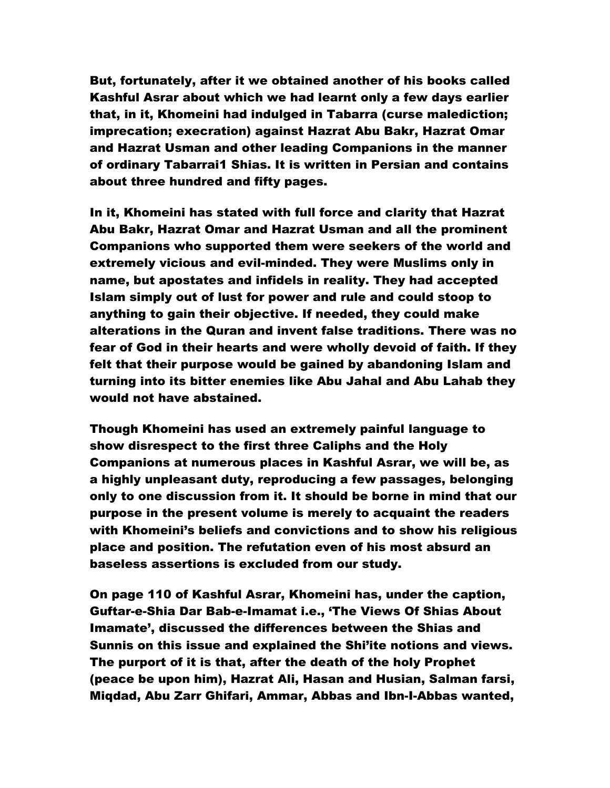But, fortunately, after it we obtained another of his books called Kashful Asrar about which we had learnt only a few days earlier that, in it, Khomeini had indulged in Tabarra (curse malediction; imprecation; execration) against Hazrat Abu Bakr, Hazrat Omar and Hazrat Usman and other leading Companions in the manner of ordinary Tabarrai1 Shias. It is written in Persian and contains about three hundred and fifty pages.

In it, Khomeini has stated with full force and clarity that Hazrat Abu Bakr, Hazrat Omar and Hazrat Usman and all the prominent Companions who supported them were seekers of the world and extremely vicious and evil-minded. They were Muslims only in name, but apostates and infidels in reality. They had accepted Islam simply out of lust for power and rule and could stoop to anything to gain their objective. If needed, they could make alterations in the Quran and invent false traditions. There was no fear of God in their hearts and were wholly devoid of faith. If they felt that their purpose would be gained by abandoning Islam and turning into its bitter enemies like Abu Jahal and Abu Lahab they would not have abstained.

Though Khomeini has used an extremely painful language to show disrespect to the first three Caliphs and the Holy Companions at numerous places in Kashful Asrar, we will be, as a highly unpleasant duty, reproducing a few passages, belonging only to one discussion from it. It should be borne in mind that our purpose in the present volume is merely to acquaint the readers with Khomeini's beliefs and convictions and to show his religious place and position. The refutation even of his most absurd an baseless assertions is excluded from our study.

On page 110 of Kashful Asrar, Khomeini has, under the caption, Guftar-e-Shia Dar Bab-e-Imamat i.e., 'The Views Of Shias About Imamate', discussed the differences between the Shias and Sunnis on this issue and explained the Shi'ite notions and views. The purport of it is that, after the death of the holy Prophet (peace be upon him), Hazrat Ali, Hasan and Husian, Salman farsi, Miqdad, Abu Zarr Ghifari, Ammar, Abbas and Ibn-I-Abbas wanted,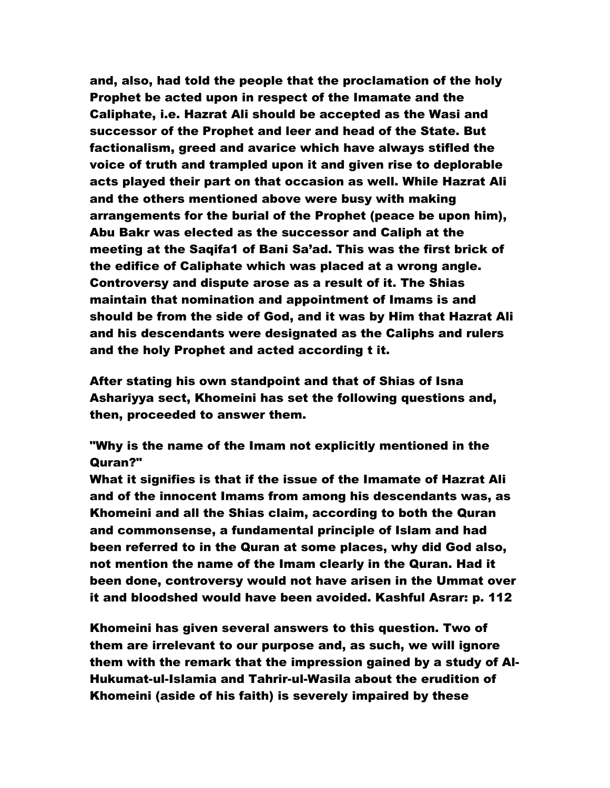and, also, had told the people that the proclamation of the holy Prophet be acted upon in respect of the Imamate and the Caliphate, i.e. Hazrat Ali should be accepted as the Wasi and successor of the Prophet and leer and head of the State. But factionalism, greed and avarice which have always stifled the voice of truth and trampled upon it and given rise to deplorable acts played their part on that occasion as well. While Hazrat Ali and the others mentioned above were busy with making arrangements for the burial of the Prophet (peace be upon him), Abu Bakr was elected as the successor and Caliph at the meeting at the Saqifa1 of Bani Sa'ad. This was the first brick of the edifice of Caliphate which was placed at a wrong angle. Controversy and dispute arose as a result of it. The Shias maintain that nomination and appointment of Imams is and should be from the side of God, and it was by Him that Hazrat Ali and his descendants were designated as the Caliphs and rulers and the holy Prophet and acted according t it.

After stating his own standpoint and that of Shias of Isna Ashariyya sect, Khomeini has set the following questions and, then, proceeded to answer them.

"Why is the name of the Imam not explicitly mentioned in the Quran?"

What it signifies is that if the issue of the Imamate of Hazrat Ali and of the innocent Imams from among his descendants was, as Khomeini and all the Shias claim, according to both the Quran and commonsense, a fundamental principle of Islam and had been referred to in the Quran at some places, why did God also, not mention the name of the Imam clearly in the Quran. Had it been done, controversy would not have arisen in the Ummat over it and bloodshed would have been avoided. Kashful Asrar: p. 112

Khomeini has given several answers to this question. Two of them are irrelevant to our purpose and, as such, we will ignore them with the remark that the impression gained by a study of Al-Hukumat-ul-Islamia and Tahrir-ul-Wasila about the erudition of Khomeini (aside of his faith) is severely impaired by these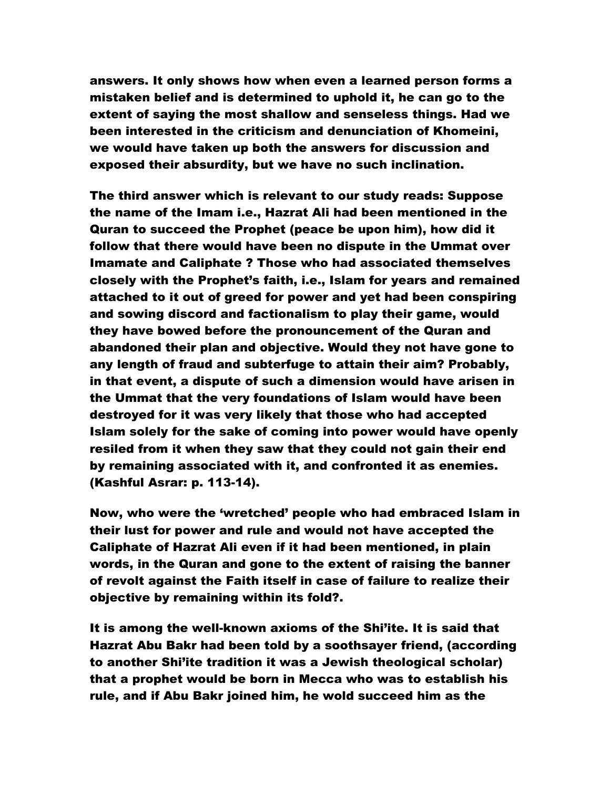answers. It only shows how when even a learned person forms a mistaken belief and is determined to uphold it, he can go to the extent of saying the most shallow and senseless things. Had we been interested in the criticism and denunciation of Khomeini, we would have taken up both the answers for discussion and exposed their absurdity, but we have no such inclination.

The third answer which is relevant to our study reads: Suppose the name of the Imam i.e., Hazrat Ali had been mentioned in the Quran to succeed the Prophet (peace be upon him), how did it follow that there would have been no dispute in the Ummat over Imamate and Caliphate ? Those who had associated themselves closely with the Prophet's faith, i.e., Islam for years and remained attached to it out of greed for power and yet had been conspiring and sowing discord and factionalism to play their game, would they have bowed before the pronouncement of the Quran and abandoned their plan and objective. Would they not have gone to any length of fraud and subterfuge to attain their aim? Probably, in that event, a dispute of such a dimension would have arisen in the Ummat that the very foundations of Islam would have been destroyed for it was very likely that those who had accepted Islam solely for the sake of coming into power would have openly resiled from it when they saw that they could not gain their end by remaining associated with it, and confronted it as enemies. (Kashful Asrar: p. 113-14).

Now, who were the 'wretched' people who had embraced Islam in their lust for power and rule and would not have accepted the Caliphate of Hazrat Ali even if it had been mentioned, in plain words, in the Quran and gone to the extent of raising the banner of revolt against the Faith itself in case of failure to realize their objective by remaining within its fold?.

It is among the well-known axioms of the Shi'ite. It is said that Hazrat Abu Bakr had been told by a soothsayer friend, (according to another Shi'ite tradition it was a Jewish theological scholar) that a prophet would be born in Mecca who was to establish his rule, and if Abu Bakr joined him, he wold succeed him as the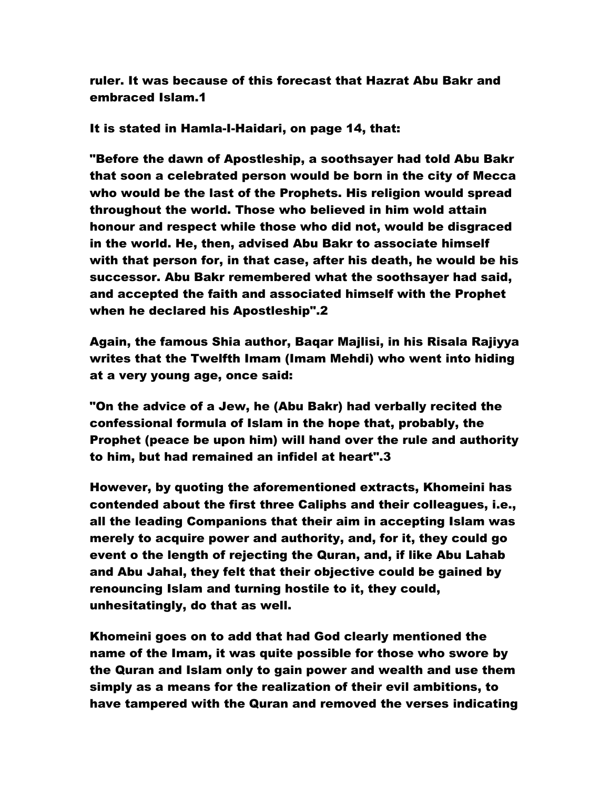ruler. It was because of this forecast that Hazrat Abu Bakr and embraced Islam.1

It is stated in Hamla-I-Haidari, on page 14, that:

"Before the dawn of Apostleship, a soothsayer had told Abu Bakr that soon a celebrated person would be born in the city of Mecca who would be the last of the Prophets. His religion would spread throughout the world. Those who believed in him wold attain honour and respect while those who did not, would be disgraced in the world. He, then, advised Abu Bakr to associate himself with that person for, in that case, after his death, he would be his successor. Abu Bakr remembered what the soothsayer had said, and accepted the faith and associated himself with the Prophet when he declared his Apostleship".2

Again, the famous Shia author, Baqar Majlisi, in his Risala Rajiyya writes that the Twelfth Imam (Imam Mehdi) who went into hiding at a very young age, once said:

"On the advice of a Jew, he (Abu Bakr) had verbally recited the confessional formula of Islam in the hope that, probably, the Prophet (peace be upon him) will hand over the rule and authority to him, but had remained an infidel at heart".3

However, by quoting the aforementioned extracts, Khomeini has contended about the first three Caliphs and their colleagues, i.e., all the leading Companions that their aim in accepting Islam was merely to acquire power and authority, and, for it, they could go event o the length of rejecting the Quran, and, if like Abu Lahab and Abu Jahal, they felt that their objective could be gained by renouncing Islam and turning hostile to it, they could, unhesitatingly, do that as well.

Khomeini goes on to add that had God clearly mentioned the name of the Imam, it was quite possible for those who swore by the Quran and Islam only to gain power and wealth and use them simply as a means for the realization of their evil ambitions, to have tampered with the Quran and removed the verses indicating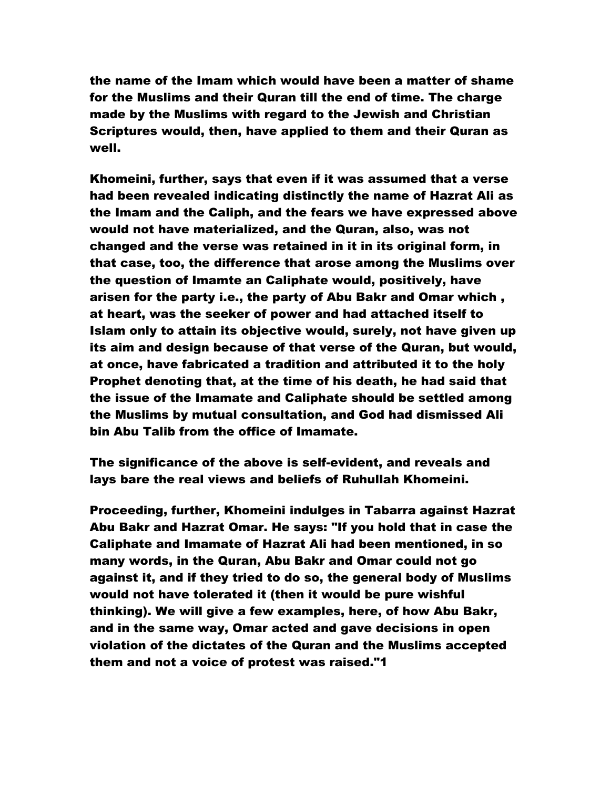the name of the Imam which would have been a matter of shame for the Muslims and their Quran till the end of time. The charge made by the Muslims with regard to the Jewish and Christian Scriptures would, then, have applied to them and their Quran as well.

Khomeini, further, says that even if it was assumed that a verse had been revealed indicating distinctly the name of Hazrat Ali as the Imam and the Caliph, and the fears we have expressed above would not have materialized, and the Quran, also, was not changed and the verse was retained in it in its original form, in that case, too, the difference that arose among the Muslims over the question of Imamte an Caliphate would, positively, have arisen for the party i.e., the party of Abu Bakr and Omar which , at heart, was the seeker of power and had attached itself to Islam only to attain its objective would, surely, not have given up its aim and design because of that verse of the Quran, but would, at once, have fabricated a tradition and attributed it to the holy Prophet denoting that, at the time of his death, he had said that the issue of the Imamate and Caliphate should be settled among the Muslims by mutual consultation, and God had dismissed Ali bin Abu Talib from the office of Imamate.

The significance of the above is self-evident, and reveals and lays bare the real views and beliefs of Ruhullah Khomeini.

Proceeding, further, Khomeini indulges in Tabarra against Hazrat Abu Bakr and Hazrat Omar. He says: "If you hold that in case the Caliphate and Imamate of Hazrat Ali had been mentioned, in so many words, in the Quran, Abu Bakr and Omar could not go against it, and if they tried to do so, the general body of Muslims would not have tolerated it (then it would be pure wishful thinking). We will give a few examples, here, of how Abu Bakr, and in the same way, Omar acted and gave decisions in open violation of the dictates of the Quran and the Muslims accepted them and not a voice of protest was raised."1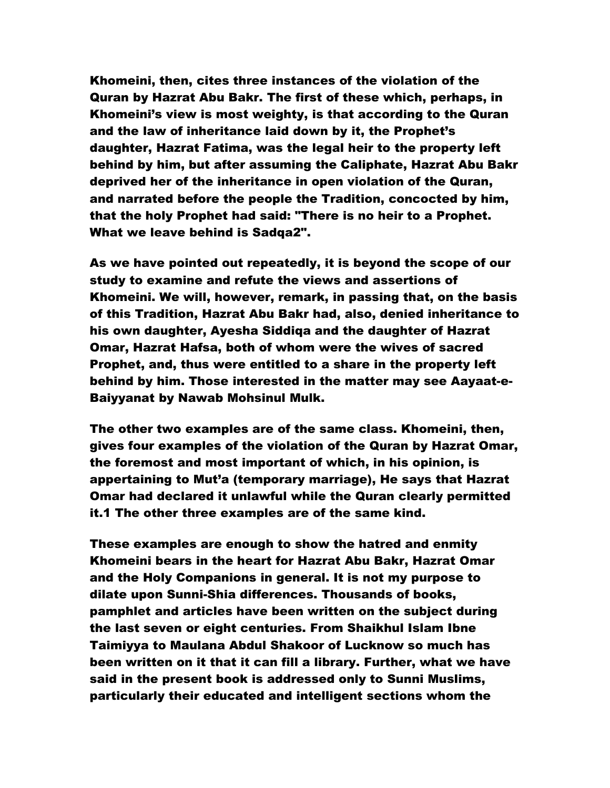Khomeini, then, cites three instances of the violation of the Quran by Hazrat Abu Bakr. The first of these which, perhaps, in Khomeini's view is most weighty, is that according to the Quran and the law of inheritance laid down by it, the Prophet's daughter, Hazrat Fatima, was the legal heir to the property left behind by him, but after assuming the Caliphate, Hazrat Abu Bakr deprived her of the inheritance in open violation of the Quran, and narrated before the people the Tradition, concocted by him, that the holy Prophet had said: "There is no heir to a Prophet. What we leave behind is Sadqa2".

As we have pointed out repeatedly, it is beyond the scope of our study to examine and refute the views and assertions of Khomeini. We will, however, remark, in passing that, on the basis of this Tradition, Hazrat Abu Bakr had, also, denied inheritance to his own daughter, Ayesha Siddiqa and the daughter of Hazrat Omar, Hazrat Hafsa, both of whom were the wives of sacred Prophet, and, thus were entitled to a share in the property left behind by him. Those interested in the matter may see Aayaat-e-Baiyyanat by Nawab Mohsinul Mulk.

The other two examples are of the same class. Khomeini, then, gives four examples of the violation of the Quran by Hazrat Omar, the foremost and most important of which, in his opinion, is appertaining to Mut'a (temporary marriage), He says that Hazrat Omar had declared it unlawful while the Quran clearly permitted it.1 The other three examples are of the same kind.

These examples are enough to show the hatred and enmity Khomeini bears in the heart for Hazrat Abu Bakr, Hazrat Omar and the Holy Companions in general. It is not my purpose to dilate upon Sunni-Shia differences. Thousands of books, pamphlet and articles have been written on the subject during the last seven or eight centuries. From Shaikhul Islam Ibne Taimiyya to Maulana Abdul Shakoor of Lucknow so much has been written on it that it can fill a library. Further, what we have said in the present book is addressed only to Sunni Muslims, particularly their educated and intelligent sections whom the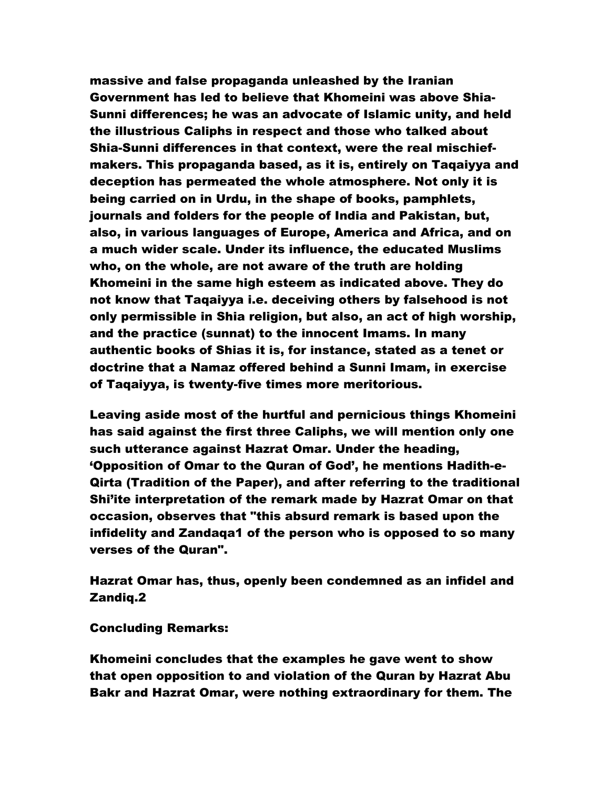massive and false propaganda unleashed by the Iranian Government has led to believe that Khomeini was above Shia-Sunni differences; he was an advocate of Islamic unity, and held the illustrious Caliphs in respect and those who talked about Shia-Sunni differences in that context, were the real mischiefmakers. This propaganda based, as it is, entirely on Taqaiyya and deception has permeated the whole atmosphere. Not only it is being carried on in Urdu, in the shape of books, pamphlets, journals and folders for the people of India and Pakistan, but, also, in various languages of Europe, America and Africa, and on a much wider scale. Under its influence, the educated Muslims who, on the whole, are not aware of the truth are holding Khomeini in the same high esteem as indicated above. They do not know that Taqaiyya i.e. deceiving others by falsehood is not only permissible in Shia religion, but also, an act of high worship, and the practice (sunnat) to the innocent Imams. In many authentic books of Shias it is, for instance, stated as a tenet or doctrine that a Namaz offered behind a Sunni Imam, in exercise of Taqaiyya, is twenty-five times more meritorious.

Leaving aside most of the hurtful and pernicious things Khomeini has said against the first three Caliphs, we will mention only one such utterance against Hazrat Omar. Under the heading, 'Opposition of Omar to the Quran of God', he mentions Hadith-e-Qirta (Tradition of the Paper), and after referring to the traditional Shi'ite interpretation of the remark made by Hazrat Omar on that occasion, observes that "this absurd remark is based upon the infidelity and Zandaqa1 of the person who is opposed to so many verses of the Quran".

Hazrat Omar has, thus, openly been condemned as an infidel and Zandiq.2

Concluding Remarks:

Khomeini concludes that the examples he gave went to show that open opposition to and violation of the Quran by Hazrat Abu Bakr and Hazrat Omar, were nothing extraordinary for them. The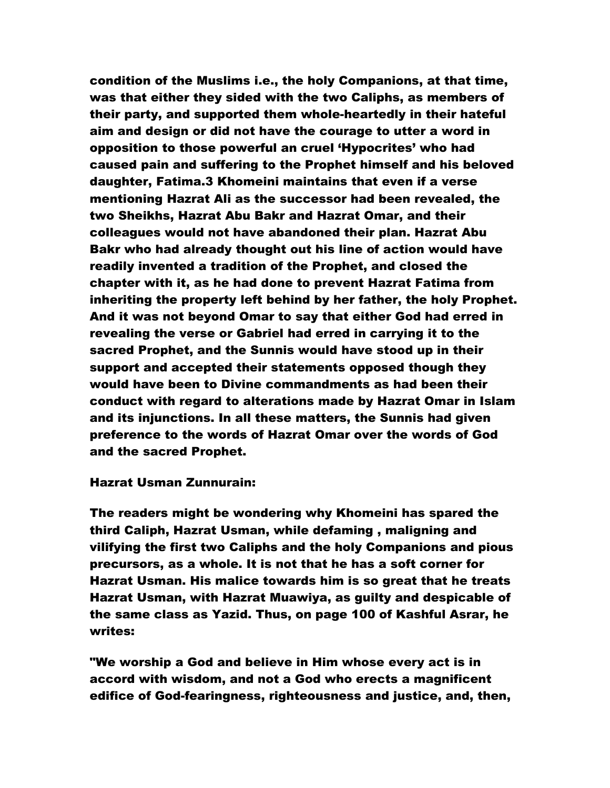condition of the Muslims i.e., the holy Companions, at that time, was that either they sided with the two Caliphs, as members of their party, and supported them whole-heartedly in their hateful aim and design or did not have the courage to utter a word in opposition to those powerful an cruel 'Hypocrites' who had caused pain and suffering to the Prophet himself and his beloved daughter, Fatima.3 Khomeini maintains that even if a verse mentioning Hazrat Ali as the successor had been revealed, the two Sheikhs, Hazrat Abu Bakr and Hazrat Omar, and their colleagues would not have abandoned their plan. Hazrat Abu Bakr who had already thought out his line of action would have readily invented a tradition of the Prophet, and closed the chapter with it, as he had done to prevent Hazrat Fatima from inheriting the property left behind by her father, the holy Prophet. And it was not beyond Omar to say that either God had erred in revealing the verse or Gabriel had erred in carrying it to the sacred Prophet, and the Sunnis would have stood up in their support and accepted their statements opposed though they would have been to Divine commandments as had been their conduct with regard to alterations made by Hazrat Omar in Islam and its injunctions. In all these matters, the Sunnis had given preference to the words of Hazrat Omar over the words of God and the sacred Prophet.

### Hazrat Usman Zunnurain:

The readers might be wondering why Khomeini has spared the third Caliph, Hazrat Usman, while defaming , maligning and vilifying the first two Caliphs and the holy Companions and pious precursors, as a whole. It is not that he has a soft corner for Hazrat Usman. His malice towards him is so great that he treats Hazrat Usman, with Hazrat Muawiya, as guilty and despicable of the same class as Yazid. Thus, on page 100 of Kashful Asrar, he writes:

"We worship a God and believe in Him whose every act is in accord with wisdom, and not a God who erects a magnificent edifice of God-fearingness, righteousness and justice, and, then,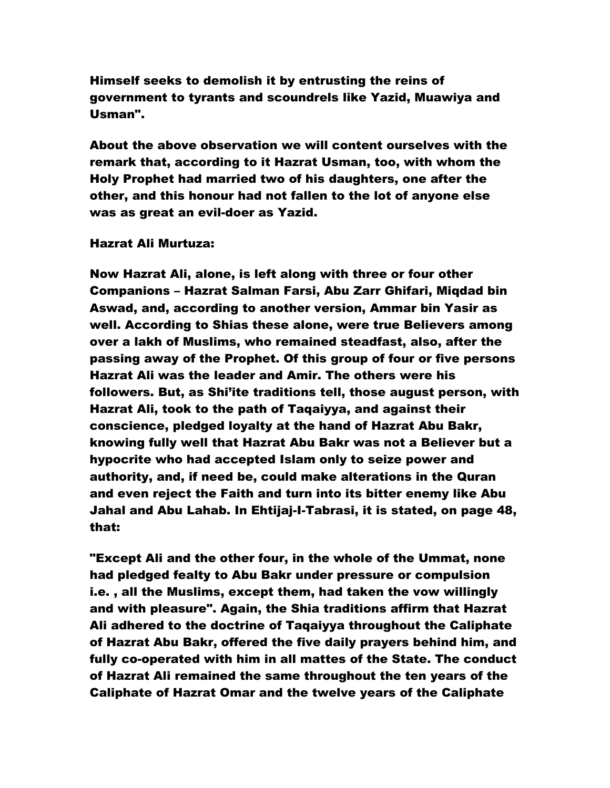Himself seeks to demolish it by entrusting the reins of government to tyrants and scoundrels like Yazid, Muawiya and Usman".

About the above observation we will content ourselves with the remark that, according to it Hazrat Usman, too, with whom the Holy Prophet had married two of his daughters, one after the other, and this honour had not fallen to the lot of anyone else was as great an evil-doer as Yazid.

### Hazrat Ali Murtuza:

Now Hazrat Ali, alone, is left along with three or four other Companions – Hazrat Salman Farsi, Abu Zarr Ghifari, Miqdad bin Aswad, and, according to another version, Ammar bin Yasir as well. According to Shias these alone, were true Believers among over a lakh of Muslims, who remained steadfast, also, after the passing away of the Prophet. Of this group of four or five persons Hazrat Ali was the leader and Amir. The others were his followers. But, as Shi'ite traditions tell, those august person, with Hazrat Ali, took to the path of Taqaiyya, and against their conscience, pledged loyalty at the hand of Hazrat Abu Bakr, knowing fully well that Hazrat Abu Bakr was not a Believer but a hypocrite who had accepted Islam only to seize power and authority, and, if need be, could make alterations in the Quran and even reject the Faith and turn into its bitter enemy like Abu Jahal and Abu Lahab. In Ehtijaj-I-Tabrasi, it is stated, on page 48, that:

"Except Ali and the other four, in the whole of the Ummat, none had pledged fealty to Abu Bakr under pressure or compulsion i.e. , all the Muslims, except them, had taken the vow willingly and with pleasure". Again, the Shia traditions affirm that Hazrat Ali adhered to the doctrine of Taqaiyya throughout the Caliphate of Hazrat Abu Bakr, offered the five daily prayers behind him, and fully co-operated with him in all mattes of the State. The conduct of Hazrat Ali remained the same throughout the ten years of the Caliphate of Hazrat Omar and the twelve years of the Caliphate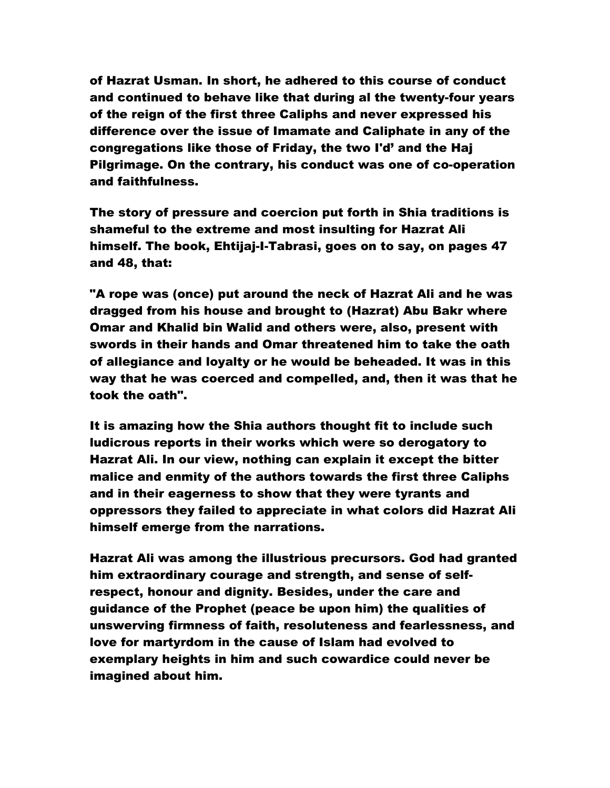of Hazrat Usman. In short, he adhered to this course of conduct and continued to behave like that during al the twenty-four years of the reign of the first three Caliphs and never expressed his difference over the issue of Imamate and Caliphate in any of the congregations like those of Friday, the two I'd' and the Haj Pilgrimage. On the contrary, his conduct was one of co-operation and faithfulness.

The story of pressure and coercion put forth in Shia traditions is shameful to the extreme and most insulting for Hazrat Ali himself. The book, Ehtijaj-I-Tabrasi, goes on to say, on pages 47 and 48, that:

"A rope was (once) put around the neck of Hazrat Ali and he was dragged from his house and brought to (Hazrat) Abu Bakr where Omar and Khalid bin Walid and others were, also, present with swords in their hands and Omar threatened him to take the oath of allegiance and loyalty or he would be beheaded. It was in this way that he was coerced and compelled, and, then it was that he took the oath".

It is amazing how the Shia authors thought fit to include such ludicrous reports in their works which were so derogatory to Hazrat Ali. In our view, nothing can explain it except the bitter malice and enmity of the authors towards the first three Caliphs and in their eagerness to show that they were tyrants and oppressors they failed to appreciate in what colors did Hazrat Ali himself emerge from the narrations.

Hazrat Ali was among the illustrious precursors. God had granted him extraordinary courage and strength, and sense of selfrespect, honour and dignity. Besides, under the care and guidance of the Prophet (peace be upon him) the qualities of unswerving firmness of faith, resoluteness and fearlessness, and love for martyrdom in the cause of Islam had evolved to exemplary heights in him and such cowardice could never be imagined about him.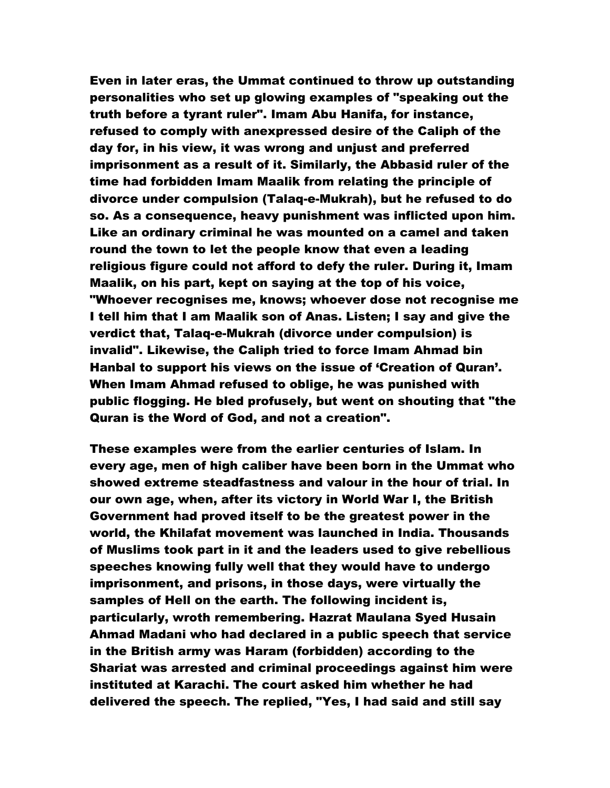Even in later eras, the Ummat continued to throw up outstanding personalities who set up glowing examples of "speaking out the truth before a tyrant ruler". Imam Abu Hanifa, for instance, refused to comply with anexpressed desire of the Caliph of the day for, in his view, it was wrong and unjust and preferred imprisonment as a result of it. Similarly, the Abbasid ruler of the time had forbidden Imam Maalik from relating the principle of divorce under compulsion (Talaq-e-Mukrah), but he refused to do so. As a consequence, heavy punishment was inflicted upon him. Like an ordinary criminal he was mounted on a camel and taken round the town to let the people know that even a leading religious figure could not afford to defy the ruler. During it, Imam Maalik, on his part, kept on saying at the top of his voice, "Whoever recognises me, knows; whoever dose not recognise me I tell him that I am Maalik son of Anas. Listen; I say and give the verdict that, Talaq-e-Mukrah (divorce under compulsion) is invalid". Likewise, the Caliph tried to force Imam Ahmad bin Hanbal to support his views on the issue of 'Creation of Quran'. When Imam Ahmad refused to oblige, he was punished with public flogging. He bled profusely, but went on shouting that "the Quran is the Word of God, and not a creation".

These examples were from the earlier centuries of Islam. In every age, men of high caliber have been born in the Ummat who showed extreme steadfastness and valour in the hour of trial. In our own age, when, after its victory in World War I, the British Government had proved itself to be the greatest power in the world, the Khilafat movement was launched in India. Thousands of Muslims took part in it and the leaders used to give rebellious speeches knowing fully well that they would have to undergo imprisonment, and prisons, in those days, were virtually the samples of Hell on the earth. The following incident is, particularly, wroth remembering. Hazrat Maulana Syed Husain Ahmad Madani who had declared in a public speech that service in the British army was Haram (forbidden) according to the Shariat was arrested and criminal proceedings against him were instituted at Karachi. The court asked him whether he had delivered the speech. The replied, "Yes, I had said and still say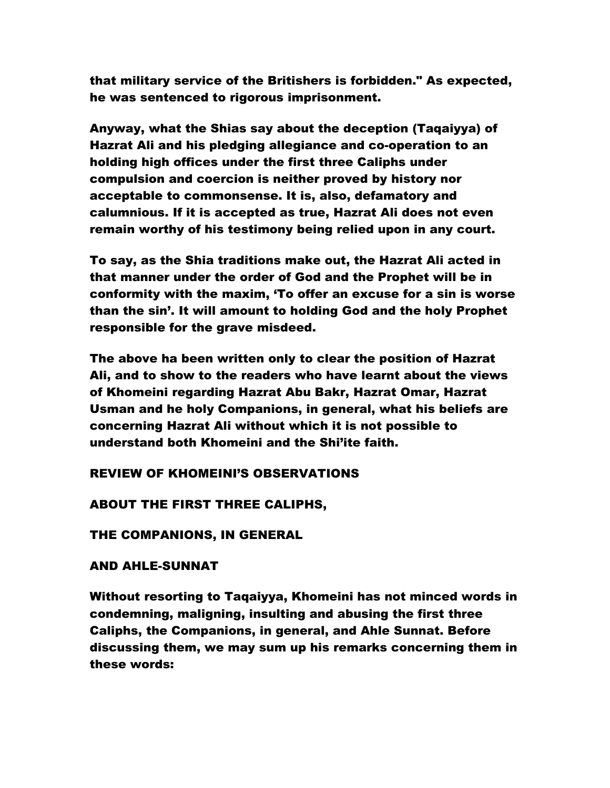that military service of the Britishers is forbidden." As expected, he was sentenced to rigorous imprisonment.

Anyway, what the Shias say about the deception (Taqaiyya) of Hazrat Ali and his pledging allegiance and co-operation to an holding high offices under the first three Caliphs under compulsion and coercion is neither proved by history nor acceptable to commonsense. It is, also, defamatory and calumnious. If it is accepted as true, Hazrat Ali does not even remain worthy of his testimony being relied upon in any court.

To say, as the Shia traditions make out, the Hazrat Ali acted in that manner under the order of God and the Prophet will be in conformity with the maxim, 'To offer an excuse for a sin is worse than the sin'. It will amount to holding God and the holy Prophet responsible for the grave misdeed.

The above ha been written only to clear the position of Hazrat Ali, and to show to the readers who have learnt about the views of Khomeini regarding Hazrat Abu Bakr, Hazrat Omar, Hazrat Usman and he holy Companions, in general, what his beliefs are concerning Hazrat Ali without which it is not possible to understand both Khomeini and the Shi'ite faith.

REVIEW OF KHOMEINI'S OBSERVATIONS

ABOUT THE FIRST THREE CALIPHS,

THE COMPANIONS, IN GENERAL

### AND AHLE-SUNNAT

Without resorting to Taqaiyya, Khomeini has not minced words in condemning, maligning, insulting and abusing the first three Caliphs, the Companions, in general, and Ahle Sunnat. Before discussing them, we may sum up his remarks concerning them in these words: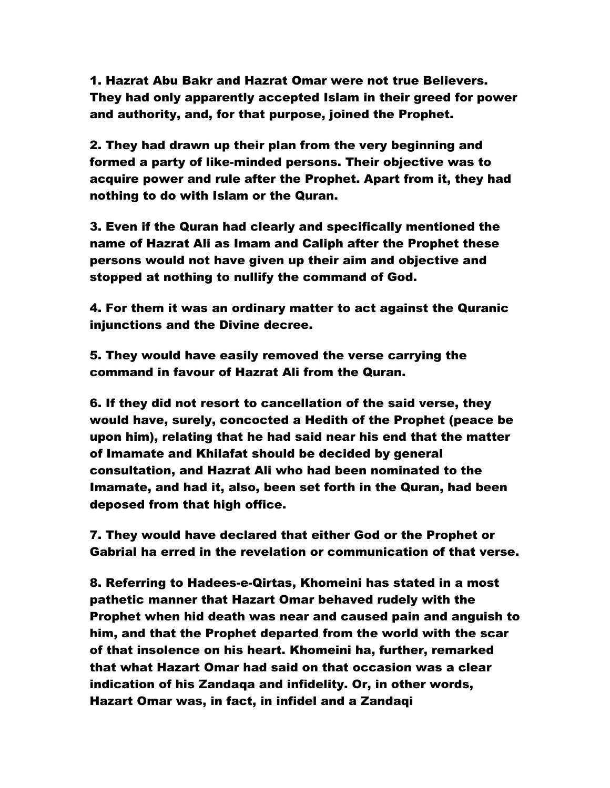1. Hazrat Abu Bakr and Hazrat Omar were not true Believers. They had only apparently accepted Islam in their greed for power and authority, and, for that purpose, joined the Prophet.

2. They had drawn up their plan from the very beginning and formed a party of like-minded persons. Their objective was to acquire power and rule after the Prophet. Apart from it, they had nothing to do with Islam or the Quran.

3. Even if the Quran had clearly and specifically mentioned the name of Hazrat Ali as Imam and Caliph after the Prophet these persons would not have given up their aim and objective and stopped at nothing to nullify the command of God.

4. For them it was an ordinary matter to act against the Quranic iniunctions and the Divine decree.

5. They would have easily removed the verse carrying the command in favour of Hazrat Ali from the Quran.

6. If they did not resort to cancellation of the said verse, they would have, surely, concocted a Hedith of the Prophet (peace be upon him), relating that he had said near his end that the matter of Imamate and Khilafat should be decided by general consultation, and Hazrat Ali who had been nominated to the Imamate, and had it, also, been set forth in the Quran, had been deposed from that high office.

7. They would have declared that either God or the Prophet or Gabrial ha erred in the revelation or communication of that verse.

8. Referring to Hadees-e-Qirtas, Khomeini has stated in a most pathetic manner that Hazart Omar behaved rudely with the Prophet when hid death was near and caused pain and anguish to him, and that the Prophet departed from the world with the scar of that insolence on his heart. Khomeini ha, further, remarked that what Hazart Omar had said on that occasion was a clear indication of his Zandaqa and infidelity. Or, in other words, Hazart Omar was, in fact, in infidel and a Zandaqi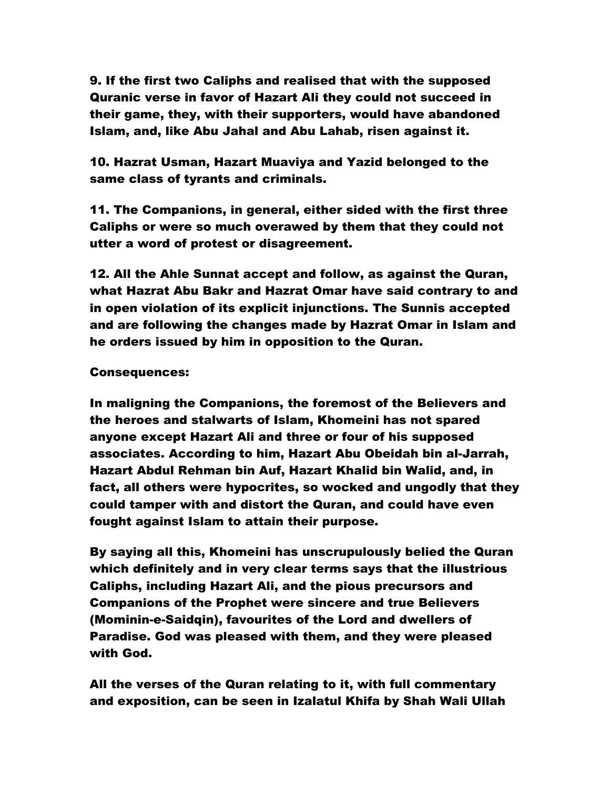9. If the first two Caliphs and realised that with the supposed Quranic verse in favor of Hazart Ali they could not succeed in their game, they, with their supporters, would have abandoned Islam, and, like Abu Jahal and Abu Lahab, risen against it.

10. Hazrat Usman, Hazart Muaviya and Yazid belonged to the same class of tyrants and criminals.

11. The Companions, in general, either sided with the first three Caliphs or were so much overawed by them that they could not utter a word of protest or disagreement.

12. All the Ahle Sunnat accept and follow, as against the Quran, what Hazrat Abu Bakr and Hazrat Omar have said contrary to and in open violation of its explicit injunctions. The Sunnis accepted and are following the changes made by Hazrat Omar in Islam and he orders issued by him in opposition to the Quran.

# Consequences:

In maligning the Companions, the foremost of the Believers and the heroes and stalwarts of Islam, Khomeini has not spared anyone except Hazart Ali and three or four of his supposed associates. According to him, Hazart Abu Obeidah bin al-Jarrah, Hazart Abdul Rehman bin Auf, Hazart Khalid bin Walid, and, in fact, all others were hypocrites, so wocked and ungodly that they could tamper with and distort the Quran, and could have even fought against Islam to attain their purpose.

By saying all this, Khomeini has unscrupulously belied the Quran which definitely and in very clear terms says that the illustrious Caliphs, including Hazart Ali, and the pious precursors and Companions of the Prophet were sincere and true Believers (Mominin-e-Saidqin), favourites of the Lord and dwellers of Paradise. God was pleased with them, and they were pleased with God.

All the verses of the Quran relating to it, with full commentary and exposition, can be seen in Izalatul Khifa by Shah Wali Ullah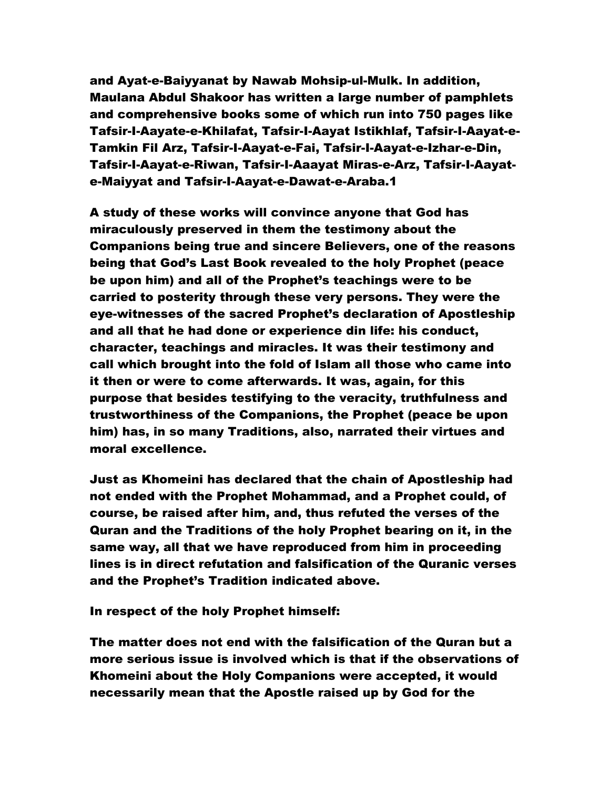and Ayat-e-Baiyyanat by Nawab Mohsip-ul-Mulk. In addition, Maulana Abdul Shakoor has written a large number of pamphlets and comprehensive books some of which run into 750 pages like Tafsir-I-Aayate-e-Khilafat, Tafsir-I-Aayat Istikhlaf, Tafsir-I-Aayat-e-Tamkin Fil Arz, Tafsir-I-Aayat-e-Fai, Tafsir-I-Aayat-e-Izhar-e-Din, Tafsir-I-Aayat-e-Riwan, Tafsir-I-Aaayat Miras-e-Arz, Tafsir-I-Aayate-Maiyyat and Tafsir-I-Aayat-e-Dawat-e-Araba.1

A study of these works will convince anyone that God has miraculously preserved in them the testimony about the Companions being true and sincere Believers, one of the reasons being that God's Last Book revealed to the holy Prophet (peace be upon him) and all of the Prophet's teachings were to be carried to posterity through these very persons. They were the eye-witnesses of the sacred Prophet's declaration of Apostleship and all that he had done or experience din life: his conduct, character, teachings and miracles. It was their testimony and call which brought into the fold of Islam all those who came into it then or were to come afterwards. It was, again, for this purpose that besides testifying to the veracity, truthfulness and trustworthiness of the Companions, the Prophet (peace be upon him) has, in so many Traditions, also, narrated their virtues and moral excellence.

Just as Khomeini has declared that the chain of Apostleship had not ended with the Prophet Mohammad, and a Prophet could, of course, be raised after him, and, thus refuted the verses of the Quran and the Traditions of the holy Prophet bearing on it, in the same way, all that we have reproduced from him in proceeding lines is in direct refutation and falsification of the Quranic verses and the Prophet's Tradition indicated above.

In respect of the holy Prophet himself:

The matter does not end with the falsification of the Quran but a more serious issue is involved which is that if the observations of Khomeini about the Holy Companions were accepted, it would necessarily mean that the Apostle raised up by God for the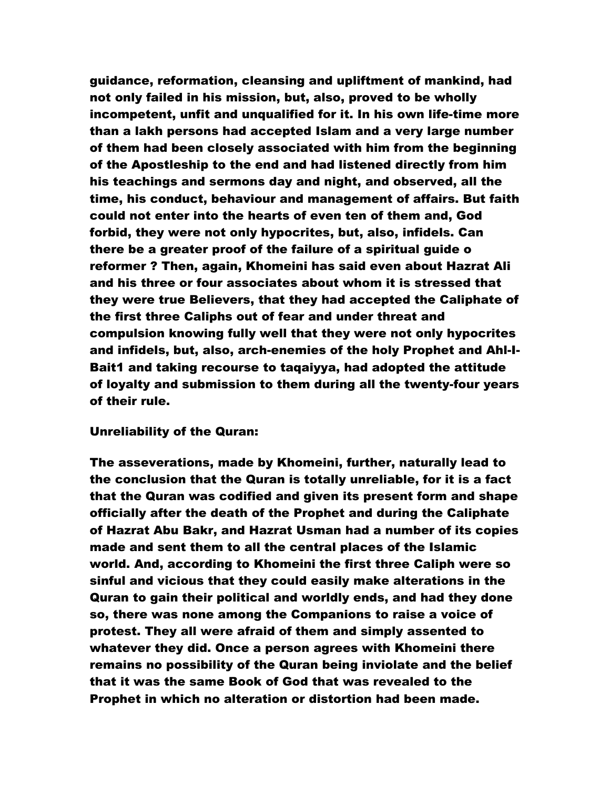guidance, reformation, cleansing and upliftment of mankind, had not only failed in his mission, but, also, proved to be wholly incompetent, unfit and unqualified for it. In his own life-time more than a lakh persons had accepted Islam and a very large number of them had been closely associated with him from the beginning of the Apostleship to the end and had listened directly from him his teachings and sermons day and night, and observed, all the time, his conduct, behaviour and management of affairs. But faith could not enter into the hearts of even ten of them and, God forbid, they were not only hypocrites, but, also, infidels. Can there be a greater proof of the failure of a spiritual guide o reformer ? Then, again, Khomeini has said even about Hazrat Ali and his three or four associates about whom it is stressed that they were true Believers, that they had accepted the Caliphate of the first three Caliphs out of fear and under threat and compulsion knowing fully well that they were not only hypocrites and infidels, but, also, arch-enemies of the holy Prophet and Ahl-I-Bait1 and taking recourse to taqaiyya, had adopted the attitude of loyalty and submission to them during all the twenty-four years of their rule.

### Unreliability of the Quran:

The asseverations, made by Khomeini, further, naturally lead to the conclusion that the Quran is totally unreliable, for it is a fact that the Quran was codified and given its present form and shape officially after the death of the Prophet and during the Caliphate of Hazrat Abu Bakr, and Hazrat Usman had a number of its copies made and sent them to all the central places of the Islamic world. And, according to Khomeini the first three Caliph were so sinful and vicious that they could easily make alterations in the Quran to gain their political and worldly ends, and had they done so, there was none among the Companions to raise a voice of protest. They all were afraid of them and simply assented to whatever they did. Once a person agrees with Khomeini there remains no possibility of the Quran being inviolate and the belief that it was the same Book of God that was revealed to the Prophet in which no alteration or distortion had been made.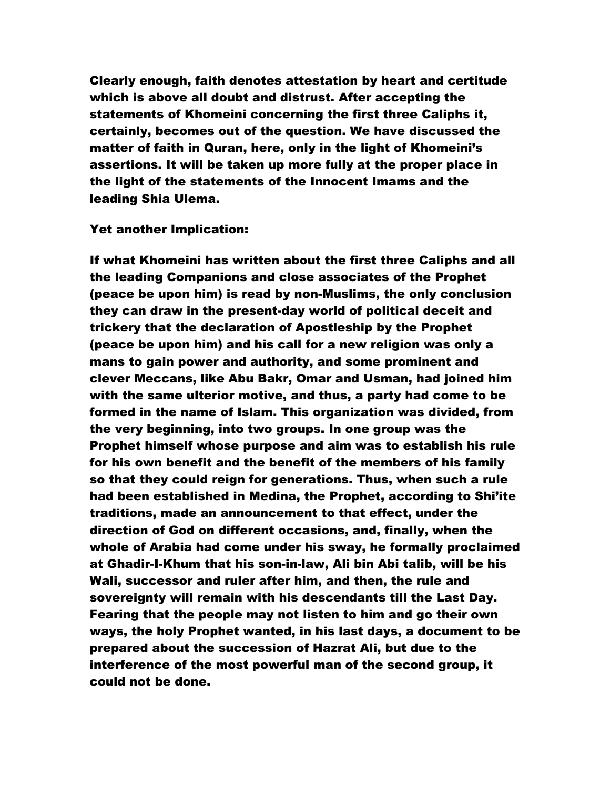Clearly enough, faith denotes attestation by heart and certitude which is above all doubt and distrust. After accepting the statements of Khomeini concerning the first three Caliphs it, certainly, becomes out of the question. We have discussed the matter of faith in Quran, here, only in the light of Khomeini's assertions. It will be taken up more fully at the proper place in the light of the statements of the Innocent Imams and the leading Shia Ulema.

### Yet another Implication:

If what Khomeini has written about the first three Caliphs and all the leading Companions and close associates of the Prophet (peace be upon him) is read by non-Muslims, the only conclusion they can draw in the present-day world of political deceit and trickery that the declaration of Apostleship by the Prophet (peace be upon him) and his call for a new religion was only a mans to gain power and authority, and some prominent and clever Meccans, like Abu Bakr, Omar and Usman, had joined him with the same ulterior motive, and thus, a party had come to be formed in the name of Islam. This organization was divided, from the very beginning, into two groups. In one group was the Prophet himself whose purpose and aim was to establish his rule for his own benefit and the benefit of the members of his family so that they could reign for generations. Thus, when such a rule had been established in Medina, the Prophet, according to Shi'ite traditions, made an announcement to that effect, under the direction of God on different occasions, and, finally, when the whole of Arabia had come under his sway, he formally proclaimed at Ghadir-I-Khum that his son-in-law, Ali bin Abi talib, will be his Wali, successor and ruler after him, and then, the rule and sovereignty will remain with his descendants till the Last Day. Fearing that the people may not listen to him and go their own ways, the holy Prophet wanted, in his last days, a document to be prepared about the succession of Hazrat Ali, but due to the interference of the most powerful man of the second group, it could not be done.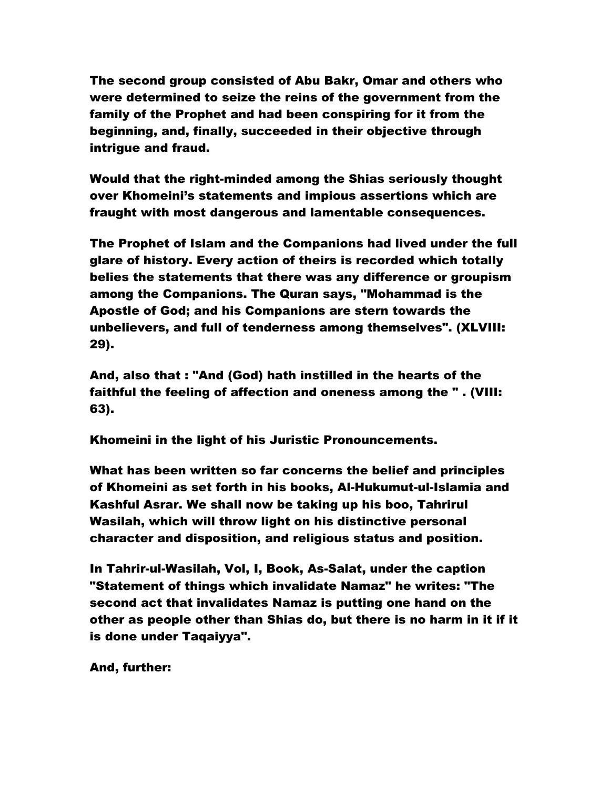The second group consisted of Abu Bakr, Omar and others who were determined to seize the reins of the government from the family of the Prophet and had been conspiring for it from the beginning, and, finally, succeeded in their objective through intrigue and fraud.

Would that the right-minded among the Shias seriously thought over Khomeini's statements and impious assertions which are fraught with most dangerous and lamentable consequences.

The Prophet of Islam and the Companions had lived under the full glare of history. Every action of theirs is recorded which totally belies the statements that there was any difference or groupism among the Companions. The Quran says, "Mohammad is the Apostle of God; and his Companions are stern towards the unbelievers, and full of tenderness among themselves". (XLVIII: 29).

And, also that : "And (God) hath instilled in the hearts of the faithful the feeling of affection and oneness among the " . (VIII: 63).

Khomeini in the light of his Juristic Pronouncements.

What has been written so far concerns the belief and principles of Khomeini as set forth in his books, Al-Hukumut-ul-Islamia and Kashful Asrar. We shall now be taking up his boo, Tahrirul Wasilah, which will throw light on his distinctive personal character and disposition, and religious status and position.

In Tahrir-ul-Wasilah, Vol, I, Book, As-Salat, under the caption "Statement of things which invalidate Namaz" he writes: "The second act that invalidates Namaz is putting one hand on the other as people other than Shias do, but there is no harm in it if it is done under Taqaiyya".

And, further: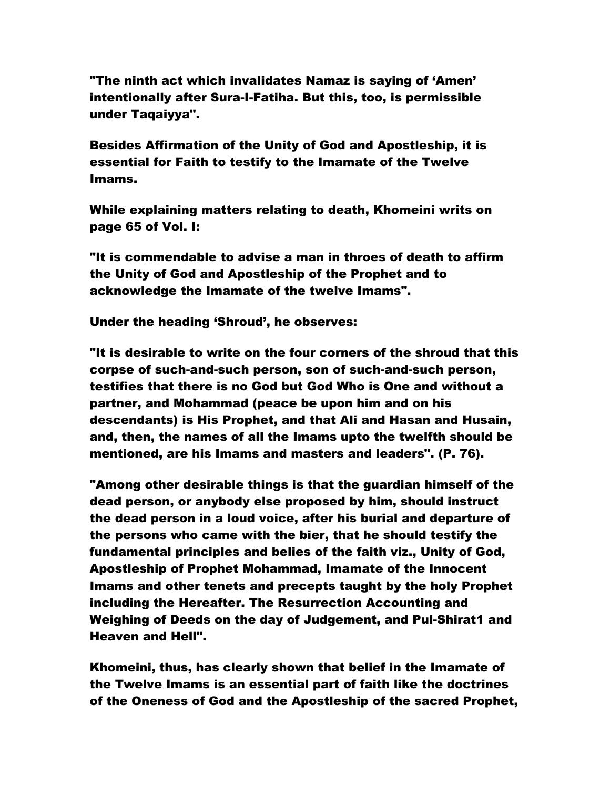"The ninth act which invalidates Namaz is saying of 'Amen' intentionally after Sura-I-Fatiha. But this, too, is permissible under Taqaiyya".

Besides Affirmation of the Unity of God and Apostleship, it is essential for Faith to testify to the Imamate of the Twelve Imams.

While explaining matters relating to death, Khomeini writs on page 65 of Vol. I:

"It is commendable to advise a man in throes of death to affirm the Unity of God and Apostleship of the Prophet and to acknowledge the Imamate of the twelve Imams".

Under the heading 'Shroud', he observes:

"It is desirable to write on the four corners of the shroud that this corpse of such-and-such person, son of such-and-such person, testifies that there is no God but God Who is One and without a partner, and Mohammad (peace be upon him and on his descendants) is His Prophet, and that Ali and Hasan and Husain, and, then, the names of all the Imams upto the twelfth should be mentioned, are his Imams and masters and leaders". (P. 76).

"Among other desirable things is that the guardian himself of the dead person, or anybody else proposed by him, should instruct the dead person in a loud voice, after his burial and departure of the persons who came with the bier, that he should testify the fundamental principles and belies of the faith viz., Unity of God, Apostleship of Prophet Mohammad, Imamate of the Innocent Imams and other tenets and precepts taught by the holy Prophet including the Hereafter. The Resurrection Accounting and Weighing of Deeds on the day of Judgement, and Pul-Shirat1 and Heaven and Hell".

Khomeini, thus, has clearly shown that belief in the Imamate of the Twelve Imams is an essential part of faith like the doctrines of the Oneness of God and the Apostleship of the sacred Prophet,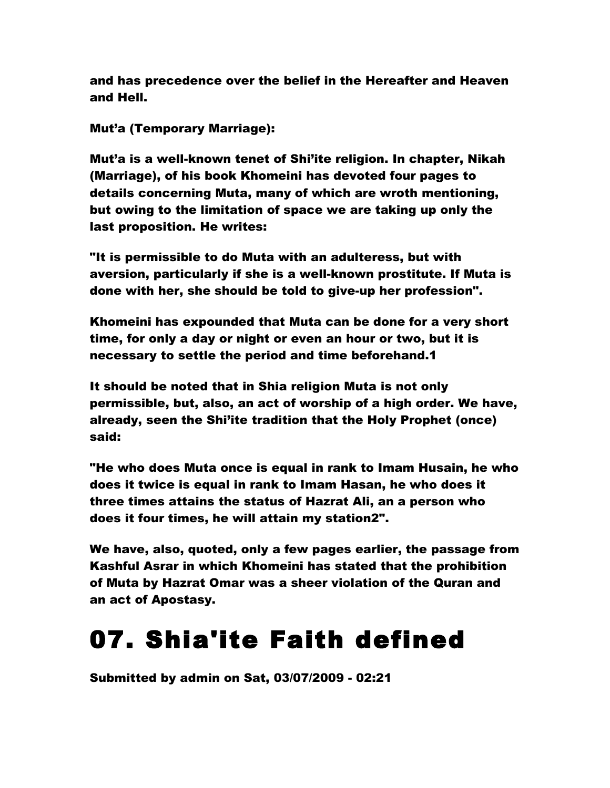and has precedence over the belief in the Hereafter and Heaven and Hell.

Mut'a (Temporary Marriage):

Mut'a is a well-known tenet of Shi'ite religion. In chapter, Nikah (Marriage), of his book Khomeini has devoted four pages to details concerning Muta, many of which are wroth mentioning, but owing to the limitation of space we are taking up only the last proposition. He writes:

"It is permissible to do Muta with an adulteress, but with aversion, particularly if she is a well-known prostitute. If Muta is done with her, she should be told to give-up her profession".

Khomeini has expounded that Muta can be done for a very short time, for only a day or night or even an hour or two, but it is necessary to settle the period and time beforehand.1

It should be noted that in Shia religion Muta is not only permissible, but, also, an act of worship of a high order. We have, already, seen the Shi'ite tradition that the Holy Prophet (once) said:

"He who does Muta once is equal in rank to Imam Husain, he who does it twice is equal in rank to Imam Hasan, he who does it three times attains the status of Hazrat Ali, an a person who does it four times, he will attain my station2".

We have, also, quoted, only a few pages earlier, the passage from Kashful Asrar in which Khomeini has stated that the prohibition of Muta by Hazrat Omar was a sheer violation of the Quran and an act of Apostasy.

# 07. Shia'ite Faith defined

Submitted by admin on Sat, 03/07/2009 - 02:21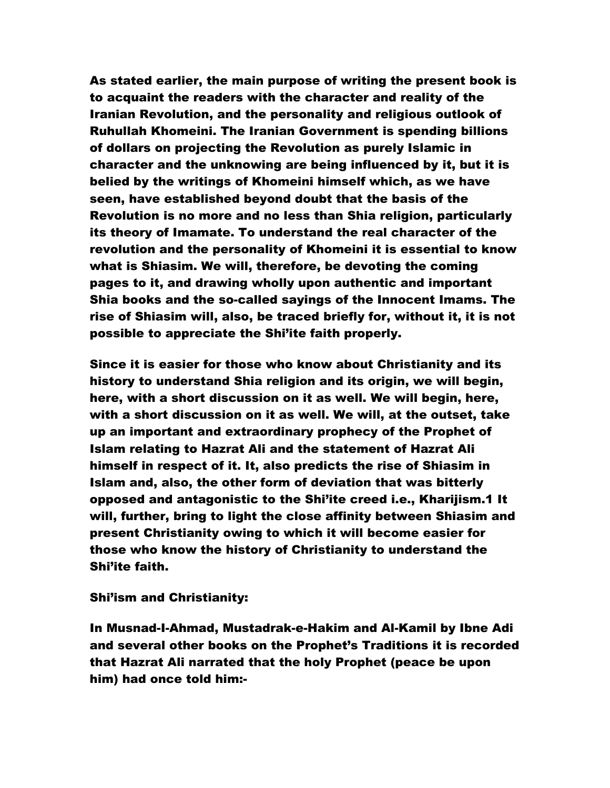As stated earlier, the main purpose of writing the present book is to acquaint the readers with the character and reality of the Iranian Revolution, and the personality and religious outlook of Ruhullah Khomeini. The Iranian Government is spending billions of dollars on projecting the Revolution as purely Islamic in character and the unknowing are being influenced by it, but it is belied by the writings of Khomeini himself which, as we have seen, have established beyond doubt that the basis of the Revolution is no more and no less than Shia religion, particularly its theory of Imamate. To understand the real character of the revolution and the personality of Khomeini it is essential to know what is Shiasim. We will, therefore, be devoting the coming pages to it, and drawing wholly upon authentic and important Shia books and the so-called sayings of the Innocent Imams. The rise of Shiasim will, also, be traced briefly for, without it, it is not possible to appreciate the Shi'ite faith properly.

Since it is easier for those who know about Christianity and its history to understand Shia religion and its origin, we will begin, here, with a short discussion on it as well. We will begin, here, with a short discussion on it as well. We will, at the outset, take up an important and extraordinary prophecy of the Prophet of Islam relating to Hazrat Ali and the statement of Hazrat Ali himself in respect of it. It, also predicts the rise of Shiasim in Islam and, also, the other form of deviation that was bitterly opposed and antagonistic to the Shi'ite creed i.e., Kharijism.1 It will, further, bring to light the close affinity between Shiasim and present Christianity owing to which it will become easier for those who know the history of Christianity to understand the Shi'ite faith.

Shi'ism and Christianity:

In Musnad-I-Ahmad, Mustadrak-e-Hakim and Al-Kamil by Ibne Adi and several other books on the Prophet's Traditions it is recorded that Hazrat Ali narrated that the holy Prophet (peace be upon him) had once told him:-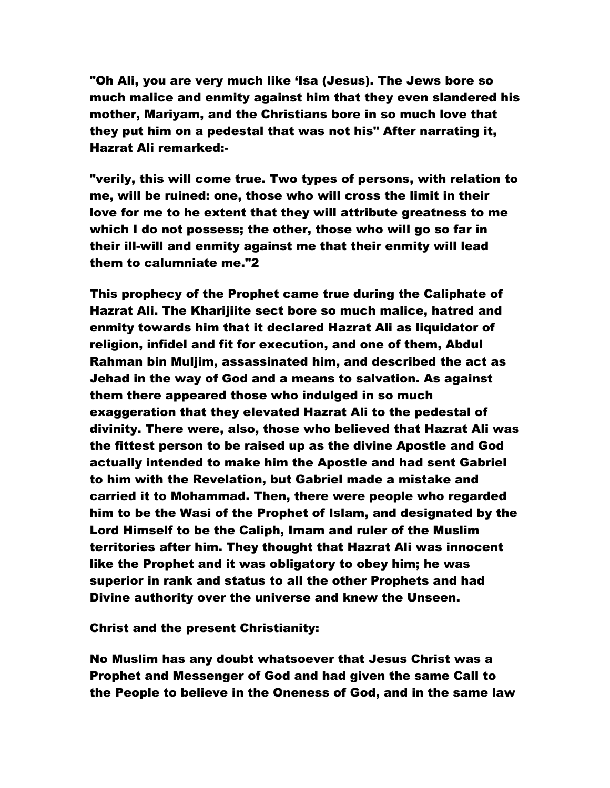"Oh Ali, you are very much like 'Isa (Jesus). The Jews bore so much malice and enmity against him that they even slandered his mother, Mariyam, and the Christians bore in so much love that they put him on a pedestal that was not his" After narrating it, Hazrat Ali remarked:-

"verily, this will come true. Two types of persons, with relation to me, will be ruined: one, those who will cross the limit in their love for me to he extent that they will attribute greatness to me which I do not possess; the other, those who will go so far in their ill-will and enmity against me that their enmity will lead them to calumniate me."2

This prophecy of the Prophet came true during the Caliphate of Hazrat Ali. The Kharijiite sect bore so much malice, hatred and enmity towards him that it declared Hazrat Ali as liquidator of religion, infidel and fit for execution, and one of them, Abdul Rahman bin Muljim, assassinated him, and described the act as Jehad in the way of God and a means to salvation. As against them there appeared those who indulged in so much exaggeration that they elevated Hazrat Ali to the pedestal of divinity. There were, also, those who believed that Hazrat Ali was the fittest person to be raised up as the divine Apostle and God actually intended to make him the Apostle and had sent Gabriel to him with the Revelation, but Gabriel made a mistake and carried it to Mohammad. Then, there were people who regarded him to be the Wasi of the Prophet of Islam, and designated by the Lord Himself to be the Caliph, Imam and ruler of the Muslim territories after him. They thought that Hazrat Ali was innocent like the Prophet and it was obligatory to obey him; he was superior in rank and status to all the other Prophets and had Divine authority over the universe and knew the Unseen.

Christ and the present Christianity:

No Muslim has any doubt whatsoever that Jesus Christ was a Prophet and Messenger of God and had given the same Call to the People to believe in the Oneness of God, and in the same law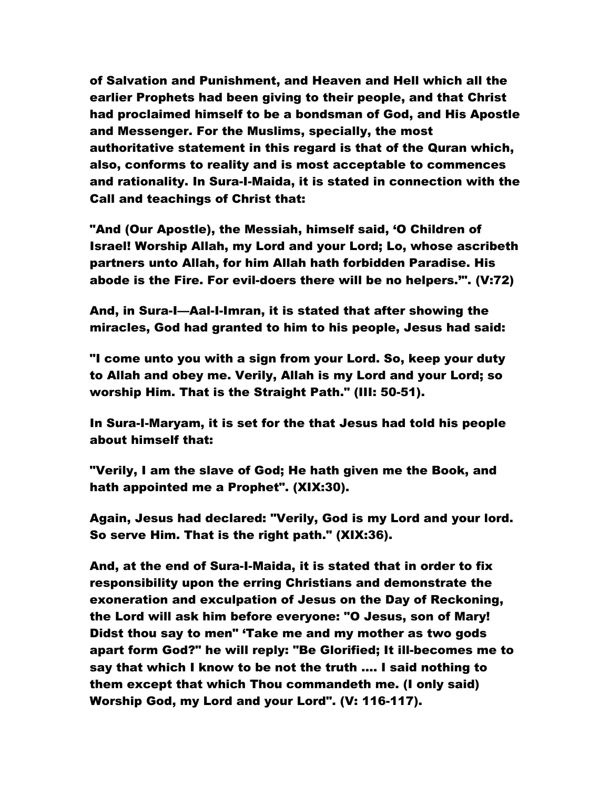of Salvation and Punishment, and Heaven and Hell which all the earlier Prophets had been giving to their people, and that Christ had proclaimed himself to be a bondsman of God, and His Apostle and Messenger. For the Muslims, specially, the most authoritative statement in this regard is that of the Quran which, also, conforms to reality and is most acceptable to commences and rationality. In Sura-I-Maida, it is stated in connection with the Call and teachings of Christ that:

"And (Our Apostle), the Messiah, himself said, 'O Children of Israel! Worship Allah, my Lord and your Lord; Lo, whose ascribeth partners unto Allah, for him Allah hath forbidden Paradise. His abode is the Fire. For evil-doers there will be no helpers.'". (V:72)

And, in Sura-I—Aal-I-Imran, it is stated that after showing the miracles, God had granted to him to his people, Jesus had said:

"I come unto you with a sign from your Lord. So, keep your duty to Allah and obey me. Verily, Allah is my Lord and your Lord; so worship Him. That is the Straight Path." (III: 50-51).

In Sura-I-Maryam, it is set for the that Jesus had told his people about himself that:

"Verily, I am the slave of God; He hath given me the Book, and hath appointed me a Prophet". (XIX:30).

Again, Jesus had declared: "Verily, God is my Lord and your lord. So serve Him. That is the right path." (XIX:36).

And, at the end of Sura-I-Maida, it is stated that in order to fix responsibility upon the erring Christians and demonstrate the exoneration and exculpation of Jesus on the Day of Reckoning, the Lord will ask him before everyone: "O Jesus, son of Mary! Didst thou say to men" 'Take me and my mother as two gods apart form God?" he will reply: "Be Glorified; It ill-becomes me to say that which I know to be not the truth …. I said nothing to them except that which Thou commandeth me. (I only said) Worship God, my Lord and your Lord". (V: 116-117).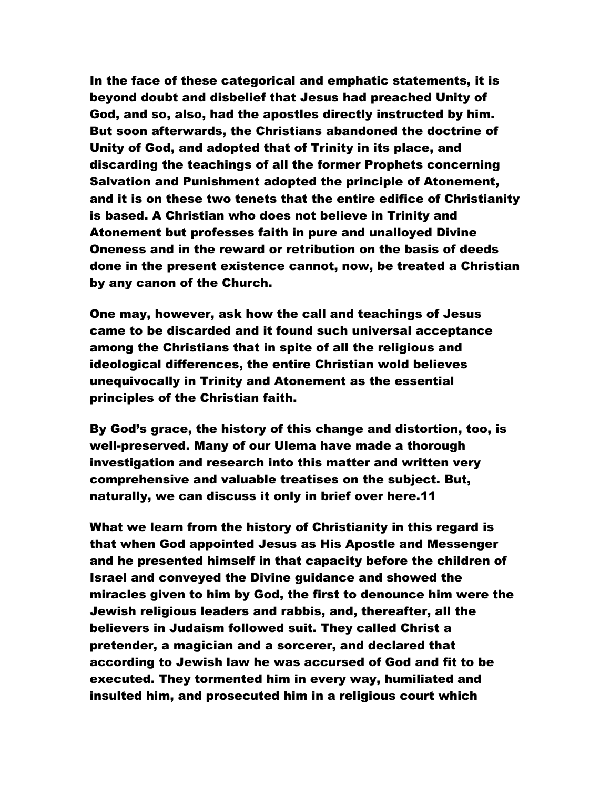In the face of these categorical and emphatic statements, it is beyond doubt and disbelief that Jesus had preached Unity of God, and so, also, had the apostles directly instructed by him. But soon afterwards, the Christians abandoned the doctrine of Unity of God, and adopted that of Trinity in its place, and discarding the teachings of all the former Prophets concerning Salvation and Punishment adopted the principle of Atonement, and it is on these two tenets that the entire edifice of Christianity is based. A Christian who does not believe in Trinity and Atonement but professes faith in pure and unalloyed Divine Oneness and in the reward or retribution on the basis of deeds done in the present existence cannot, now, be treated a Christian by any canon of the Church.

One may, however, ask how the call and teachings of Jesus came to be discarded and it found such universal acceptance among the Christians that in spite of all the religious and ideological differences, the entire Christian wold believes unequivocally in Trinity and Atonement as the essential principles of the Christian faith.

By God's grace, the history of this change and distortion, too, is well-preserved. Many of our Ulema have made a thorough investigation and research into this matter and written very comprehensive and valuable treatises on the subject. But, naturally, we can discuss it only in brief over here.11

What we learn from the history of Christianity in this regard is that when God appointed Jesus as His Apostle and Messenger and he presented himself in that capacity before the children of Israel and conveyed the Divine guidance and showed the miracles given to him by God, the first to denounce him were the Jewish religious leaders and rabbis, and, thereafter, all the believers in Judaism followed suit. They called Christ a pretender, a magician and a sorcerer, and declared that according to Jewish law he was accursed of God and fit to be executed. They tormented him in every way, humiliated and insulted him, and prosecuted him in a religious court which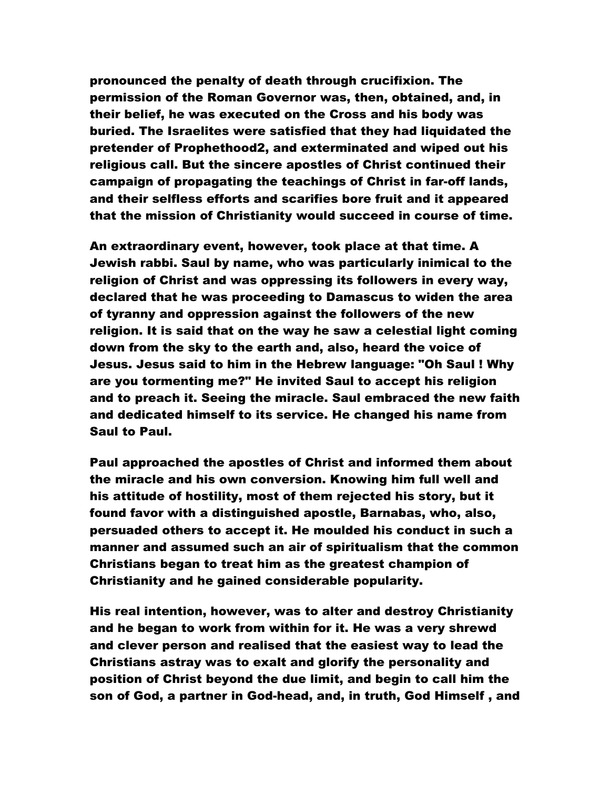pronounced the penalty of death through crucifixion. The permission of the Roman Governor was, then, obtained, and, in their belief, he was executed on the Cross and his body was buried. The Israelites were satisfied that they had liquidated the pretender of Prophethood2, and exterminated and wiped out his religious call. But the sincere apostles of Christ continued their campaign of propagating the teachings of Christ in far-off lands, and their selfless efforts and scarifies bore fruit and it appeared that the mission of Christianity would succeed in course of time.

An extraordinary event, however, took place at that time. A Jewish rabbi. Saul by name, who was particularly inimical to the religion of Christ and was oppressing its followers in every way, declared that he was proceeding to Damascus to widen the area of tyranny and oppression against the followers of the new religion. It is said that on the way he saw a celestial light coming down from the sky to the earth and, also, heard the voice of Jesus. Jesus said to him in the Hebrew language: "Oh Saul ! Why are you tormenting me?" He invited Saul to accept his religion and to preach it. Seeing the miracle. Saul embraced the new faith and dedicated himself to its service. He changed his name from Saul to Paul.

Paul approached the apostles of Christ and informed them about the miracle and his own conversion. Knowing him full well and his attitude of hostility, most of them rejected his story, but it found favor with a distinguished apostle, Barnabas, who, also, persuaded others to accept it. He moulded his conduct in such a manner and assumed such an air of spiritualism that the common Christians began to treat him as the greatest champion of Christianity and he gained considerable popularity.

His real intention, however, was to alter and destroy Christianity and he began to work from within for it. He was a very shrewd and clever person and realised that the easiest way to lead the Christians astray was to exalt and glorify the personality and position of Christ beyond the due limit, and begin to call him the son of God, a partner in God-head, and, in truth, God Himself , and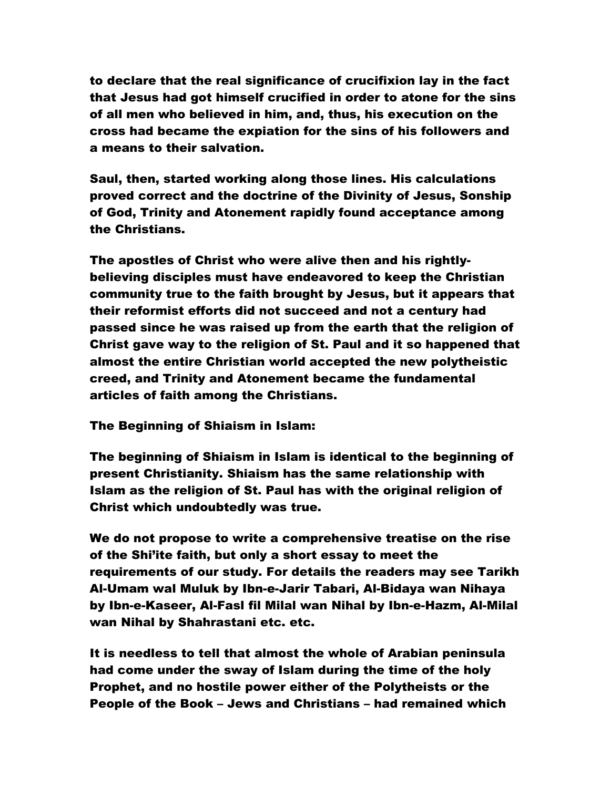to declare that the real significance of crucifixion lay in the fact that Jesus had got himself crucified in order to atone for the sins of all men who believed in him, and, thus, his execution on the cross had became the expiation for the sins of his followers and a means to their salvation.

Saul, then, started working along those lines. His calculations proved correct and the doctrine of the Divinity of Jesus, Sonship of God, Trinity and Atonement rapidly found acceptance among the Christians.

The apostles of Christ who were alive then and his rightlybelieving disciples must have endeavored to keep the Christian community true to the faith brought by Jesus, but it appears that their reformist efforts did not succeed and not a century had passed since he was raised up from the earth that the religion of Christ gave way to the religion of St. Paul and it so happened that almost the entire Christian world accepted the new polytheistic creed, and Trinity and Atonement became the fundamental articles of faith among the Christians.

The Beginning of Shiaism in Islam:

The beginning of Shiaism in Islam is identical to the beginning of present Christianity. Shiaism has the same relationship with Islam as the religion of St. Paul has with the original religion of Christ which undoubtedly was true.

We do not propose to write a comprehensive treatise on the rise of the Shi'ite faith, but only a short essay to meet the requirements of our study. For details the readers may see Tarikh Al-Umam wal Muluk by Ibn-e-Jarir Tabari, Al-Bidaya wan Nihaya by Ibn-e-Kaseer, Al-Fasl fil Milal wan Nihal by Ibn-e-Hazm, Al-Milal wan Nihal by Shahrastani etc. etc.

It is needless to tell that almost the whole of Arabian peninsula had come under the sway of Islam during the time of the holy Prophet, and no hostile power either of the Polytheists or the People of the Book – Jews and Christians – had remained which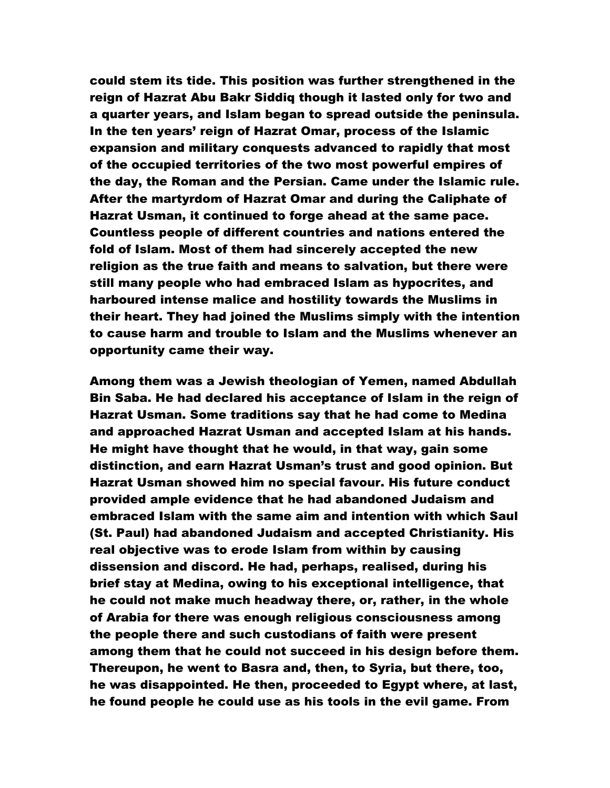could stem its tide. This position was further strengthened in the reign of Hazrat Abu Bakr Siddiq though it lasted only for two and a quarter years, and Islam began to spread outside the peninsula. In the ten years' reign of Hazrat Omar, process of the Islamic expansion and military conquests advanced to rapidly that most of the occupied territories of the two most powerful empires of the day, the Roman and the Persian. Came under the Islamic rule. After the martyrdom of Hazrat Omar and during the Caliphate of Hazrat Usman, it continued to forge ahead at the same pace. Countless people of different countries and nations entered the fold of Islam. Most of them had sincerely accepted the new religion as the true faith and means to salvation, but there were still many people who had embraced Islam as hypocrites, and harboured intense malice and hostility towards the Muslims in their heart. They had joined the Muslims simply with the intention to cause harm and trouble to Islam and the Muslims whenever an opportunity came their way.

Among them was a Jewish theologian of Yemen, named Abdullah Bin Saba. He had declared his acceptance of Islam in the reign of Hazrat Usman. Some traditions say that he had come to Medina and approached Hazrat Usman and accepted Islam at his hands. He might have thought that he would, in that way, gain some distinction, and earn Hazrat Usman's trust and good opinion. But Hazrat Usman showed him no special favour. His future conduct provided ample evidence that he had abandoned Judaism and embraced Islam with the same aim and intention with which Saul (St. Paul) had abandoned Judaism and accepted Christianity. His real objective was to erode Islam from within by causing dissension and discord. He had, perhaps, realised, during his brief stay at Medina, owing to his exceptional intelligence, that he could not make much headway there, or, rather, in the whole of Arabia for there was enough religious consciousness among the people there and such custodians of faith were present among them that he could not succeed in his design before them. Thereupon, he went to Basra and, then, to Syria, but there, too, he was disappointed. He then, proceeded to Egypt where, at last, he found people he could use as his tools in the evil game. From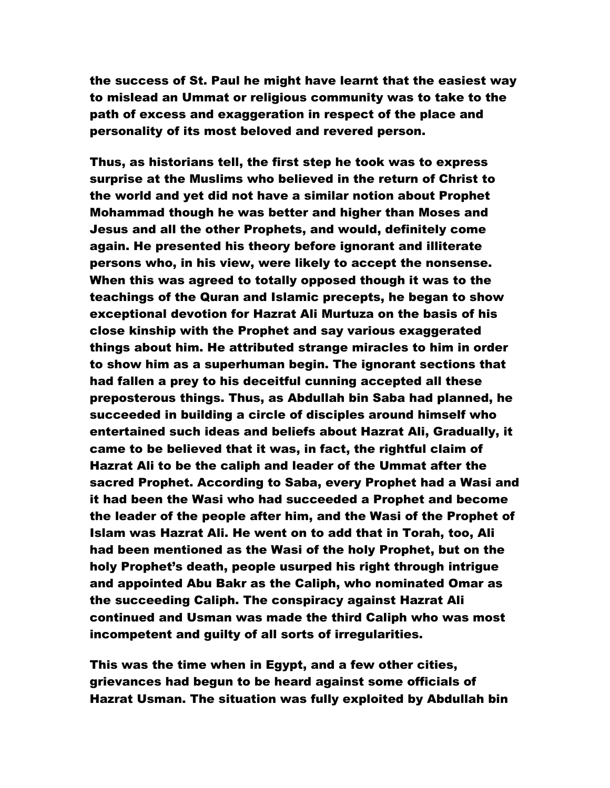the success of St. Paul he might have learnt that the easiest way to mislead an Ummat or religious community was to take to the path of excess and exaggeration in respect of the place and personality of its most beloved and revered person.

Thus, as historians tell, the first step he took was to express surprise at the Muslims who believed in the return of Christ to the world and yet did not have a similar notion about Prophet Mohammad though he was better and higher than Moses and Jesus and all the other Prophets, and would, definitely come again. He presented his theory before ignorant and illiterate persons who, in his view, were likely to accept the nonsense. When this was agreed to totally opposed though it was to the teachings of the Quran and Islamic precepts, he began to show exceptional devotion for Hazrat Ali Murtuza on the basis of his close kinship with the Prophet and say various exaggerated things about him. He attributed strange miracles to him in order to show him as a superhuman begin. The ignorant sections that had fallen a prey to his deceitful cunning accepted all these preposterous things. Thus, as Abdullah bin Saba had planned, he succeeded in building a circle of disciples around himself who entertained such ideas and beliefs about Hazrat Ali, Gradually, it came to be believed that it was, in fact, the rightful claim of Hazrat Ali to be the caliph and leader of the Ummat after the sacred Prophet. According to Saba, every Prophet had a Wasi and it had been the Wasi who had succeeded a Prophet and become the leader of the people after him, and the Wasi of the Prophet of Islam was Hazrat Ali. He went on to add that in Torah, too, Ali had been mentioned as the Wasi of the holy Prophet, but on the holy Prophet's death, people usurped his right through intrigue and appointed Abu Bakr as the Caliph, who nominated Omar as the succeeding Caliph. The conspiracy against Hazrat Ali continued and Usman was made the third Caliph who was most incompetent and guilty of all sorts of irregularities.

This was the time when in Egypt, and a few other cities, grievances had begun to be heard against some officials of Hazrat Usman. The situation was fully exploited by Abdullah bin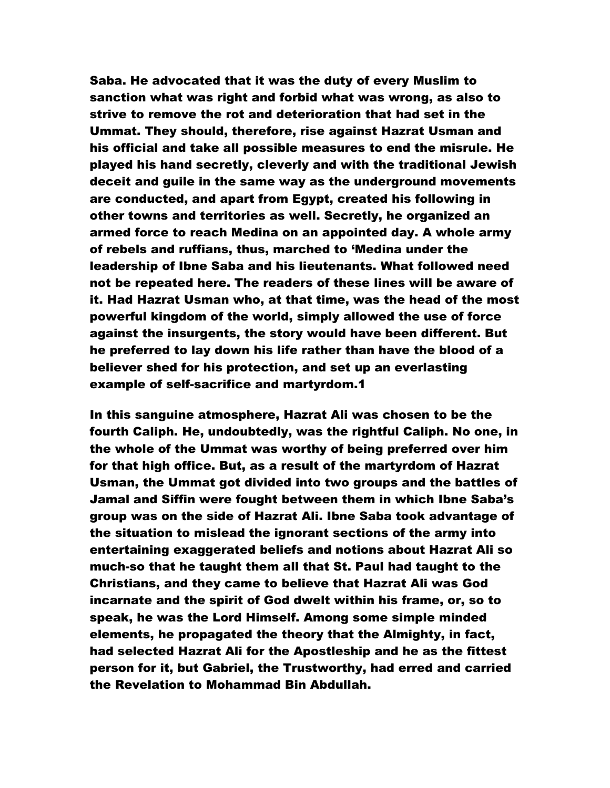Saba. He advocated that it was the duty of every Muslim to sanction what was right and forbid what was wrong, as also to strive to remove the rot and deterioration that had set in the Ummat. They should, therefore, rise against Hazrat Usman and his official and take all possible measures to end the misrule. He played his hand secretly, cleverly and with the traditional Jewish deceit and guile in the same way as the underground movements are conducted, and apart from Egypt, created his following in other towns and territories as well. Secretly, he organized an armed force to reach Medina on an appointed day. A whole army of rebels and ruffians, thus, marched to 'Medina under the leadership of Ibne Saba and his lieutenants. What followed need not be repeated here. The readers of these lines will be aware of it. Had Hazrat Usman who, at that time, was the head of the most powerful kingdom of the world, simply allowed the use of force against the insurgents, the story would have been different. But he preferred to lay down his life rather than have the blood of a believer shed for his protection, and set up an everlasting example of self-sacrifice and martyrdom.1

In this sanguine atmosphere, Hazrat Ali was chosen to be the fourth Caliph. He, undoubtedly, was the rightful Caliph. No one, in the whole of the Ummat was worthy of being preferred over him for that high office. But, as a result of the martyrdom of Hazrat Usman, the Ummat got divided into two groups and the battles of Jamal and Siffin were fought between them in which Ibne Saba's group was on the side of Hazrat Ali. Ibne Saba took advantage of the situation to mislead the ignorant sections of the army into entertaining exaggerated beliefs and notions about Hazrat Ali so much-so that he taught them all that St. Paul had taught to the Christians, and they came to believe that Hazrat Ali was God incarnate and the spirit of God dwelt within his frame, or, so to speak, he was the Lord Himself. Among some simple minded elements, he propagated the theory that the Almighty, in fact, had selected Hazrat Ali for the Apostleship and he as the fittest person for it, but Gabriel, the Trustworthy, had erred and carried the Revelation to Mohammad Bin Abdullah.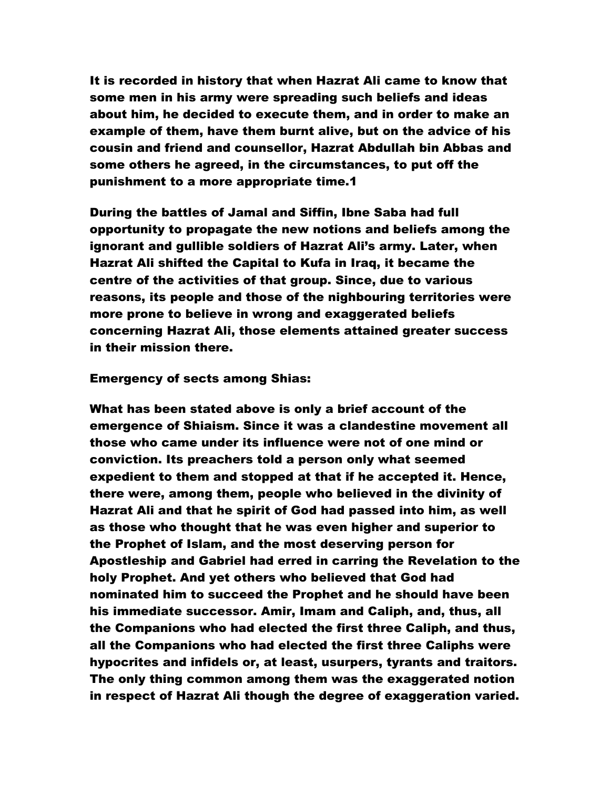It is recorded in history that when Hazrat Ali came to know that some men in his army were spreading such beliefs and ideas about him, he decided to execute them, and in order to make an example of them, have them burnt alive, but on the advice of his cousin and friend and counsellor, Hazrat Abdullah bin Abbas and some others he agreed, in the circumstances, to put off the punishment to a more appropriate time.1

During the battles of Jamal and Siffin, Ibne Saba had full opportunity to propagate the new notions and beliefs among the ignorant and gullible soldiers of Hazrat Ali's army. Later, when Hazrat Ali shifted the Capital to Kufa in Iraq, it became the centre of the activities of that group. Since, due to various reasons, its people and those of the nighbouring territories were more prone to believe in wrong and exaggerated beliefs concerning Hazrat Ali, those elements attained greater success in their mission there.

#### Emergency of sects among Shias:

What has been stated above is only a brief account of the emergence of Shiaism. Since it was a clandestine movement all those who came under its influence were not of one mind or conviction. Its preachers told a person only what seemed expedient to them and stopped at that if he accepted it. Hence, there were, among them, people who believed in the divinity of Hazrat Ali and that he spirit of God had passed into him, as well as those who thought that he was even higher and superior to the Prophet of Islam, and the most deserving person for Apostleship and Gabriel had erred in carring the Revelation to the holy Prophet. And yet others who believed that God had nominated him to succeed the Prophet and he should have been his immediate successor. Amir, Imam and Caliph, and, thus, all the Companions who had elected the first three Caliph, and thus, all the Companions who had elected the first three Caliphs were hypocrites and infidels or, at least, usurpers, tyrants and traitors. The only thing common among them was the exaggerated notion in respect of Hazrat Ali though the degree of exaggeration varied.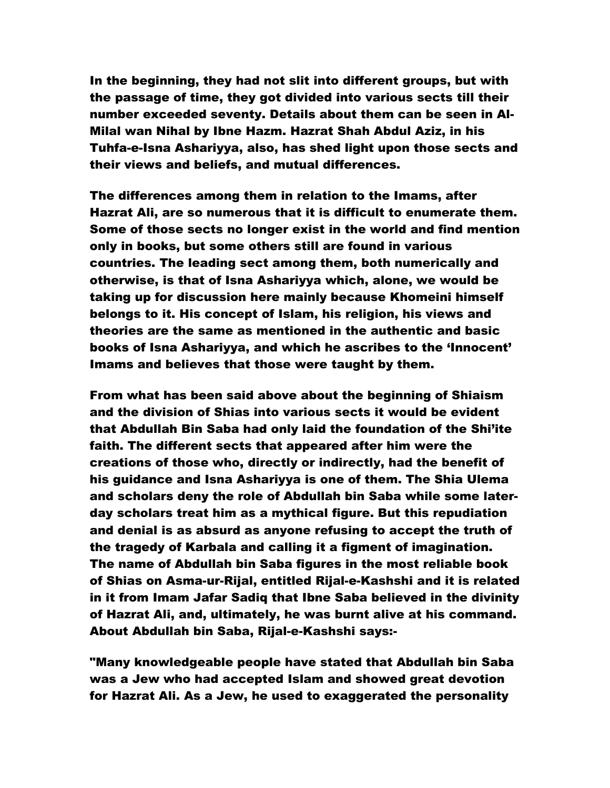In the beginning, they had not slit into different groups, but with the passage of time, they got divided into various sects till their number exceeded seventy. Details about them can be seen in Al-Milal wan Nihal by Ibne Hazm. Hazrat Shah Abdul Aziz, in his Tuhfa-e-Isna Ashariyya, also, has shed light upon those sects and their views and beliefs, and mutual differences.

The differences among them in relation to the Imams, after Hazrat Ali, are so numerous that it is difficult to enumerate them. Some of those sects no longer exist in the world and find mention only in books, but some others still are found in various countries. The leading sect among them, both numerically and otherwise, is that of Isna Ashariyya which, alone, we would be taking up for discussion here mainly because Khomeini himself belongs to it. His concept of Islam, his religion, his views and theories are the same as mentioned in the authentic and basic books of Isna Ashariyya, and which he ascribes to the 'Innocent' Imams and believes that those were taught by them.

From what has been said above about the beginning of Shiaism and the division of Shias into various sects it would be evident that Abdullah Bin Saba had only laid the foundation of the Shi'ite faith. The different sects that appeared after him were the creations of those who, directly or indirectly, had the benefit of his guidance and Isna Ashariyya is one of them. The Shia Ulema and scholars deny the role of Abdullah bin Saba while some laterday scholars treat him as a mythical figure. But this repudiation and denial is as absurd as anyone refusing to accept the truth of the tragedy of Karbala and calling it a figment of imagination. The name of Abdullah bin Saba figures in the most reliable book of Shias on Asma-ur-Rijal, entitled Rijal-e-Kashshi and it is related in it from Imam Jafar Sadiq that Ibne Saba believed in the divinity of Hazrat Ali, and, ultimately, he was burnt alive at his command. About Abdullah bin Saba, Rijal-e-Kashshi says:-

"Many knowledgeable people have stated that Abdullah bin Saba was a Jew who had accepted Islam and showed great devotion for Hazrat Ali. As a Jew, he used to exaggerated the personality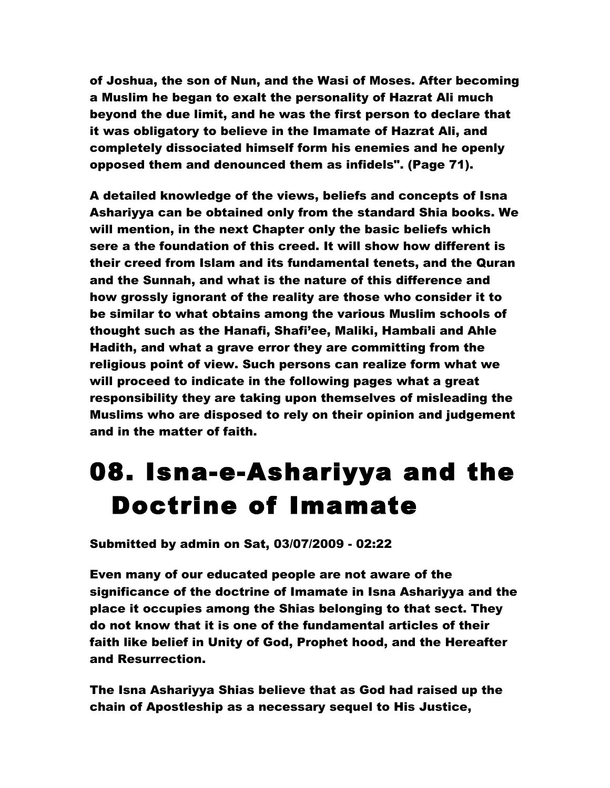of Joshua, the son of Nun, and the Wasi of Moses. After becoming a Muslim he began to exalt the personality of Hazrat Ali much beyond the due limit, and he was the first person to declare that it was obligatory to believe in the Imamate of Hazrat Ali, and completely dissociated himself form his enemies and he openly opposed them and denounced them as infidels". (Page 71).

A detailed knowledge of the views, beliefs and concepts of Isna Ashariyya can be obtained only from the standard Shia books. We will mention, in the next Chapter only the basic beliefs which sere a the foundation of this creed. It will show how different is their creed from Islam and its fundamental tenets, and the Quran and the Sunnah, and what is the nature of this difference and how grossly ignorant of the reality are those who consider it to be similar to what obtains among the various Muslim schools of thought such as the Hanafi, Shafi'ee, Maliki, Hambali and Ahle Hadith, and what a grave error they are committing from the religious point of view. Such persons can realize form what we will proceed to indicate in the following pages what a great responsibility they are taking upon themselves of misleading the Muslims who are disposed to rely on their opinion and judgement and in the matter of faith.

# 08. Isna-e-Ashariyya and the Doctrine of Imamate

Submitted by admin on Sat, 03/07/2009 - 02:22

Even many of our educated people are not aware of the significance of the doctrine of Imamate in Isna Ashariyya and the place it occupies among the Shias belonging to that sect. They do not know that it is one of the fundamental articles of their faith like belief in Unity of God, Prophet hood, and the Hereafter and Resurrection.

The Isna Ashariyya Shias believe that as God had raised up the chain of Apostleship as a necessary sequel to His Justice,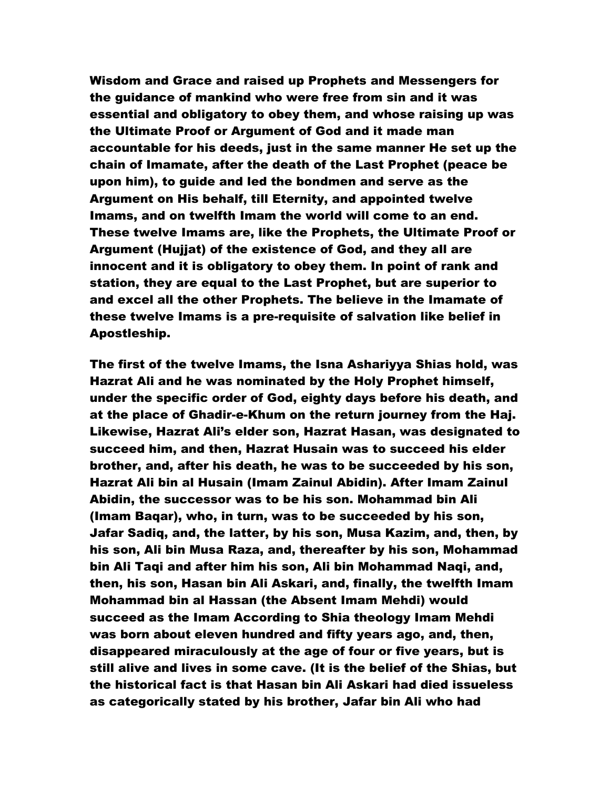Wisdom and Grace and raised up Prophets and Messengers for the guidance of mankind who were free from sin and it was essential and obligatory to obey them, and whose raising up was the Ultimate Proof or Argument of God and it made man accountable for his deeds, just in the same manner He set up the chain of Imamate, after the death of the Last Prophet (peace be upon him), to guide and led the bondmen and serve as the Argument on His behalf, till Eternity, and appointed twelve Imams, and on twelfth Imam the world will come to an end. These twelve Imams are, like the Prophets, the Ultimate Proof or Argument (Hujjat) of the existence of God, and they all are innocent and it is obligatory to obey them. In point of rank and station, they are equal to the Last Prophet, but are superior to and excel all the other Prophets. The believe in the Imamate of these twelve Imams is a pre-requisite of salvation like belief in Apostleship.

The first of the twelve Imams, the Isna Ashariyya Shias hold, was Hazrat Ali and he was nominated by the Holy Prophet himself, under the specific order of God, eighty days before his death, and at the place of Ghadir-e-Khum on the return journey from the Haj. Likewise, Hazrat Ali's elder son, Hazrat Hasan, was designated to succeed him, and then, Hazrat Husain was to succeed his elder brother, and, after his death, he was to be succeeded by his son, Hazrat Ali bin al Husain (Imam Zainul Abidin). After Imam Zainul Abidin, the successor was to be his son. Mohammad bin Ali (Imam Baqar), who, in turn, was to be succeeded by his son, Jafar Sadiq, and, the latter, by his son, Musa Kazim, and, then, by his son, Ali bin Musa Raza, and, thereafter by his son, Mohammad bin Ali Taqi and after him his son, Ali bin Mohammad Naqi, and, then, his son, Hasan bin Ali Askari, and, finally, the twelfth Imam Mohammad bin al Hassan (the Absent Imam Mehdi) would succeed as the Imam According to Shia theology Imam Mehdi was born about eleven hundred and fifty years ago, and, then, disappeared miraculously at the age of four or five years, but is still alive and lives in some cave. (It is the belief of the Shias, but the historical fact is that Hasan bin Ali Askari had died issueless as categorically stated by his brother, Jafar bin Ali who had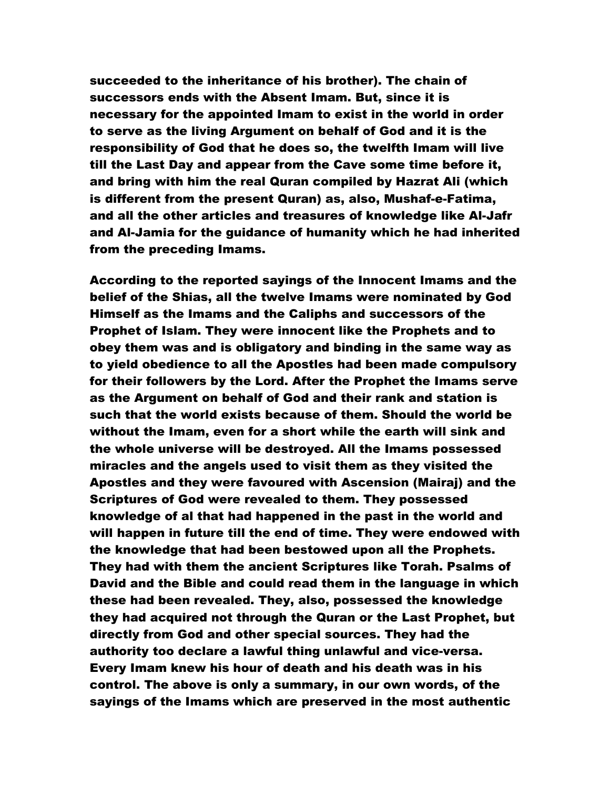succeeded to the inheritance of his brother). The chain of successors ends with the Absent Imam. But, since it is necessary for the appointed Imam to exist in the world in order to serve as the living Argument on behalf of God and it is the responsibility of God that he does so, the twelfth Imam will live till the Last Day and appear from the Cave some time before it, and bring with him the real Quran compiled by Hazrat Ali (which is different from the present Quran) as, also, Mushaf-e-Fatima, and all the other articles and treasures of knowledge like Al-Jafr and Al-Jamia for the guidance of humanity which he had inherited from the preceding Imams.

According to the reported sayings of the Innocent Imams and the belief of the Shias, all the twelve Imams were nominated by God Himself as the Imams and the Caliphs and successors of the Prophet of Islam. They were innocent like the Prophets and to obey them was and is obligatory and binding in the same way as to yield obedience to all the Apostles had been made compulsory for their followers by the Lord. After the Prophet the Imams serve as the Argument on behalf of God and their rank and station is such that the world exists because of them. Should the world be without the Imam, even for a short while the earth will sink and the whole universe will be destroyed. All the Imams possessed miracles and the angels used to visit them as they visited the Apostles and they were favoured with Ascension (Mairaj) and the Scriptures of God were revealed to them. They possessed knowledge of al that had happened in the past in the world and will happen in future till the end of time. They were endowed with the knowledge that had been bestowed upon all the Prophets. They had with them the ancient Scriptures like Torah. Psalms of David and the Bible and could read them in the language in which these had been revealed. They, also, possessed the knowledge they had acquired not through the Quran or the Last Prophet, but directly from God and other special sources. They had the authority too declare a lawful thing unlawful and vice-versa. Every Imam knew his hour of death and his death was in his control. The above is only a summary, in our own words, of the sayings of the Imams which are preserved in the most authentic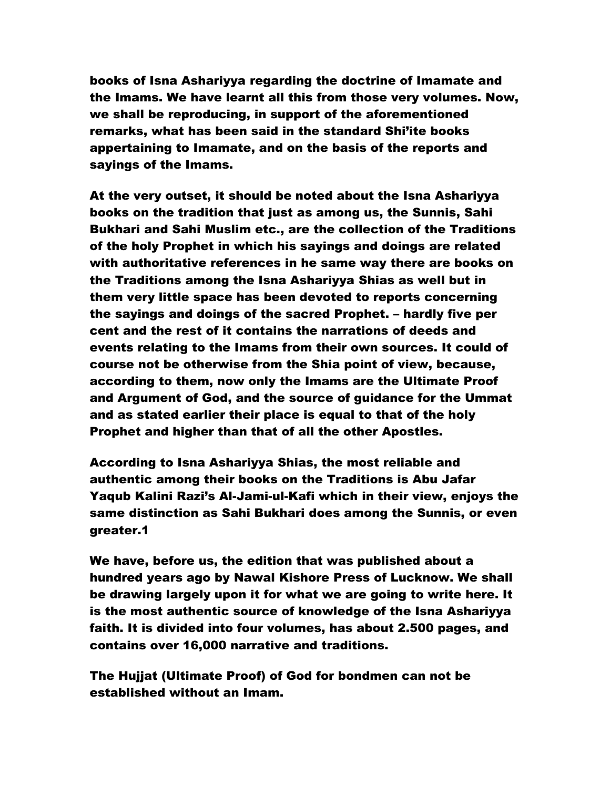books of Isna Ashariyya regarding the doctrine of Imamate and the Imams. We have learnt all this from those very volumes. Now, we shall be reproducing, in support of the aforementioned remarks, what has been said in the standard Shi'ite books appertaining to Imamate, and on the basis of the reports and sayings of the Imams.

At the very outset, it should be noted about the Isna Ashariyya books on the tradition that just as among us, the Sunnis, Sahi Bukhari and Sahi Muslim etc., are the collection of the Traditions of the holy Prophet in which his sayings and doings are related with authoritative references in he same way there are books on the Traditions among the Isna Ashariyya Shias as well but in them very little space has been devoted to reports concerning the sayings and doings of the sacred Prophet. – hardly five per cent and the rest of it contains the narrations of deeds and events relating to the Imams from their own sources. It could of course not be otherwise from the Shia point of view, because, according to them, now only the Imams are the Ultimate Proof and Argument of God, and the source of guidance for the Ummat and as stated earlier their place is equal to that of the holy Prophet and higher than that of all the other Apostles.

According to Isna Ashariyya Shias, the most reliable and authentic among their books on the Traditions is Abu Jafar Yaqub Kalini Razi's Al-Jami-ul-Kafi which in their view, enjoys the same distinction as Sahi Bukhari does among the Sunnis, or even greater.1

We have, before us, the edition that was published about a hundred years ago by Nawal Kishore Press of Lucknow. We shall be drawing largely upon it for what we are going to write here. It is the most authentic source of knowledge of the Isna Ashariyya faith. It is divided into four volumes, has about 2.500 pages, and contains over 16,000 narrative and traditions.

The Hujjat (Ultimate Proof) of God for bondmen can not be established without an Imam.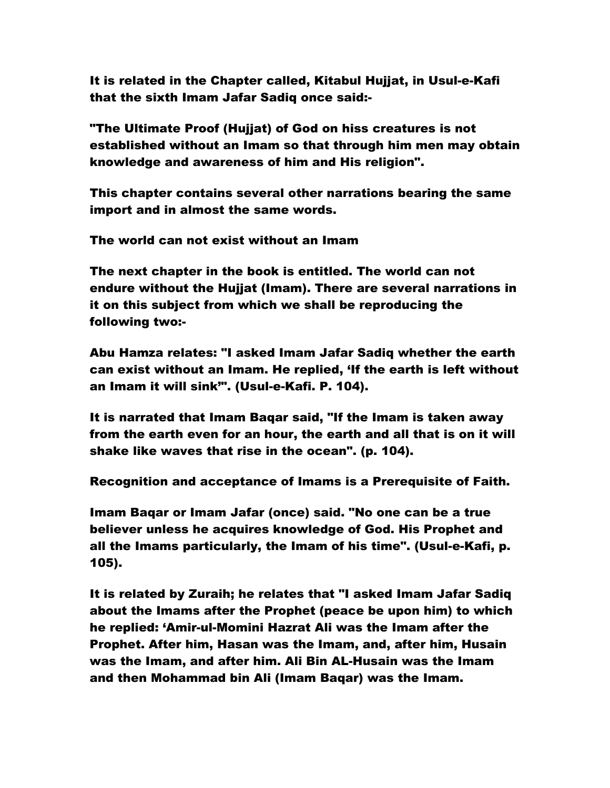It is related in the Chapter called, Kitabul Hujjat, in Usul-e-Kafi that the sixth Imam Jafar Sadiq once said:-

"The Ultimate Proof (Hujjat) of God on hiss creatures is not established without an Imam so that through him men may obtain knowledge and awareness of him and His religion".

This chapter contains several other narrations bearing the same import and in almost the same words.

The world can not exist without an Imam

The next chapter in the book is entitled. The world can not endure without the Hujjat (Imam). There are several narrations in it on this subject from which we shall be reproducing the following two:-

Abu Hamza relates: "I asked Imam Jafar Sadiq whether the earth can exist without an Imam. He replied, 'If the earth is left without an Imam it will sink'". (Usul-e-Kafi. P. 104).

It is narrated that Imam Baqar said, "If the Imam is taken away from the earth even for an hour, the earth and all that is on it will shake like waves that rise in the ocean". (p. 104).

Recognition and acceptance of Imams is a Prerequisite of Faith.

Imam Baqar or Imam Jafar (once) said. "No one can be a true believer unless he acquires knowledge of God. His Prophet and all the Imams particularly, the Imam of his time". (Usul-e-Kafi, p. 105).

It is related by Zuraih; he relates that "I asked Imam Jafar Sadiq about the Imams after the Prophet (peace be upon him) to which he replied: 'Amir-ul-Momini Hazrat Ali was the Imam after the Prophet. After him, Hasan was the Imam, and, after him, Husain was the Imam, and after him. Ali Bin AL-Husain was the Imam and then Mohammad bin Ali (Imam Baqar) was the Imam.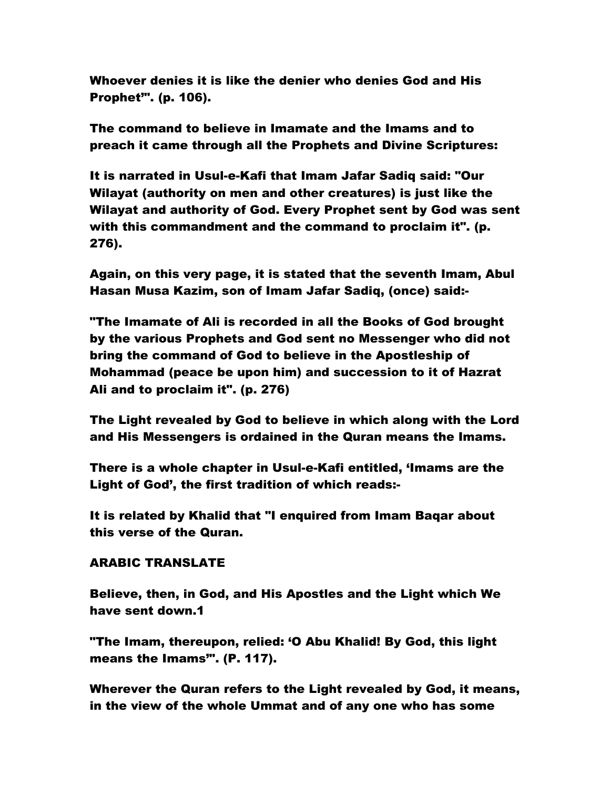Whoever denies it is like the denier who denies God and His Prophet'". (p. 106).

The command to believe in Imamate and the Imams and to preach it came through all the Prophets and Divine Scriptures:

It is narrated in Usul-e-Kafi that Imam Jafar Sadiq said: "Our Wilayat (authority on men and other creatures) is just like the Wilayat and authority of God. Every Prophet sent by God was sent with this commandment and the command to proclaim it". (p. 276).

Again, on this very page, it is stated that the seventh Imam, Abul Hasan Musa Kazim, son of Imam Jafar Sadiq, (once) said:-

"The Imamate of Ali is recorded in all the Books of God brought by the various Prophets and God sent no Messenger who did not bring the command of God to believe in the Apostleship of Mohammad (peace be upon him) and succession to it of Hazrat Ali and to proclaim it". (p. 276)

The Light revealed by God to believe in which along with the Lord and His Messengers is ordained in the Quran means the Imams.

There is a whole chapter in Usul-e-Kafi entitled, 'Imams are the Light of God', the first tradition of which reads:-

It is related by Khalid that "I enquired from Imam Baqar about this verse of the Quran.

# ARABIC TRANSLATE

Believe, then, in God, and His Apostles and the Light which We have sent down.1

"The Imam, thereupon, relied: 'O Abu Khalid! By God, this light means the Imams'". (P. 117).

Wherever the Quran refers to the Light revealed by God, it means, in the view of the whole Ummat and of any one who has some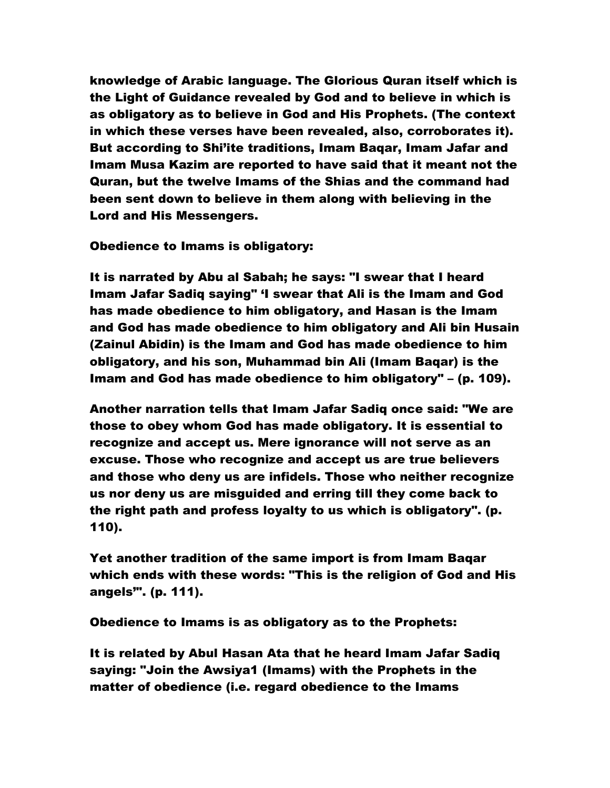knowledge of Arabic language. The Glorious Quran itself which is the Light of Guidance revealed by God and to believe in which is as obligatory as to believe in God and His Prophets. (The context in which these verses have been revealed, also, corroborates it). But according to Shi'ite traditions, Imam Baqar, Imam Jafar and Imam Musa Kazim are reported to have said that it meant not the Quran, but the twelve Imams of the Shias and the command had been sent down to believe in them along with believing in the Lord and His Messengers.

Obedience to Imams is obligatory:

It is narrated by Abu al Sabah; he says: "I swear that I heard Imam Jafar Sadiq saying" 'I swear that Ali is the Imam and God has made obedience to him obligatory, and Hasan is the Imam and God has made obedience to him obligatory and Ali bin Husain (Zainul Abidin) is the Imam and God has made obedience to him obligatory, and his son, Muhammad bin Ali (Imam Baqar) is the Imam and God has made obedience to him obligatory" – (p. 109).

Another narration tells that Imam Jafar Sadiq once said: "We are those to obey whom God has made obligatory. It is essential to recognize and accept us. Mere ignorance will not serve as an excuse. Those who recognize and accept us are true believers and those who deny us are infidels. Those who neither recognize us nor deny us are misguided and erring till they come back to the right path and profess loyalty to us which is obligatory". (p. 110).

Yet another tradition of the same import is from Imam Baqar which ends with these words: "This is the religion of God and His angels'". (p. 111).

Obedience to Imams is as obligatory as to the Prophets:

It is related by Abul Hasan Ata that he heard Imam Jafar Sadiq saying: "Join the Awsiya1 (Imams) with the Prophets in the matter of obedience (i.e. regard obedience to the Imams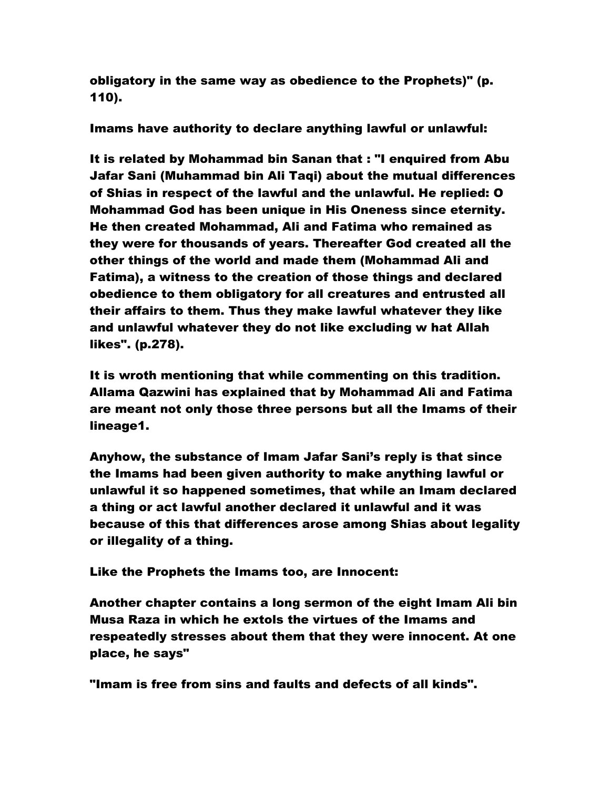obligatory in the same way as obedience to the Prophets)" (p. 110).

Imams have authority to declare anything lawful or unlawful:

It is related by Mohammad bin Sanan that : "I enquired from Abu Jafar Sani (Muhammad bin Ali Taqi) about the mutual differences of Shias in respect of the lawful and the unlawful. He replied: O Mohammad God has been unique in His Oneness since eternity. He then created Mohammad, Ali and Fatima who remained as they were for thousands of years. Thereafter God created all the other things of the world and made them (Mohammad Ali and Fatima), a witness to the creation of those things and declared obedience to them obligatory for all creatures and entrusted all their affairs to them. Thus they make lawful whatever they like and unlawful whatever they do not like excluding w hat Allah likes". (p.278).

It is wroth mentioning that while commenting on this tradition. Allama Qazwini has explained that by Mohammad Ali and Fatima are meant not only those three persons but all the Imams of their lineage1.

Anyhow, the substance of Imam Jafar Sani's reply is that since the Imams had been given authority to make anything lawful or unlawful it so happened sometimes, that while an Imam declared a thing or act lawful another declared it unlawful and it was because of this that differences arose among Shias about legality or illegality of a thing.

Like the Prophets the Imams too, are Innocent:

Another chapter contains a long sermon of the eight Imam Ali bin Musa Raza in which he extols the virtues of the Imams and respeatedly stresses about them that they were innocent. At one place, he says"

"Imam is free from sins and faults and defects of all kinds".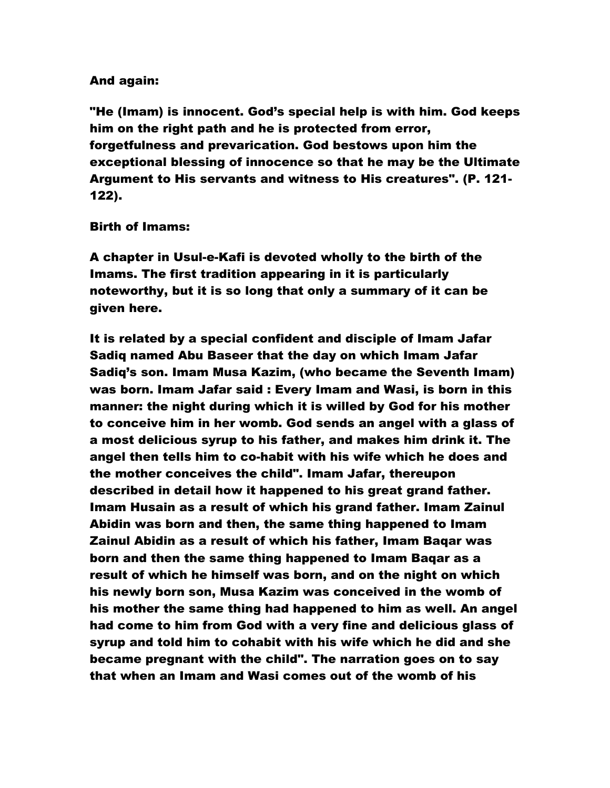# And again:

"He (Imam) is innocent. God's special help is with him. God keeps him on the right path and he is protected from error, forgetfulness and prevarication. God bestows upon him the exceptional blessing of innocence so that he may be the Ultimate Argument to His servants and witness to His creatures". (P. 121- 122).

## Birth of Imams:

A chapter in Usul-e-Kafi is devoted wholly to the birth of the Imams. The first tradition appearing in it is particularly noteworthy, but it is so long that only a summary of it can be given here.

It is related by a special confident and disciple of Imam Jafar Sadiq named Abu Baseer that the day on which Imam Jafar Sadiq's son. Imam Musa Kazim, (who became the Seventh Imam) was born. Imam Jafar said : Every Imam and Wasi, is born in this manner: the night during which it is willed by God for his mother to conceive him in her womb. God sends an angel with a glass of a most delicious syrup to his father, and makes him drink it. The angel then tells him to co-habit with his wife which he does and the mother conceives the child". Imam Jafar, thereupon described in detail how it happened to his great grand father. Imam Husain as a result of which his grand father. Imam Zainul Abidin was born and then, the same thing happened to Imam Zainul Abidin as a result of which his father, Imam Baqar was born and then the same thing happened to Imam Baqar as a result of which he himself was born, and on the night on which his newly born son, Musa Kazim was conceived in the womb of his mother the same thing had happened to him as well. An angel had come to him from God with a very fine and delicious glass of syrup and told him to cohabit with his wife which he did and she became pregnant with the child". The narration goes on to say that when an Imam and Wasi comes out of the womb of his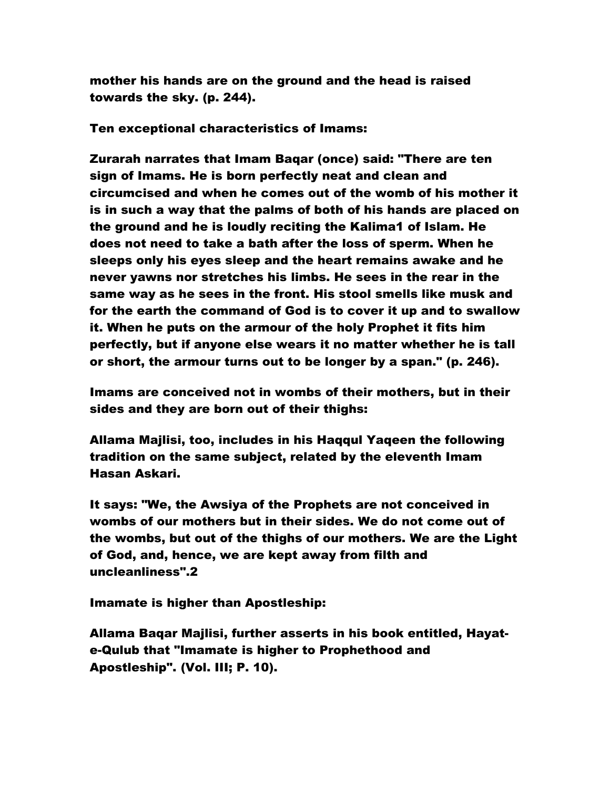mother his hands are on the ground and the head is raised towards the sky. (p. 244).

Ten exceptional characteristics of Imams:

Zurarah narrates that Imam Baqar (once) said: "There are ten sign of Imams. He is born perfectly neat and clean and circumcised and when he comes out of the womb of his mother it is in such a way that the palms of both of his hands are placed on the ground and he is loudly reciting the Kalima1 of Islam. He does not need to take a bath after the loss of sperm. When he sleeps only his eyes sleep and the heart remains awake and he never yawns nor stretches his limbs. He sees in the rear in the same way as he sees in the front. His stool smells like musk and for the earth the command of God is to cover it up and to swallow it. When he puts on the armour of the holy Prophet it fits him perfectly, but if anyone else wears it no matter whether he is tall or short, the armour turns out to be longer by a span." (p. 246).

Imams are conceived not in wombs of their mothers, but in their sides and they are born out of their thighs:

Allama Majlisi, too, includes in his Haqqul Yaqeen the following tradition on the same subject, related by the eleventh Imam Hasan Askari.

It says: "We, the Awsiya of the Prophets are not conceived in wombs of our mothers but in their sides. We do not come out of the wombs, but out of the thighs of our mothers. We are the Light of God, and, hence, we are kept away from filth and uncleanliness".2

Imamate is higher than Apostleship:

Allama Baqar Majlisi, further asserts in his book entitled, Hayate-Qulub that "Imamate is higher to Prophethood and Apostleship". (Vol. III; P. 10).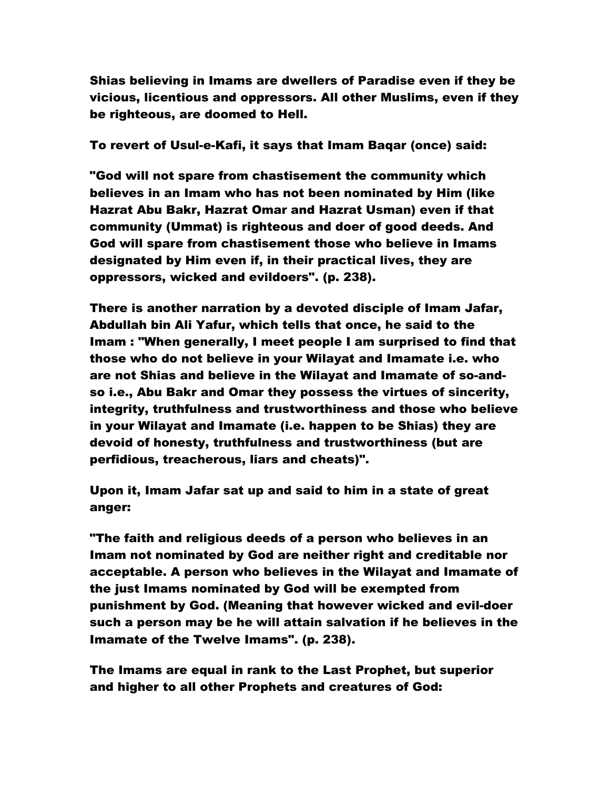Shias believing in Imams are dwellers of Paradise even if they be vicious, licentious and oppressors. All other Muslims, even if they be righteous, are doomed to Hell.

To revert of Usul-e-Kafi, it says that Imam Baqar (once) said:

"God will not spare from chastisement the community which believes in an Imam who has not been nominated by Him (like Hazrat Abu Bakr, Hazrat Omar and Hazrat Usman) even if that community (Ummat) is righteous and doer of good deeds. And God will spare from chastisement those who believe in Imams designated by Him even if, in their practical lives, they are oppressors, wicked and evildoers". (p. 238).

There is another narration by a devoted disciple of Imam Jafar, Abdullah bin Ali Yafur, which tells that once, he said to the Imam : "When generally, I meet people I am surprised to find that those who do not believe in your Wilayat and Imamate i.e. who are not Shias and believe in the Wilayat and Imamate of so-andso i.e., Abu Bakr and Omar they possess the virtues of sincerity, integrity, truthfulness and trustworthiness and those who believe in your Wilayat and Imamate (i.e. happen to be Shias) they are devoid of honesty, truthfulness and trustworthiness (but are perfidious, treacherous, liars and cheats)".

Upon it, Imam Jafar sat up and said to him in a state of great anger:

"The faith and religious deeds of a person who believes in an Imam not nominated by God are neither right and creditable nor acceptable. A person who believes in the Wilayat and Imamate of the just Imams nominated by God will be exempted from punishment by God. (Meaning that however wicked and evil-doer such a person may be he will attain salvation if he believes in the Imamate of the Twelve Imams". (p. 238).

The Imams are equal in rank to the Last Prophet, but superior and higher to all other Prophets and creatures of God: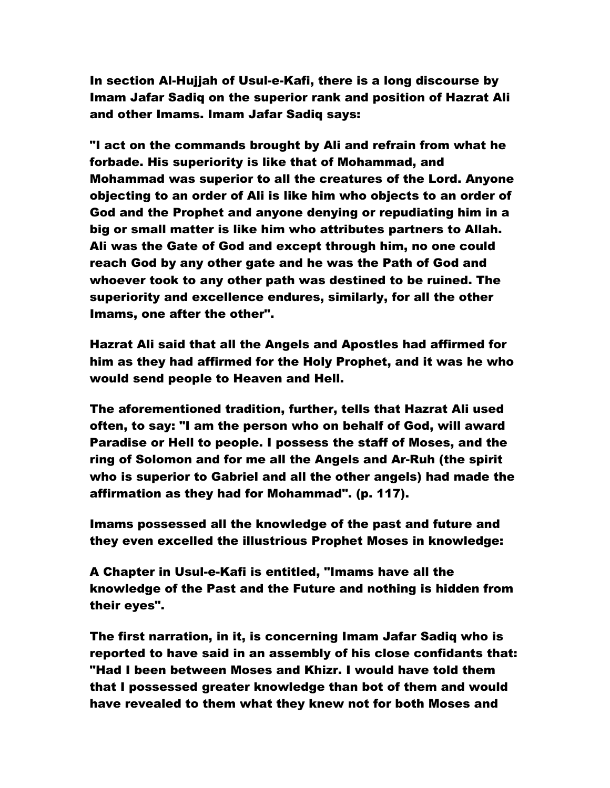In section Al-Hujjah of Usul-e-Kafi, there is a long discourse by Imam Jafar Sadiq on the superior rank and position of Hazrat Ali and other Imams. Imam Jafar Sadiq says:

"I act on the commands brought by Ali and refrain from what he forbade. His superiority is like that of Mohammad, and Mohammad was superior to all the creatures of the Lord. Anyone objecting to an order of Ali is like him who objects to an order of God and the Prophet and anyone denying or repudiating him in a big or small matter is like him who attributes partners to Allah. Ali was the Gate of God and except through him, no one could reach God by any other gate and he was the Path of God and whoever took to any other path was destined to be ruined. The superiority and excellence endures, similarly, for all the other Imams, one after the other".

Hazrat Ali said that all the Angels and Apostles had affirmed for him as they had affirmed for the Holy Prophet, and it was he who would send people to Heaven and Hell.

The aforementioned tradition, further, tells that Hazrat Ali used often, to say: "I am the person who on behalf of God, will award Paradise or Hell to people. I possess the staff of Moses, and the ring of Solomon and for me all the Angels and Ar-Ruh (the spirit who is superior to Gabriel and all the other angels) had made the affirmation as they had for Mohammad". (p. 117).

Imams possessed all the knowledge of the past and future and they even excelled the illustrious Prophet Moses in knowledge:

A Chapter in Usul-e-Kafi is entitled, "Imams have all the knowledge of the Past and the Future and nothing is hidden from their eyes".

The first narration, in it, is concerning Imam Jafar Sadiq who is reported to have said in an assembly of his close confidants that: "Had I been between Moses and Khizr. I would have told them that I possessed greater knowledge than bot of them and would have revealed to them what they knew not for both Moses and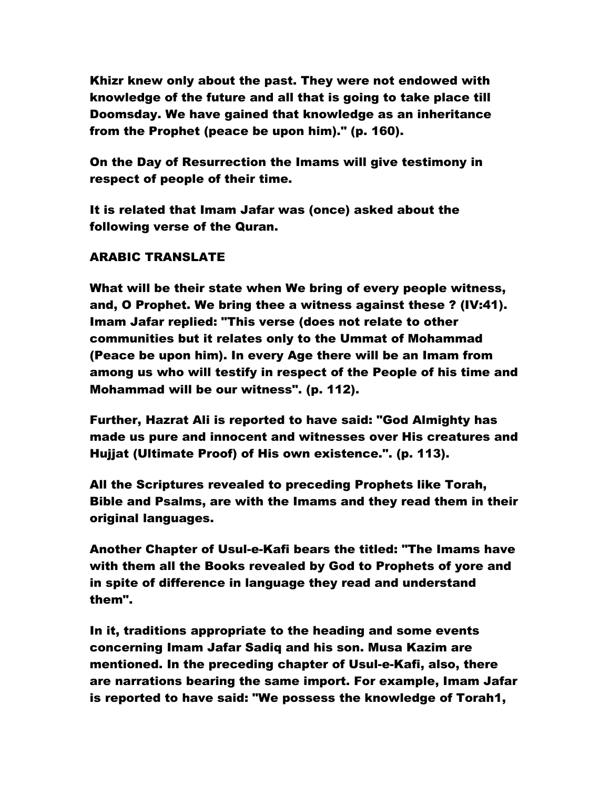Khizr knew only about the past. They were not endowed with knowledge of the future and all that is going to take place till Doomsday. We have gained that knowledge as an inheritance from the Prophet (peace be upon him)." (p. 160).

On the Day of Resurrection the Imams will give testimony in respect of people of their time.

It is related that Imam Jafar was (once) asked about the following verse of the Quran.

# ARABIC TRANSLATE

What will be their state when We bring of every people witness, and, O Prophet. We bring thee a witness against these ? (IV:41). Imam Jafar replied: "This verse (does not relate to other communities but it relates only to the Ummat of Mohammad (Peace be upon him). In every Age there will be an Imam from among us who will testify in respect of the People of his time and Mohammad will be our witness". (p. 112).

Further, Hazrat Ali is reported to have said: "God Almighty has made us pure and innocent and witnesses over His creatures and Hujjat (Ultimate Proof) of His own existence.". (p. 113).

All the Scriptures revealed to preceding Prophets like Torah, Bible and Psalms, are with the Imams and they read them in their original languages.

Another Chapter of Usul-e-Kafi bears the titled: "The Imams have with them all the Books revealed by God to Prophets of yore and in spite of difference in language they read and understand them".

In it, traditions appropriate to the heading and some events concerning Imam Jafar Sadiq and his son. Musa Kazim are mentioned. In the preceding chapter of Usul-e-Kafi, also, there are narrations bearing the same import. For example, Imam Jafar is reported to have said: "We possess the knowledge of Torah1,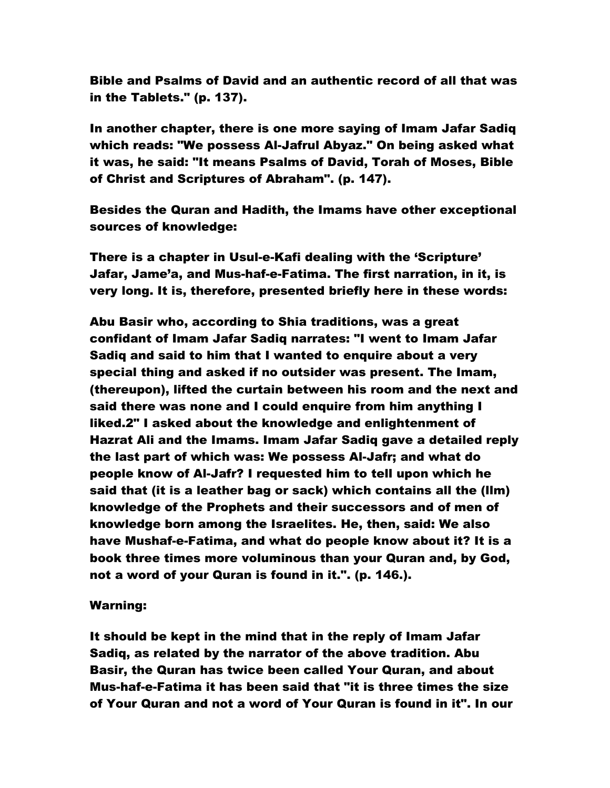Bible and Psalms of David and an authentic record of all that was in the Tablets." (p. 137).

In another chapter, there is one more saying of Imam Jafar Sadiq which reads: "We possess Al-Jafrul Abyaz." On being asked what it was, he said: "It means Psalms of David, Torah of Moses, Bible of Christ and Scriptures of Abraham". (p. 147).

Besides the Quran and Hadith, the Imams have other exceptional sources of knowledge:

There is a chapter in Usul-e-Kafi dealing with the 'Scripture' Jafar, Jame'a, and Mus-haf-e-Fatima. The first narration, in it, is very long. It is, therefore, presented briefly here in these words:

Abu Basir who, according to Shia traditions, was a great confidant of Imam Jafar Sadiq narrates: "I went to Imam Jafar Sadiq and said to him that I wanted to enquire about a very special thing and asked if no outsider was present. The Imam, (thereupon), lifted the curtain between his room and the next and said there was none and I could enquire from him anything I liked.2" I asked about the knowledge and enlightenment of Hazrat Ali and the Imams. Imam Jafar Sadiq gave a detailed reply the last part of which was: We possess Al-Jafr; and what do people know of Al-Jafr? I requested him to tell upon which he said that (it is a leather bag or sack) which contains all the (llm) knowledge of the Prophets and their successors and of men of knowledge born among the Israelites. He, then, said: We also have Mushaf-e-Fatima, and what do people know about it? It is a book three times more voluminous than your Quran and, by God, not a word of your Quran is found in it.". (p. 146.).

#### Warning:

It should be kept in the mind that in the reply of Imam Jafar Sadiq, as related by the narrator of the above tradition. Abu Basir, the Quran has twice been called Your Quran, and about Mus-haf-e-Fatima it has been said that "it is three times the size of Your Quran and not a word of Your Quran is found in it". In our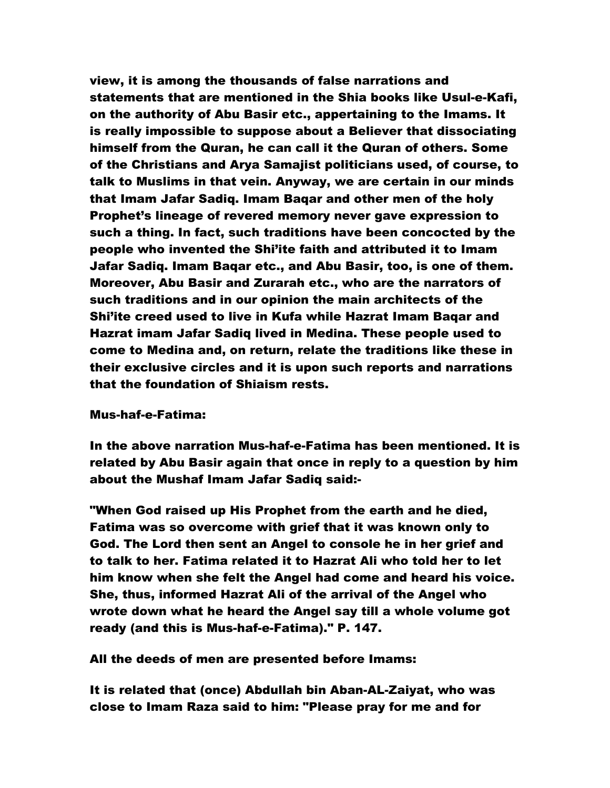view, it is among the thousands of false narrations and statements that are mentioned in the Shia books like Usul-e-Kafi, on the authority of Abu Basir etc., appertaining to the Imams. It is really impossible to suppose about a Believer that dissociating himself from the Quran, he can call it the Quran of others. Some of the Christians and Arya Samajist politicians used, of course, to talk to Muslims in that vein. Anyway, we are certain in our minds that Imam Jafar Sadiq. Imam Baqar and other men of the holy Prophet's lineage of revered memory never gave expression to such a thing. In fact, such traditions have been concocted by the people who invented the Shi'ite faith and attributed it to Imam Jafar Sadiq. Imam Baqar etc., and Abu Basir, too, is one of them. Moreover, Abu Basir and Zurarah etc., who are the narrators of such traditions and in our opinion the main architects of the Shi'ite creed used to live in Kufa while Hazrat Imam Baqar and Hazrat imam Jafar Sadiq lived in Medina. These people used to come to Medina and, on return, relate the traditions like these in their exclusive circles and it is upon such reports and narrations that the foundation of Shiaism rests.

#### Mus-haf-e-Fatima:

In the above narration Mus-haf-e-Fatima has been mentioned. It is related by Abu Basir again that once in reply to a question by him about the Mushaf Imam Jafar Sadiq said:-

"When God raised up His Prophet from the earth and he died, Fatima was so overcome with grief that it was known only to God. The Lord then sent an Angel to console he in her grief and to talk to her. Fatima related it to Hazrat Ali who told her to let him know when she felt the Angel had come and heard his voice. She, thus, informed Hazrat Ali of the arrival of the Angel who wrote down what he heard the Angel say till a whole volume got ready (and this is Mus-haf-e-Fatima)." P. 147.

All the deeds of men are presented before Imams:

It is related that (once) Abdullah bin Aban-AL-Zaiyat, who was close to Imam Raza said to him: "Please pray for me and for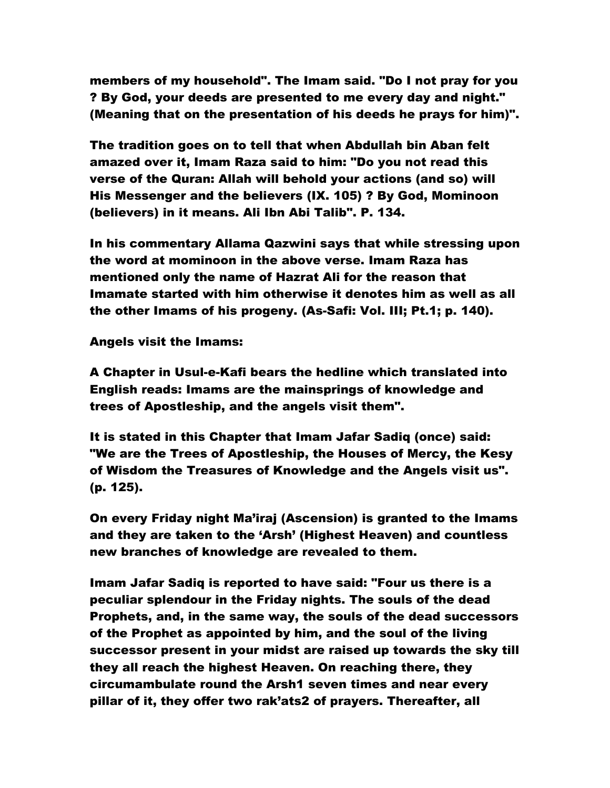members of my household". The Imam said. "Do I not pray for you ? By God, your deeds are presented to me every day and night." (Meaning that on the presentation of his deeds he prays for him)".

The tradition goes on to tell that when Abdullah bin Aban felt amazed over it, Imam Raza said to him: "Do you not read this verse of the Quran: Allah will behold your actions (and so) will His Messenger and the believers (IX. 105) ? By God, Mominoon (believers) in it means. Ali Ibn Abi Talib". P. 134.

In his commentary Allama Qazwini says that while stressing upon the word at mominoon in the above verse. Imam Raza has mentioned only the name of Hazrat Ali for the reason that Imamate started with him otherwise it denotes him as well as all the other Imams of his progeny. (As-Safi: Vol. III; Pt.1; p. 140).

Angels visit the Imams:

A Chapter in Usul-e-Kafi bears the hedline which translated into English reads: Imams are the mainsprings of knowledge and trees of Apostleship, and the angels visit them".

It is stated in this Chapter that Imam Jafar Sadiq (once) said: "We are the Trees of Apostleship, the Houses of Mercy, the Kesy of Wisdom the Treasures of Knowledge and the Angels visit us". (p. 125).

On every Friday night Ma'iraj (Ascension) is granted to the Imams and they are taken to the 'Arsh' (Highest Heaven) and countless new branches of knowledge are revealed to them.

Imam Jafar Sadiq is reported to have said: "Four us there is a peculiar splendour in the Friday nights. The souls of the dead Prophets, and, in the same way, the souls of the dead successors of the Prophet as appointed by him, and the soul of the living successor present in your midst are raised up towards the sky till they all reach the highest Heaven. On reaching there, they circumambulate round the Arsh1 seven times and near every pillar of it, they offer two rak'ats2 of prayers. Thereafter, all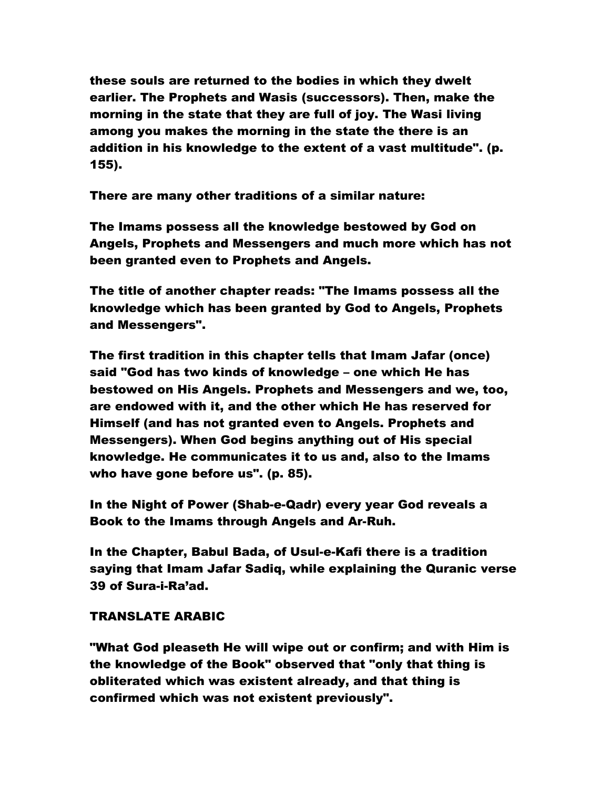these souls are returned to the bodies in which they dwelt earlier. The Prophets and Wasis (successors). Then, make the morning in the state that they are full of joy. The Wasi living among you makes the morning in the state the there is an addition in his knowledge to the extent of a vast multitude". (p. 155).

There are many other traditions of a similar nature:

The Imams possess all the knowledge bestowed by God on Angels, Prophets and Messengers and much more which has not been granted even to Prophets and Angels.

The title of another chapter reads: "The Imams possess all the knowledge which has been granted by God to Angels, Prophets and Messengers".

The first tradition in this chapter tells that Imam Jafar (once) said "God has two kinds of knowledge – one which He has bestowed on His Angels. Prophets and Messengers and we, too, are endowed with it, and the other which He has reserved for Himself (and has not granted even to Angels. Prophets and Messengers). When God begins anything out of His special knowledge. He communicates it to us and, also to the Imams who have gone before us". (p. 85).

In the Night of Power (Shab-e-Qadr) every year God reveals a Book to the Imams through Angels and Ar-Ruh.

In the Chapter, Babul Bada, of Usul-e-Kafi there is a tradition saying that Imam Jafar Sadiq, while explaining the Quranic verse 39 of Sura-i-Ra'ad.

# TRANSLATE ARABIC

"What God pleaseth He will wipe out or confirm; and with Him is the knowledge of the Book" observed that "only that thing is obliterated which was existent already, and that thing is confirmed which was not existent previously".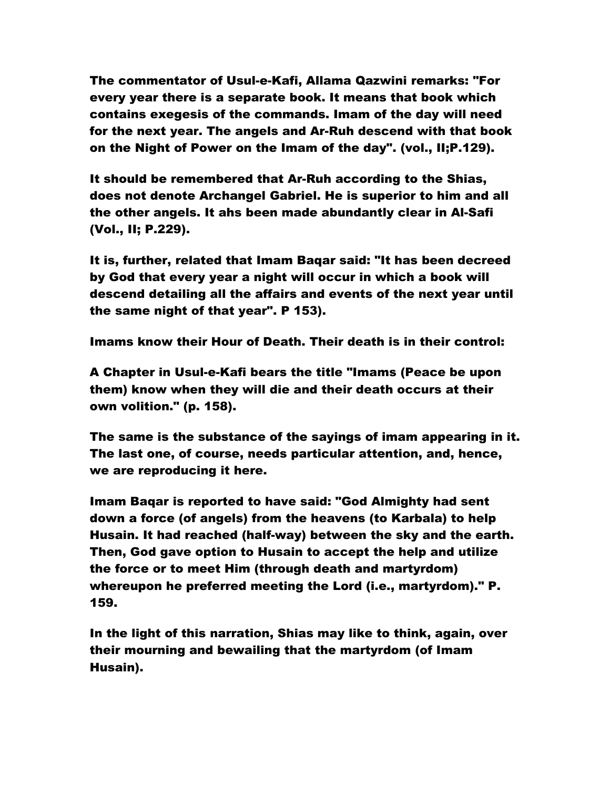The commentator of Usul-e-Kafi, Allama Qazwini remarks: "For every year there is a separate book. It means that book which contains exegesis of the commands. Imam of the day will need for the next year. The angels and Ar-Ruh descend with that book on the Night of Power on the Imam of the day". (vol., II;P.129).

It should be remembered that Ar-Ruh according to the Shias, does not denote Archangel Gabriel. He is superior to him and all the other angels. It ahs been made abundantly clear in Al-Safi (Vol., II; P.229).

It is, further, related that Imam Baqar said: "It has been decreed by God that every year a night will occur in which a book will descend detailing all the affairs and events of the next year until the same night of that year". P 153).

Imams know their Hour of Death. Their death is in their control:

A Chapter in Usul-e-Kafi bears the title "Imams (Peace be upon them) know when they will die and their death occurs at their own volition." (p. 158).

The same is the substance of the sayings of imam appearing in it. The last one, of course, needs particular attention, and, hence, we are reproducing it here.

Imam Baqar is reported to have said: "God Almighty had sent down a force (of angels) from the heavens (to Karbala) to help Husain. It had reached (half-way) between the sky and the earth. Then, God gave option to Husain to accept the help and utilize the force or to meet Him (through death and martyrdom) whereupon he preferred meeting the Lord (i.e., martyrdom)." P. 159.

In the light of this narration, Shias may like to think, again, over their mourning and bewailing that the martyrdom (of Imam Husain).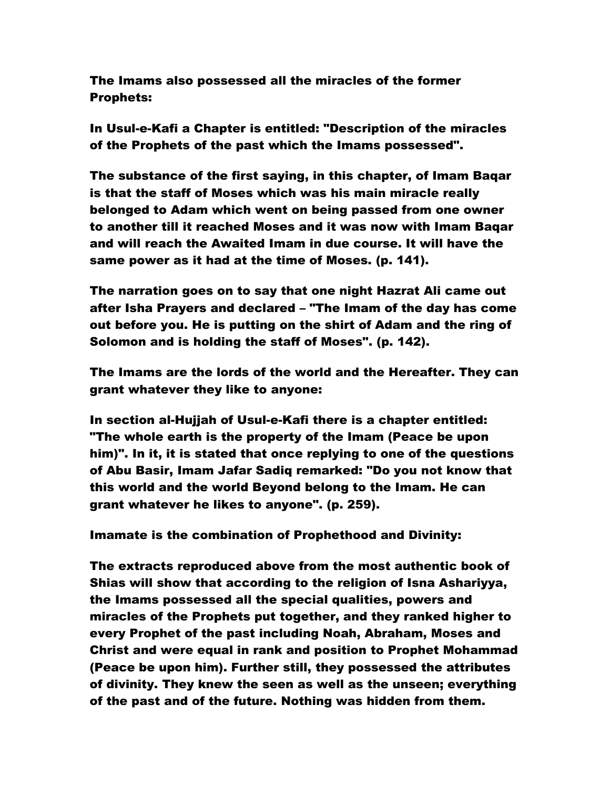The Imams also possessed all the miracles of the former Prophets:

In Usul-e-Kafi a Chapter is entitled: "Description of the miracles of the Prophets of the past which the Imams possessed".

The substance of the first saying, in this chapter, of Imam Baqar is that the staff of Moses which was his main miracle really belonged to Adam which went on being passed from one owner to another till it reached Moses and it was now with Imam Baqar and will reach the Awaited Imam in due course. It will have the same power as it had at the time of Moses. (p. 141).

The narration goes on to say that one night Hazrat Ali came out after Isha Prayers and declared – "The Imam of the day has come out before you. He is putting on the shirt of Adam and the ring of Solomon and is holding the staff of Moses". (p. 142).

The Imams are the lords of the world and the Hereafter. They can grant whatever they like to anyone:

In section al-Hujjah of Usul-e-Kafi there is a chapter entitled: "The whole earth is the property of the Imam (Peace be upon him)". In it, it is stated that once replying to one of the questions of Abu Basir, Imam Jafar Sadiq remarked: "Do you not know that this world and the world Beyond belong to the Imam. He can grant whatever he likes to anyone". (p. 259).

Imamate is the combination of Prophethood and Divinity:

The extracts reproduced above from the most authentic book of Shias will show that according to the religion of Isna Ashariyya, the Imams possessed all the special qualities, powers and miracles of the Prophets put together, and they ranked higher to every Prophet of the past including Noah, Abraham, Moses and Christ and were equal in rank and position to Prophet Mohammad (Peace be upon him). Further still, they possessed the attributes of divinity. They knew the seen as well as the unseen; everything of the past and of the future. Nothing was hidden from them.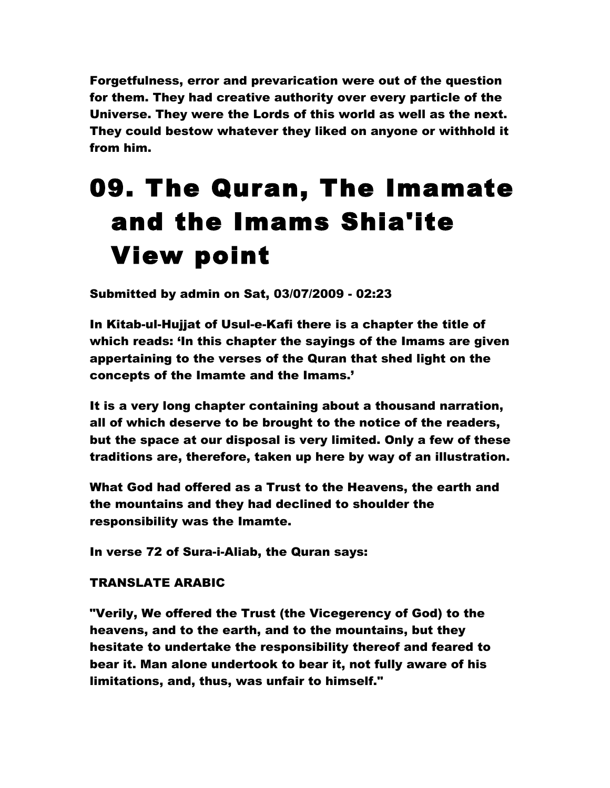Forgetfulness, error and prevarication were out of the question for them. They had creative authority over every particle of the Universe. They were the Lords of this world as well as the next. They could bestow whatever they liked on anyone or withhold it from him.

# 09. The Quran, The Imamate and the Imams Shia'ite View point

Submitted by admin on Sat, 03/07/2009 - 02:23

In Kitab-ul-Hujjat of Usul-e-Kafi there is a chapter the title of which reads: 'In this chapter the sayings of the Imams are given appertaining to the verses of the Quran that shed light on the concepts of the Imamte and the Imams.'

It is a very long chapter containing about a thousand narration, all of which deserve to be brought to the notice of the readers, but the space at our disposal is very limited. Only a few of these traditions are, therefore, taken up here by way of an illustration.

What God had offered as a Trust to the Heavens, the earth and the mountains and they had declined to shoulder the responsibility was the Imamte.

In verse 72 of Sura-i-Aliab, the Quran says:

# TRANSLATE ARABIC

"Verily, We offered the Trust (the Vicegerency of God) to the heavens, and to the earth, and to the mountains, but they hesitate to undertake the responsibility thereof and feared to bear it. Man alone undertook to bear it, not fully aware of his limitations, and, thus, was unfair to himself."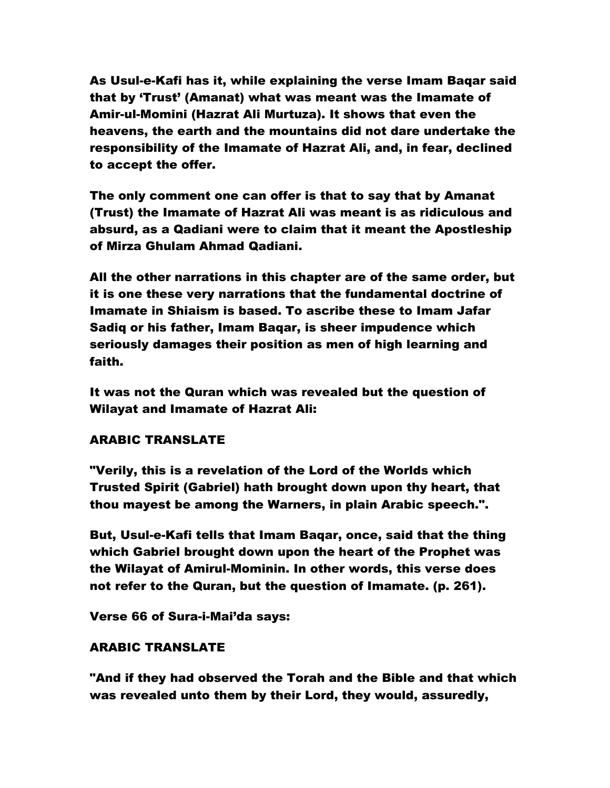As Usul-e-Kafi has it, while explaining the verse Imam Baqar said that by 'Trust' (Amanat) what was meant was the Imamate of Amir-ul-Momini (Hazrat Ali Murtuza). It shows that even the heavens, the earth and the mountains did not dare undertake the responsibility of the Imamate of Hazrat Ali, and, in fear, declined to accept the offer.

The only comment one can offer is that to say that by Amanat (Trust) the Imamate of Hazrat Ali was meant is as ridiculous and absurd, as a Qadiani were to claim that it meant the Apostleship of Mirza Ghulam Ahmad Qadiani.

All the other narrations in this chapter are of the same order, but it is one these very narrations that the fundamental doctrine of Imamate in Shiaism is based. To ascribe these to Imam Jafar Sadiq or his father, Imam Baqar, is sheer impudence which seriously damages their position as men of high learning and faith.

It was not the Quran which was revealed but the question of Wilayat and Imamate of Hazrat Ali:

# ARABIC TRANSLATE

"Verily, this is a revelation of the Lord of the Worlds which Trusted Spirit (Gabriel) hath brought down upon thy heart, that thou mayest be among the Warners, in plain Arabic speech.".

But, Usul-e-Kafi tells that Imam Baqar, once, said that the thing which Gabriel brought down upon the heart of the Prophet was the Wilayat of Amirul-Mominin. In other words, this verse does not refer to the Quran, but the question of Imamate. (p. 261).

Verse 66 of Sura-i-Mai'da says:

# ARABIC TRANSLATE

"And if they had observed the Torah and the Bible and that which was revealed unto them by their Lord, they would, assuredly,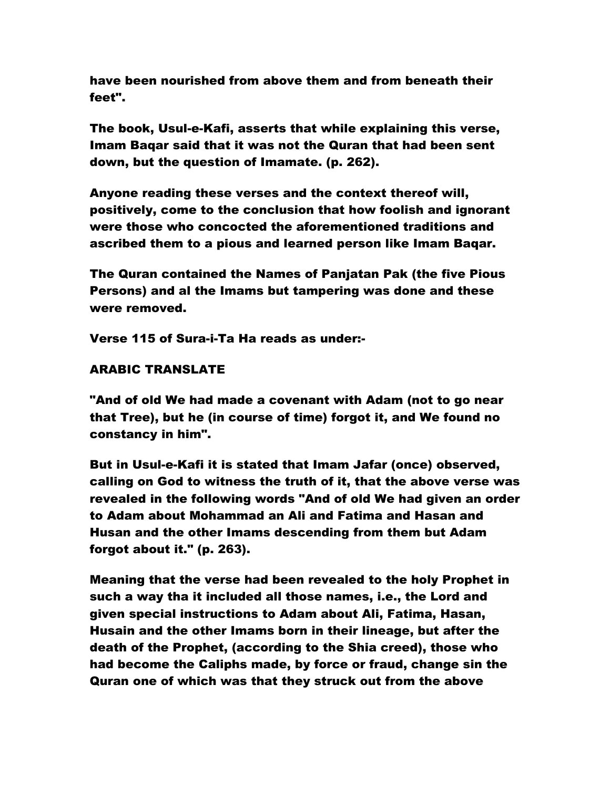have been nourished from above them and from beneath their feet".

The book, Usul-e-Kafi, asserts that while explaining this verse, Imam Baqar said that it was not the Quran that had been sent down, but the question of Imamate. (p. 262).

Anyone reading these verses and the context thereof will, positively, come to the conclusion that how foolish and ignorant were those who concocted the aforementioned traditions and ascribed them to a pious and learned person like Imam Baqar.

The Quran contained the Names of Panjatan Pak (the five Pious Persons) and al the Imams but tampering was done and these were removed.

Verse 115 of Sura-i-Ta Ha reads as under:-

### ARABIC TRANSLATE

"And of old We had made a covenant with Adam (not to go near that Tree), but he (in course of time) forgot it, and We found no constancy in him".

But in Usul-e-Kafi it is stated that Imam Jafar (once) observed, calling on God to witness the truth of it, that the above verse was revealed in the following words "And of old We had given an order to Adam about Mohammad an Ali and Fatima and Hasan and Husan and the other Imams descending from them but Adam forgot about it." (p. 263).

Meaning that the verse had been revealed to the holy Prophet in such a way tha it included all those names, i.e., the Lord and given special instructions to Adam about Ali, Fatima, Hasan, Husain and the other Imams born in their lineage, but after the death of the Prophet, (according to the Shia creed), those who had become the Caliphs made, by force or fraud, change sin the Quran one of which was that they struck out from the above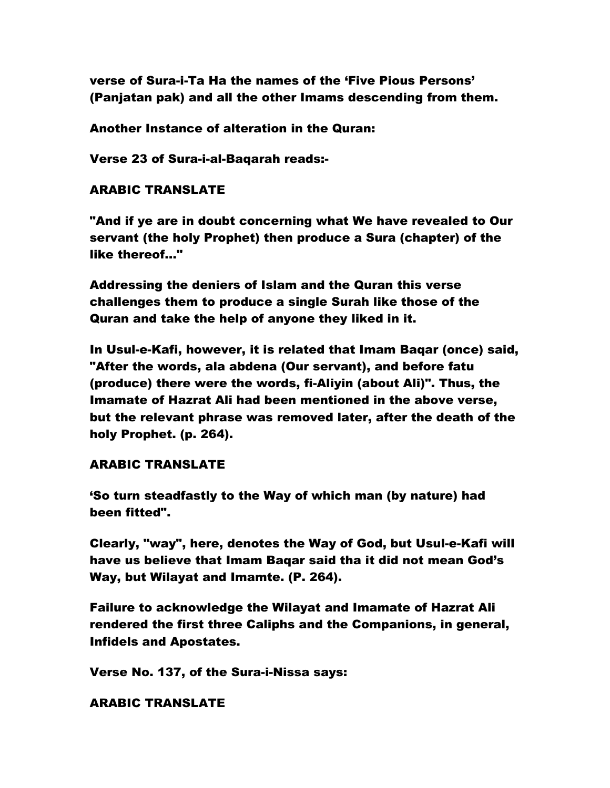verse of Sura-i-Ta Ha the names of the 'Five Pious Persons' (Panjatan pak) and all the other Imams descending from them.

Another Instance of alteration in the Quran:

Verse 23 of Sura-i-al-Baqarah reads:-

### ARABIC TRANSLATE

"And if ye are in doubt concerning what We have revealed to Our servant (the holy Prophet) then produce a Sura (chapter) of the like thereof…"

Addressing the deniers of Islam and the Quran this verse challenges them to produce a single Surah like those of the Quran and take the help of anyone they liked in it.

In Usul-e-Kafi, however, it is related that Imam Baqar (once) said, "After the words, ala abdena (Our servant), and before fatu (produce) there were the words, fi-Aliyin (about Ali)". Thus, the Imamate of Hazrat Ali had been mentioned in the above verse, but the relevant phrase was removed later, after the death of the holy Prophet. (p. 264).

### ARABIC TRANSLATE

'So turn steadfastly to the Way of which man (by nature) had been fitted".

Clearly, "way", here, denotes the Way of God, but Usul-e-Kafi will have us believe that Imam Baqar said tha it did not mean God's Way, but Wilayat and Imamte. (P. 264).

Failure to acknowledge the Wilayat and Imamate of Hazrat Ali rendered the first three Caliphs and the Companions, in general, Infidels and Apostates.

Verse No. 137, of the Sura-i-Nissa says:

### ARABIC TRANSLATE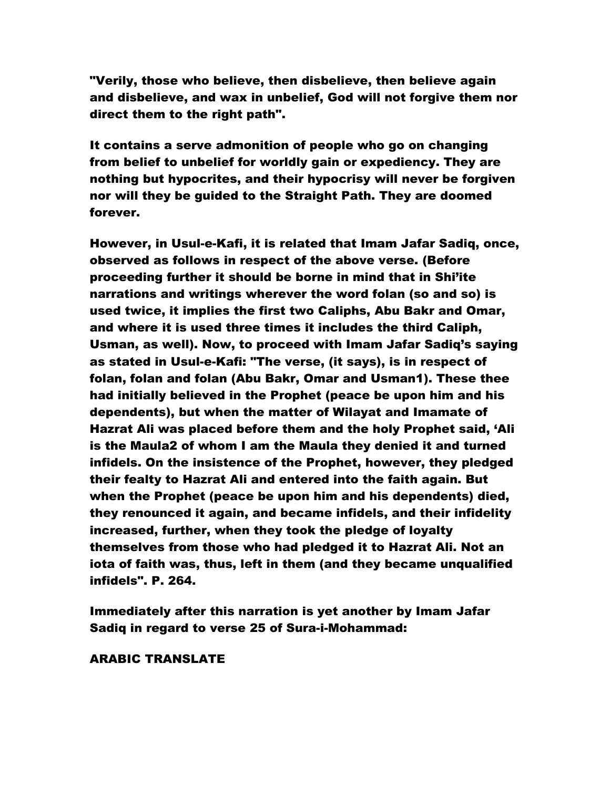"Verily, those who believe, then disbelieve, then believe again and disbelieve, and wax in unbelief, God will not forgive them nor direct them to the right path".

It contains a serve admonition of people who go on changing from belief to unbelief for worldly gain or expediency. They are nothing but hypocrites, and their hypocrisy will never be forgiven nor will they be guided to the Straight Path. They are doomed forever.

However, in Usul-e-Kafi, it is related that Imam Jafar Sadiq, once, observed as follows in respect of the above verse. (Before proceeding further it should be borne in mind that in Shi'ite narrations and writings wherever the word folan (so and so) is used twice, it implies the first two Caliphs, Abu Bakr and Omar, and where it is used three times it includes the third Caliph, Usman, as well). Now, to proceed with Imam Jafar Sadiq's saying as stated in Usul-e-Kafi: "The verse, (it says), is in respect of folan, folan and folan (Abu Bakr, Omar and Usman1). These thee had initially believed in the Prophet (peace be upon him and his dependents), but when the matter of Wilayat and Imamate of Hazrat Ali was placed before them and the holy Prophet said, 'Ali is the Maula2 of whom I am the Maula they denied it and turned infidels. On the insistence of the Prophet, however, they pledged their fealty to Hazrat Ali and entered into the faith again. But when the Prophet (peace be upon him and his dependents) died, they renounced it again, and became infidels, and their infidelity increased, further, when they took the pledge of loyalty themselves from those who had pledged it to Hazrat Ali. Not an iota of faith was, thus, left in them (and they became unqualified infidels". P. 264.

Immediately after this narration is yet another by Imam Jafar Sadiq in regard to verse 25 of Sura-i-Mohammad:

ARABIC TRANSLATE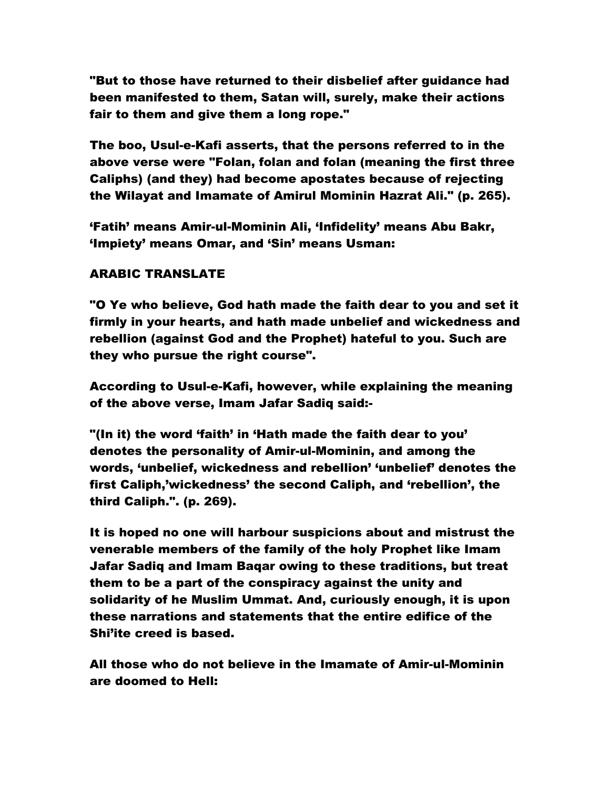"But to those have returned to their disbelief after guidance had been manifested to them, Satan will, surely, make their actions fair to them and give them a long rope."

The boo, Usul-e-Kafi asserts, that the persons referred to in the above verse were "Folan, folan and folan (meaning the first three Caliphs) (and they) had become apostates because of rejecting the Wilayat and Imamate of Amirul Mominin Hazrat Ali." (p. 265).

'Fatih' means Amir-ul-Mominin Ali, 'Infidelity' means Abu Bakr, 'Impiety' means Omar, and 'Sin' means Usman:

# ARABIC TRANSLATE

"O Ye who believe, God hath made the faith dear to you and set it firmly in your hearts, and hath made unbelief and wickedness and rebellion (against God and the Prophet) hateful to you. Such are they who pursue the right course".

According to Usul-e-Kafi, however, while explaining the meaning of the above verse, Imam Jafar Sadiq said:-

"(In it) the word 'faith' in 'Hath made the faith dear to you' denotes the personality of Amir-ul-Mominin, and among the words, 'unbelief, wickedness and rebellion' 'unbelief' denotes the first Caliph,'wickedness' the second Caliph, and 'rebellion', the third Caliph.". (p. 269).

It is hoped no one will harbour suspicions about and mistrust the venerable members of the family of the holy Prophet like Imam Jafar Sadiq and Imam Baqar owing to these traditions, but treat them to be a part of the conspiracy against the unity and solidarity of he Muslim Ummat. And, curiously enough, it is upon these narrations and statements that the entire edifice of the Shi'ite creed is based.

All those who do not believe in the Imamate of Amir-ul-Mominin are doomed to Hell: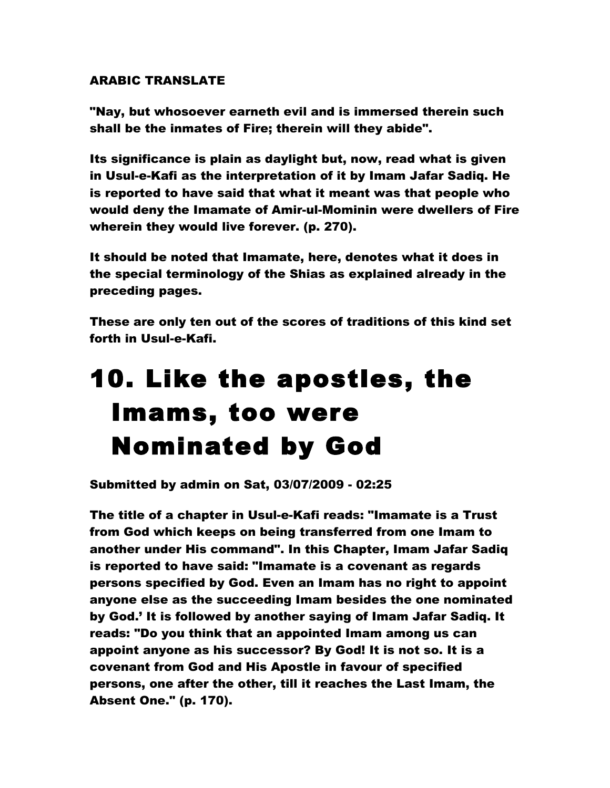# ARABIC TRANSLATE

"Nay, but whosoever earneth evil and is immersed therein such shall be the inmates of Fire; therein will they abide".

Its significance is plain as daylight but, now, read what is given in Usul-e-Kafi as the interpretation of it by Imam Jafar Sadiq. He is reported to have said that what it meant was that people who would deny the Imamate of Amir-ul-Mominin were dwellers of Fire wherein they would live forever. (p. 270).

It should be noted that Imamate, here, denotes what it does in the special terminology of the Shias as explained already in the preceding pages.

These are only ten out of the scores of traditions of this kind set forth in Usul-e-Kafi.

# 10. Like the apostles, the Imams, too were Nominated by God

Submitted by admin on Sat, 03/07/2009 - 02:25

The title of a chapter in Usul-e-Kafi reads: "Imamate is a Trust from God which keeps on being transferred from one Imam to another under His command". In this Chapter, Imam Jafar Sadiq is reported to have said: "Imamate is a covenant as regards persons specified by God. Even an Imam has no right to appoint anyone else as the succeeding Imam besides the one nominated by God.' It is followed by another saying of Imam Jafar Sadiq. It reads: "Do you think that an appointed Imam among us can appoint anyone as his successor? By God! It is not so. It is a covenant from God and His Apostle in favour of specified persons, one after the other, till it reaches the Last Imam, the Absent One." (p. 170).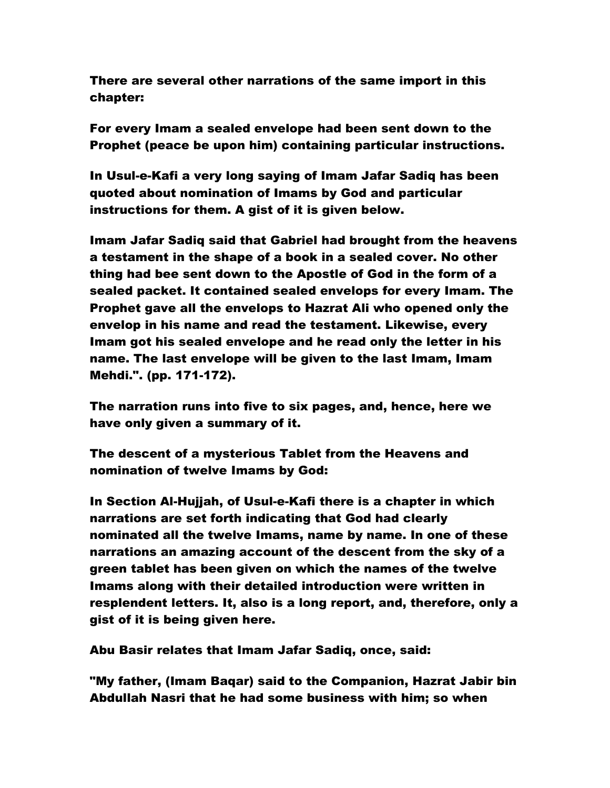There are several other narrations of the same import in this chapter:

For every Imam a sealed envelope had been sent down to the Prophet (peace be upon him) containing particular instructions.

In Usul-e-Kafi a very long saying of Imam Jafar Sadiq has been quoted about nomination of Imams by God and particular instructions for them. A gist of it is given below.

Imam Jafar Sadiq said that Gabriel had brought from the heavens a testament in the shape of a book in a sealed cover. No other thing had bee sent down to the Apostle of God in the form of a sealed packet. It contained sealed envelops for every Imam. The Prophet gave all the envelops to Hazrat Ali who opened only the envelop in his name and read the testament. Likewise, every Imam got his sealed envelope and he read only the letter in his name. The last envelope will be given to the last Imam, Imam Mehdi.". (pp. 171-172).

The narration runs into five to six pages, and, hence, here we have only given a summary of it.

The descent of a mysterious Tablet from the Heavens and nomination of twelve Imams by God:

In Section Al-Hujjah, of Usul-e-Kafi there is a chapter in which narrations are set forth indicating that God had clearly nominated all the twelve Imams, name by name. In one of these narrations an amazing account of the descent from the sky of a green tablet has been given on which the names of the twelve Imams along with their detailed introduction were written in resplendent letters. It, also is a long report, and, therefore, only a gist of it is being given here.

Abu Basir relates that Imam Jafar Sadiq, once, said:

"My father, (Imam Baqar) said to the Companion, Hazrat Jabir bin Abdullah Nasri that he had some business with him; so when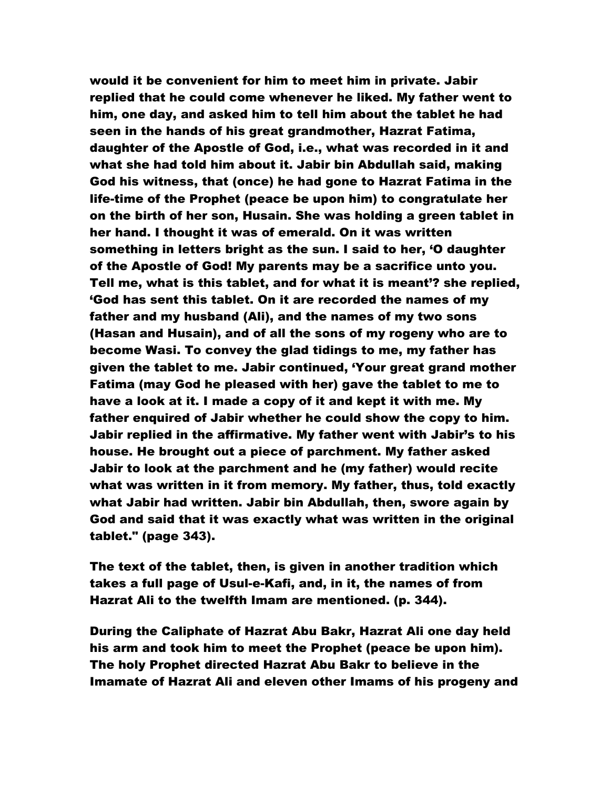would it be convenient for him to meet him in private. Jabir replied that he could come whenever he liked. My father went to him, one day, and asked him to tell him about the tablet he had seen in the hands of his great grandmother, Hazrat Fatima, daughter of the Apostle of God, i.e., what was recorded in it and what she had told him about it. Jabir bin Abdullah said, making God his witness, that (once) he had gone to Hazrat Fatima in the life-time of the Prophet (peace be upon him) to congratulate her on the birth of her son, Husain. She was holding a green tablet in her hand. I thought it was of emerald. On it was written something in letters bright as the sun. I said to her, 'O daughter of the Apostle of God! My parents may be a sacrifice unto you. Tell me, what is this tablet, and for what it is meant'? she replied, 'God has sent this tablet. On it are recorded the names of my father and my husband (Ali), and the names of my two sons (Hasan and Husain), and of all the sons of my rogeny who are to become Wasi. To convey the glad tidings to me, my father has given the tablet to me. Jabir continued, 'Your great grand mother Fatima (may God he pleased with her) gave the tablet to me to have a look at it. I made a copy of it and kept it with me. My father enquired of Jabir whether he could show the copy to him. Jabir replied in the affirmative. My father went with Jabir's to his house. He brought out a piece of parchment. My father asked Jabir to look at the parchment and he (my father) would recite what was written in it from memory. My father, thus, told exactly what Jabir had written. Jabir bin Abdullah, then, swore again by God and said that it was exactly what was written in the original tablet." (page 343).

The text of the tablet, then, is given in another tradition which takes a full page of Usul-e-Kafi, and, in it, the names of from Hazrat Ali to the twelfth Imam are mentioned. (p. 344).

During the Caliphate of Hazrat Abu Bakr, Hazrat Ali one day held his arm and took him to meet the Prophet (peace be upon him). The holy Prophet directed Hazrat Abu Bakr to believe in the Imamate of Hazrat Ali and eleven other Imams of his progeny and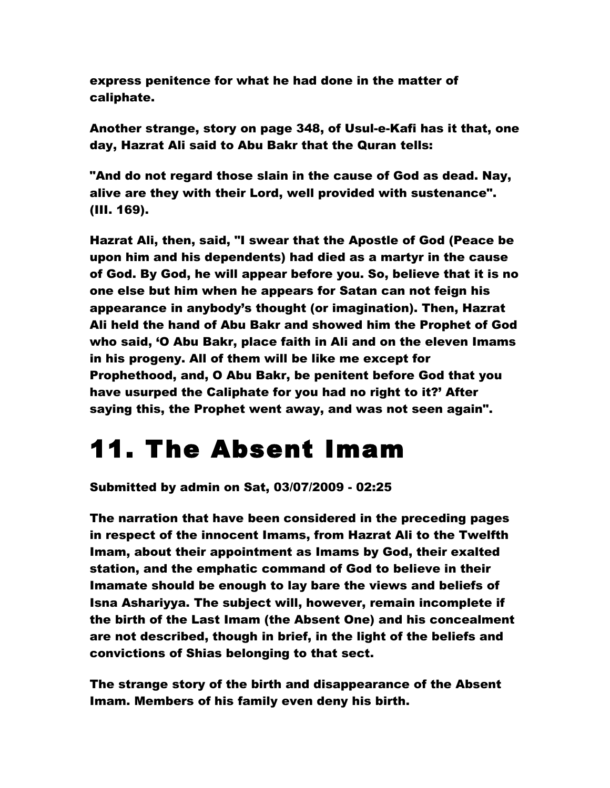express penitence for what he had done in the matter of caliphate.

Another strange, story on page 348, of Usul-e-Kafi has it that, one day, Hazrat Ali said to Abu Bakr that the Quran tells:

"And do not regard those slain in the cause of God as dead. Nay, alive are they with their Lord, well provided with sustenance". (III. 169).

Hazrat Ali, then, said, "I swear that the Apostle of God (Peace be upon him and his dependents) had died as a martyr in the cause of God. By God, he will appear before you. So, believe that it is no one else but him when he appears for Satan can not feign his appearance in anybody's thought (or imagination). Then, Hazrat Ali held the hand of Abu Bakr and showed him the Prophet of God who said, 'O Abu Bakr, place faith in Ali and on the eleven Imams in his progeny. All of them will be like me except for Prophethood, and, O Abu Bakr, be penitent before God that you have usurped the Caliphate for you had no right to it?' After saying this, the Prophet went away, and was not seen again".

# 11. The Absent Imam

Submitted by admin on Sat, 03/07/2009 - 02:25

The narration that have been considered in the preceding pages in respect of the innocent Imams, from Hazrat Ali to the Twelfth Imam, about their appointment as Imams by God, their exalted station, and the emphatic command of God to believe in their Imamate should be enough to lay bare the views and beliefs of Isna Ashariyya. The subject will, however, remain incomplete if the birth of the Last Imam (the Absent One) and his concealment are not described, though in brief, in the light of the beliefs and convictions of Shias belonging to that sect.

The strange story of the birth and disappearance of the Absent Imam. Members of his family even deny his birth.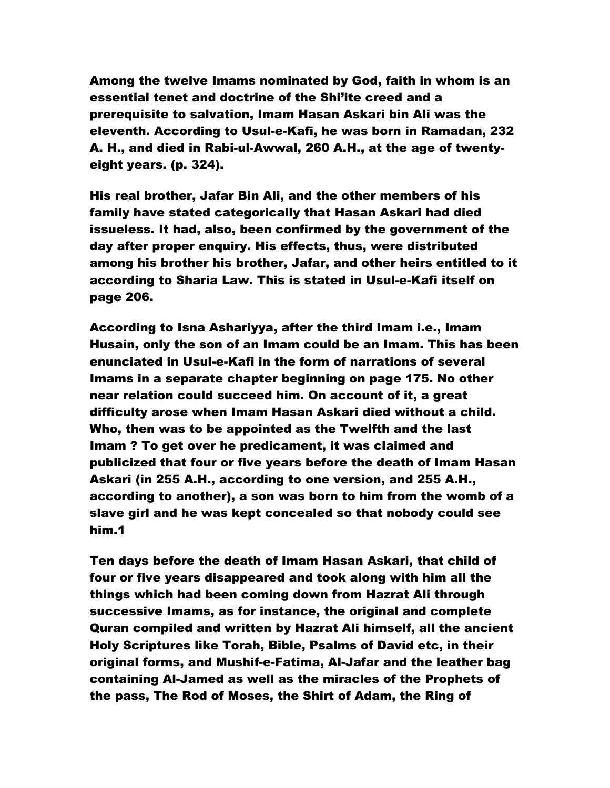Among the twelve Imams nominated by God, faith in whom is an essential tenet and doctrine of the Shi'ite creed and a prerequisite to salvation, Imam Hasan Askari bin Ali was the eleventh. According to Usul-e-Kafi, he was born in Ramadan, 232 A. H., and died in Rabi-ul-Awwal, 260 A.H., at the age of twentyeight years. (p. 324).

His real brother, Jafar Bin Ali, and the other members of his family have stated categorically that Hasan Askari had died issueless. It had, also, been confirmed by the government of the day after proper enquiry. His effects, thus, were distributed among his brother his brother, Jafar, and other heirs entitled to it according to Sharia Law. This is stated in Usul-e-Kafi itself on page 206.

According to Isna Ashariyya, after the third Imam i.e., Imam Husain, only the son of an Imam could be an Imam. This has been enunciated in Usul-e-Kafi in the form of narrations of several Imams in a separate chapter beginning on page 175. No other near relation could succeed him. On account of it, a great difficulty arose when Imam Hasan Askari died without a child. Who, then was to be appointed as the Twelfth and the last Imam ? To get over he predicament, it was claimed and publicized that four or five years before the death of Imam Hasan Askari (in 255 A.H., according to one version, and 255 A.H., according to another), a son was born to him from the womb of a slave girl and he was kept concealed so that nobody could see him.1

Ten days before the death of Imam Hasan Askari, that child of four or five years disappeared and took along with him all the things which had been coming down from Hazrat Ali through successive Imams, as for instance, the original and complete Quran compiled and written by Hazrat Ali himself, all the ancient Holy Scriptures like Torah, Bible, Psalms of David etc, in their original forms, and Mushif-e-Fatima, Al-Jafar and the leather bag containing Al-Jamed as well as the miracles of the Prophets of the pass, The Rod of Moses, the Shirt of Adam, the Ring of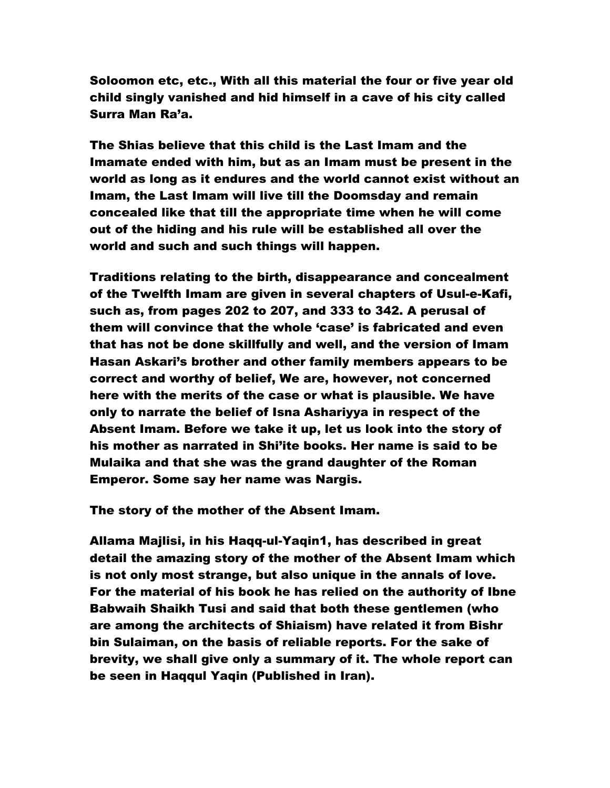Soloomon etc, etc., With all this material the four or five year old child singly vanished and hid himself in a cave of his city called Surra Man Ra'a.

The Shias believe that this child is the Last Imam and the Imamate ended with him, but as an Imam must be present in the world as long as it endures and the world cannot exist without an Imam, the Last Imam will live till the Doomsday and remain concealed like that till the appropriate time when he will come out of the hiding and his rule will be established all over the world and such and such things will happen.

Traditions relating to the birth, disappearance and concealment of the Twelfth Imam are given in several chapters of Usul-e-Kafi, such as, from pages 202 to 207, and 333 to 342. A perusal of them will convince that the whole 'case' is fabricated and even that has not be done skillfully and well, and the version of Imam Hasan Askari's brother and other family members appears to be correct and worthy of belief, We are, however, not concerned here with the merits of the case or what is plausible. We have only to narrate the belief of Isna Ashariyya in respect of the Absent Imam. Before we take it up, let us look into the story of his mother as narrated in Shi'ite books. Her name is said to be Mulaika and that she was the grand daughter of the Roman Emperor. Some say her name was Nargis.

The story of the mother of the Absent Imam.

Allama Majlisi, in his Haqq-ul-Yaqin1, has described in great detail the amazing story of the mother of the Absent Imam which is not only most strange, but also unique in the annals of love. For the material of his book he has relied on the authority of Ibne Babwaih Shaikh Tusi and said that both these gentlemen (who are among the architects of Shiaism) have related it from Bishr bin Sulaiman, on the basis of reliable reports. For the sake of brevity, we shall give only a summary of it. The whole report can be seen in Haqqul Yaqin (Published in Iran).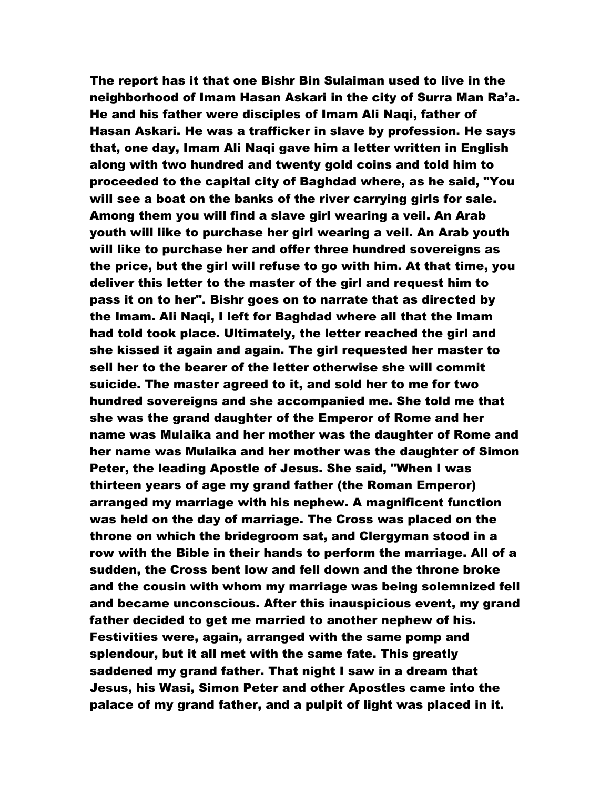The report has it that one Bishr Bin Sulaiman used to live in the neighborhood of Imam Hasan Askari in the city of Surra Man Ra'a. He and his father were disciples of Imam Ali Naqi, father of Hasan Askari. He was a trafficker in slave by profession. He says that, one day, Imam Ali Naqi gave him a letter written in English along with two hundred and twenty gold coins and told him to proceeded to the capital city of Baghdad where, as he said, "You will see a boat on the banks of the river carrying girls for sale. Among them you will find a slave girl wearing a veil. An Arab youth will like to purchase her girl wearing a veil. An Arab youth will like to purchase her and offer three hundred sovereigns as the price, but the girl will refuse to go with him. At that time, you deliver this letter to the master of the girl and request him to pass it on to her". Bishr goes on to narrate that as directed by the Imam. Ali Naqi, I left for Baghdad where all that the Imam had told took place. Ultimately, the letter reached the girl and she kissed it again and again. The girl requested her master to sell her to the bearer of the letter otherwise she will commit suicide. The master agreed to it, and sold her to me for two hundred sovereigns and she accompanied me. She told me that she was the grand daughter of the Emperor of Rome and her name was Mulaika and her mother was the daughter of Rome and her name was Mulaika and her mother was the daughter of Simon Peter, the leading Apostle of Jesus. She said, "When I was thirteen years of age my grand father (the Roman Emperor) arranged my marriage with his nephew. A magnificent function was held on the day of marriage. The Cross was placed on the throne on which the bridegroom sat, and Clergyman stood in a row with the Bible in their hands to perform the marriage. All of a sudden, the Cross bent low and fell down and the throne broke and the cousin with whom my marriage was being solemnized fell and became unconscious. After this inauspicious event, my grand father decided to get me married to another nephew of his. Festivities were, again, arranged with the same pomp and splendour, but it all met with the same fate. This greatly saddened my grand father. That night I saw in a dream that Jesus, his Wasi, Simon Peter and other Apostles came into the palace of my grand father, and a pulpit of light was placed in it.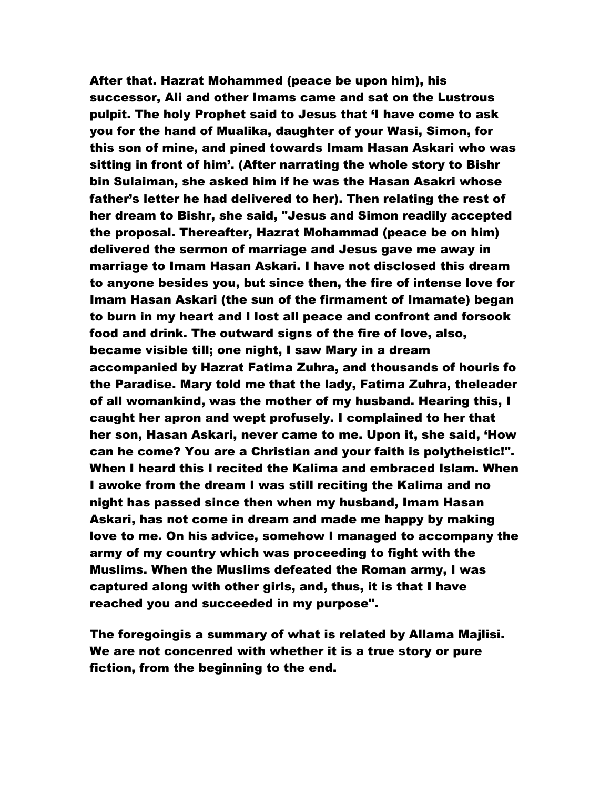After that. Hazrat Mohammed (peace be upon him), his successor, Ali and other Imams came and sat on the Lustrous pulpit. The holy Prophet said to Jesus that 'I have come to ask you for the hand of Mualika, daughter of your Wasi, Simon, for this son of mine, and pined towards Imam Hasan Askari who was sitting in front of him'. (After narrating the whole story to Bishr bin Sulaiman, she asked him if he was the Hasan Asakri whose father's letter he had delivered to her). Then relating the rest of her dream to Bishr, she said, "Jesus and Simon readily accepted the proposal. Thereafter, Hazrat Mohammad (peace be on him) delivered the sermon of marriage and Jesus gave me away in marriage to Imam Hasan Askari. I have not disclosed this dream to anyone besides you, but since then, the fire of intense love for Imam Hasan Askari (the sun of the firmament of Imamate) began to burn in my heart and I lost all peace and confront and forsook food and drink. The outward signs of the fire of love, also, became visible till; one night, I saw Mary in a dream accompanied by Hazrat Fatima Zuhra, and thousands of houris fo the Paradise. Mary told me that the lady, Fatima Zuhra, theleader of all womankind, was the mother of my husband. Hearing this, I caught her apron and wept profusely. I complained to her that her son, Hasan Askari, never came to me. Upon it, she said, 'How can he come? You are a Christian and your faith is polytheistic!". When I heard this I recited the Kalima and embraced Islam. When I awoke from the dream I was still reciting the Kalima and no night has passed since then when my husband, Imam Hasan Askari, has not come in dream and made me happy by making love to me. On his advice, somehow I managed to accompany the army of my country which was proceeding to fight with the Muslims. When the Muslims defeated the Roman army, I was captured along with other girls, and, thus, it is that I have reached you and succeeded in my purpose".

The foregoingis a summary of what is related by Allama Majlisi. We are not concenred with whether it is a true story or pure fiction, from the beginning to the end.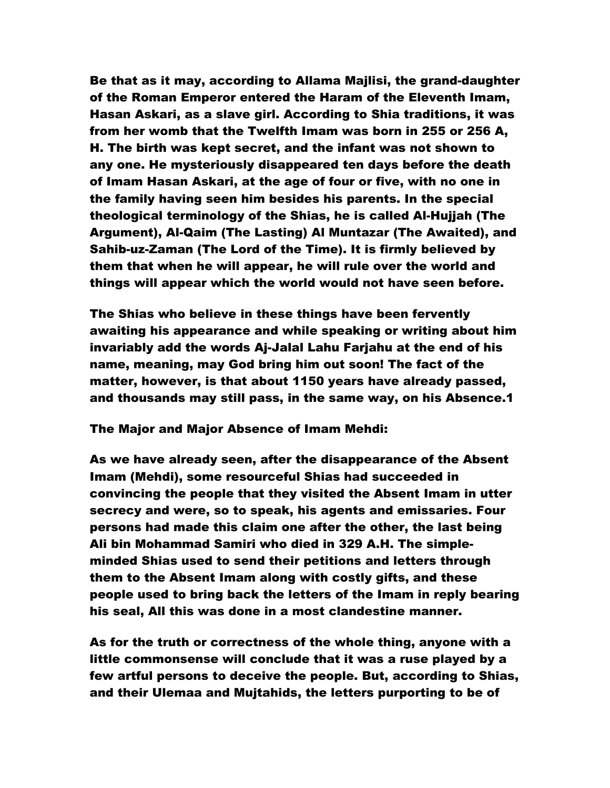Be that as it may, according to Allama Majlisi, the grand-daughter of the Roman Emperor entered the Haram of the Eleventh Imam, Hasan Askari, as a slave girl. According to Shia traditions, it was from her womb that the Twelfth Imam was born in 255 or 256 A, H. The birth was kept secret, and the infant was not shown to any one. He mysteriously disappeared ten days before the death of Imam Hasan Askari, at the age of four or five, with no one in the family having seen him besides his parents. In the special theological terminology of the Shias, he is called Al-Hujjah (The Argument), Al-Qaim (The Lasting) Al Muntazar (The Awaited), and Sahib-uz-Zaman (The Lord of the Time). It is firmly believed by them that when he will appear, he will rule over the world and things will appear which the world would not have seen before.

The Shias who believe in these things have been fervently awaiting his appearance and while speaking or writing about him invariably add the words Aj-Jalal Lahu Farjahu at the end of his name, meaning, may God bring him out soon! The fact of the matter, however, is that about 1150 years have already passed, and thousands may still pass, in the same way, on his Absence.1

The Major and Major Absence of Imam Mehdi:

As we have already seen, after the disappearance of the Absent Imam (Mehdi), some resourceful Shias had succeeded in convincing the people that they visited the Absent Imam in utter secrecy and were, so to speak, his agents and emissaries. Four persons had made this claim one after the other, the last being Ali bin Mohammad Samiri who died in 329 A.H. The simpleminded Shias used to send their petitions and letters through them to the Absent Imam along with costly gifts, and these people used to bring back the letters of the Imam in reply bearing his seal, All this was done in a most clandestine manner.

As for the truth or correctness of the whole thing, anyone with a little commonsense will conclude that it was a ruse played by a few artful persons to deceive the people. But, according to Shias, and their Ulemaa and Mujtahids, the letters purporting to be of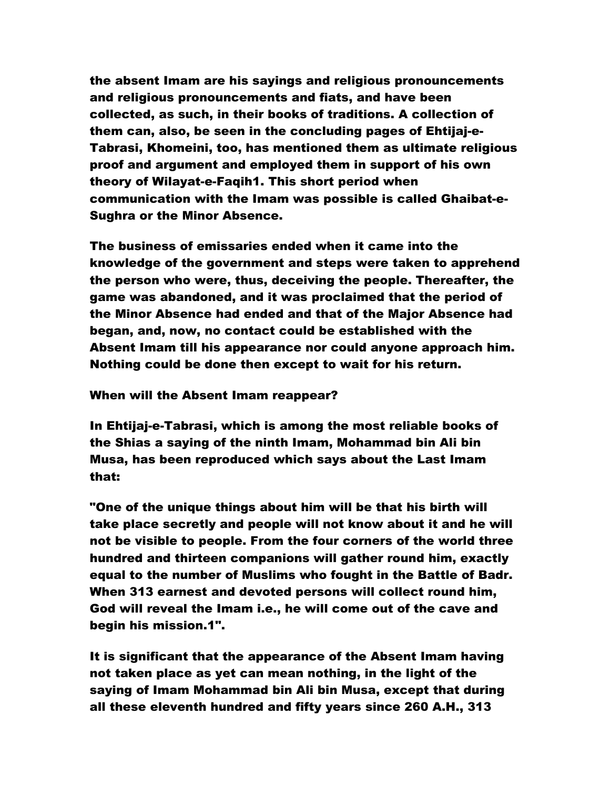the absent Imam are his sayings and religious pronouncements and religious pronouncements and fiats, and have been collected, as such, in their books of traditions. A collection of them can, also, be seen in the concluding pages of Ehtijaj-e-Tabrasi, Khomeini, too, has mentioned them as ultimate religious proof and argument and employed them in support of his own theory of Wilayat-e-Faqih1. This short period when communication with the Imam was possible is called Ghaibat-e-Sughra or the Minor Absence.

The business of emissaries ended when it came into the knowledge of the government and steps were taken to apprehend the person who were, thus, deceiving the people. Thereafter, the game was abandoned, and it was proclaimed that the period of the Minor Absence had ended and that of the Major Absence had began, and, now, no contact could be established with the Absent Imam till his appearance nor could anyone approach him. Nothing could be done then except to wait for his return.

When will the Absent Imam reappear?

In Ehtijaj-e-Tabrasi, which is among the most reliable books of the Shias a saying of the ninth Imam, Mohammad bin Ali bin Musa, has been reproduced which says about the Last Imam that:

"One of the unique things about him will be that his birth will take place secretly and people will not know about it and he will not be visible to people. From the four corners of the world three hundred and thirteen companions will gather round him, exactly equal to the number of Muslims who fought in the Battle of Badr. When 313 earnest and devoted persons will collect round him, God will reveal the Imam i.e., he will come out of the cave and begin his mission.1".

It is significant that the appearance of the Absent Imam having not taken place as yet can mean nothing, in the light of the saying of Imam Mohammad bin Ali bin Musa, except that during all these eleventh hundred and fifty years since 260 A.H., 313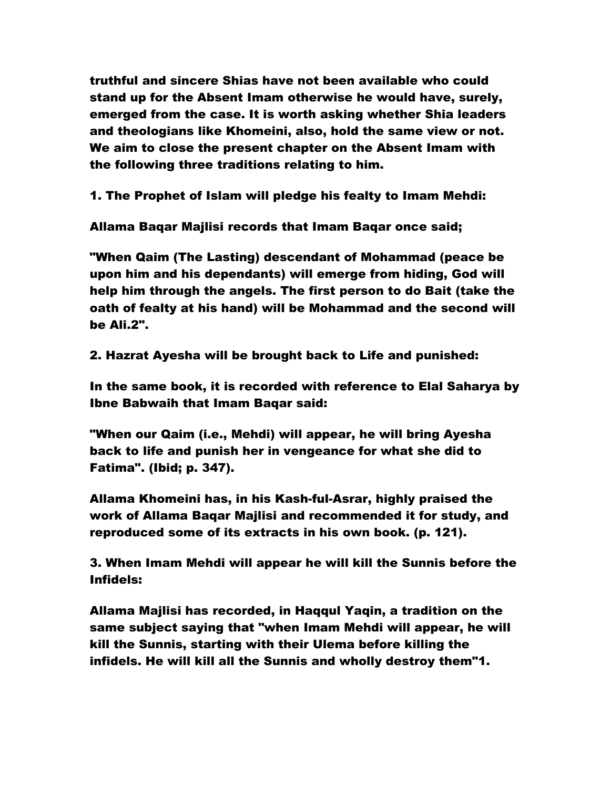truthful and sincere Shias have not been available who could stand up for the Absent Imam otherwise he would have, surely, emerged from the case. It is worth asking whether Shia leaders and theologians like Khomeini, also, hold the same view or not. We aim to close the present chapter on the Absent Imam with the following three traditions relating to him.

1. The Prophet of Islam will pledge his fealty to Imam Mehdi:

Allama Baqar Majlisi records that Imam Baqar once said;

"When Qaim (The Lasting) descendant of Mohammad (peace be upon him and his dependants) will emerge from hiding, God will help him through the angels. The first person to do Bait (take the oath of fealty at his hand) will be Mohammad and the second will be Ali.2".

2. Hazrat Ayesha will be brought back to Life and punished:

In the same book, it is recorded with reference to Elal Saharya by Ibne Babwaih that Imam Baqar said:

"When our Qaim (i.e., Mehdi) will appear, he will bring Ayesha back to life and punish her in vengeance for what she did to Fatima". (Ibid; p. 347).

Allama Khomeini has, in his Kash-ful-Asrar, highly praised the work of Allama Baqar Majlisi and recommended it for study, and reproduced some of its extracts in his own book. (p. 121).

3. When Imam Mehdi will appear he will kill the Sunnis before the Infidels:

Allama Majlisi has recorded, in Haqqul Yaqin, a tradition on the same subject saying that "when Imam Mehdi will appear, he will kill the Sunnis, starting with their Ulema before killing the infidels. He will kill all the Sunnis and wholly destroy them"1.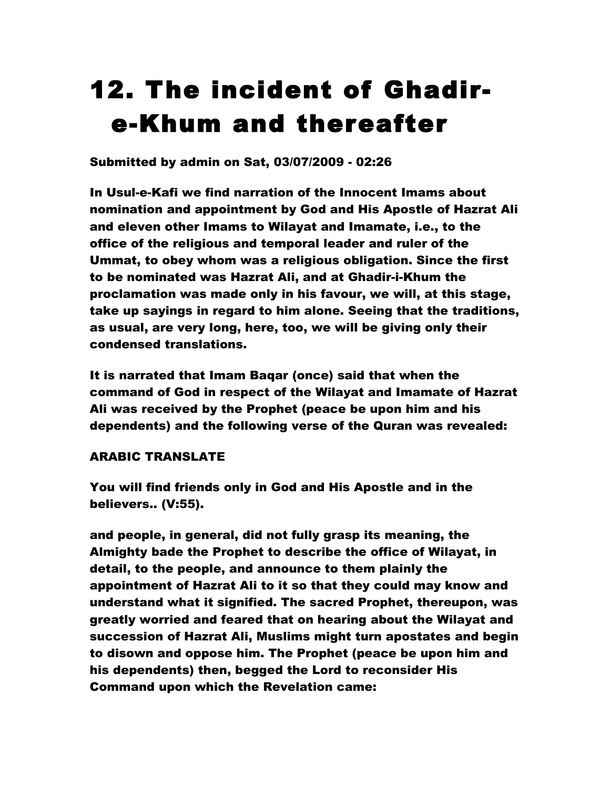# 12. The incident of Ghadire-Khum and thereafter

Submitted by admin on Sat, 03/07/2009 - 02:26

In Usul-e-Kafi we find narration of the Innocent Imams about nomination and appointment by God and His Apostle of Hazrat Ali and eleven other Imams to Wilayat and Imamate, i.e., to the office of the religious and temporal leader and ruler of the Ummat, to obey whom was a religious obligation. Since the first to be nominated was Hazrat Ali, and at Ghadir-i-Khum the proclamation was made only in his favour, we will, at this stage, take up sayings in regard to him alone. Seeing that the traditions, as usual, are very long, here, too, we will be giving only their condensed translations.

It is narrated that Imam Baqar (once) said that when the command of God in respect of the Wilayat and Imamate of Hazrat Ali was received by the Prophet (peace be upon him and his dependents) and the following verse of the Quran was revealed:

# ARABIC TRANSLATE

You will find friends only in God and His Apostle and in the believers.. (V:55).

and people, in general, did not fully grasp its meaning, the Almighty bade the Prophet to describe the office of Wilayat, in detail, to the people, and announce to them plainly the appointment of Hazrat Ali to it so that they could may know and understand what it signified. The sacred Prophet, thereupon, was greatly worried and feared that on hearing about the Wilayat and succession of Hazrat Ali, Muslims might turn apostates and begin to disown and oppose him. The Prophet (peace be upon him and his dependents) then, begged the Lord to reconsider His Command upon which the Revelation came: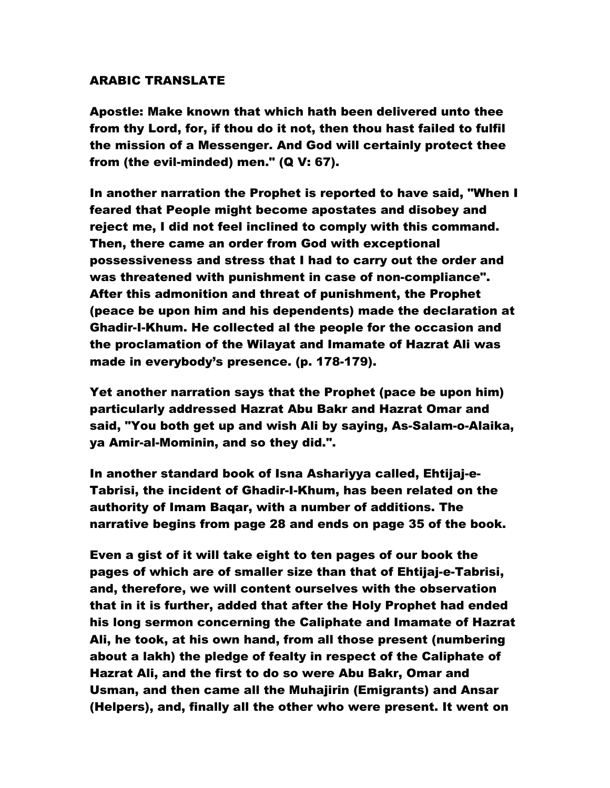### ARABIC TRANSLATE

Apostle: Make known that which hath been delivered unto thee from thy Lord, for, if thou do it not, then thou hast failed to fulfil the mission of a Messenger. And God will certainly protect thee from (the evil-minded) men." (Q V: 67).

In another narration the Prophet is reported to have said, "When I feared that People might become apostates and disobey and reject me, I did not feel inclined to comply with this command. Then, there came an order from God with exceptional possessiveness and stress that I had to carry out the order and was threatened with punishment in case of non-compliance". After this admonition and threat of punishment, the Prophet (peace be upon him and his dependents) made the declaration at Ghadir-I-Khum. He collected al the people for the occasion and the proclamation of the Wilayat and Imamate of Hazrat Ali was made in everybody's presence. (p. 178-179).

Yet another narration says that the Prophet (pace be upon him) particularly addressed Hazrat Abu Bakr and Hazrat Omar and said, "You both get up and wish Ali by saying, As-Salam-o-Alaika, ya Amir-al-Mominin, and so they did.".

In another standard book of Isna Ashariyya called, Ehtijaj-e-Tabrisi, the incident of Ghadir-I-Khum, has been related on the authority of Imam Baqar, with a number of additions. The narrative begins from page 28 and ends on page 35 of the book.

Even a gist of it will take eight to ten pages of our book the pages of which are of smaller size than that of Ehtijaj-e-Tabrisi, and, therefore, we will content ourselves with the observation that in it is further, added that after the Holy Prophet had ended his long sermon concerning the Caliphate and Imamate of Hazrat Ali, he took, at his own hand, from all those present (numbering about a lakh) the pledge of fealty in respect of the Caliphate of Hazrat Ali, and the first to do so were Abu Bakr, Omar and Usman, and then came all the Muhajirin (Emigrants) and Ansar (Helpers), and, finally all the other who were present. It went on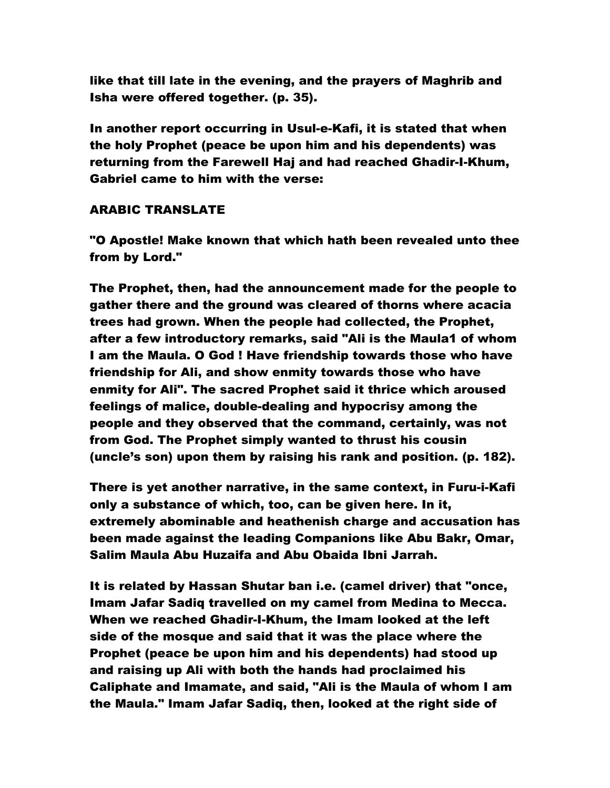like that till late in the evening, and the prayers of Maghrib and Isha were offered together. (p. 35).

In another report occurring in Usul-e-Kafi, it is stated that when the holy Prophet (peace be upon him and his dependents) was returning from the Farewell Haj and had reached Ghadir-I-Khum, Gabriel came to him with the verse:

### ARABIC TRANSLATE

"O Apostle! Make known that which hath been revealed unto thee from by Lord."

The Prophet, then, had the announcement made for the people to gather there and the ground was cleared of thorns where acacia trees had grown. When the people had collected, the Prophet, after a few introductory remarks, said "Ali is the Maula1 of whom I am the Maula. O God ! Have friendship towards those who have friendship for Ali, and show enmity towards those who have enmity for Ali". The sacred Prophet said it thrice which aroused feelings of malice, double-dealing and hypocrisy among the people and they observed that the command, certainly, was not from God. The Prophet simply wanted to thrust his cousin (uncle's son) upon them by raising his rank and position. (p. 182).

There is yet another narrative, in the same context, in Furu-i-Kafi only a substance of which, too, can be given here. In it, extremely abominable and heathenish charge and accusation has been made against the leading Companions like Abu Bakr, Omar, Salim Maula Abu Huzaifa and Abu Obaida Ibni Jarrah.

It is related by Hassan Shutar ban i.e. (camel driver) that "once, Imam Jafar Sadiq travelled on my camel from Medina to Mecca. When we reached Ghadir-I-Khum, the Imam looked at the left side of the mosque and said that it was the place where the Prophet (peace be upon him and his dependents) had stood up and raising up Ali with both the hands had proclaimed his Caliphate and Imamate, and said, "Ali is the Maula of whom I am the Maula." Imam Jafar Sadiq, then, looked at the right side of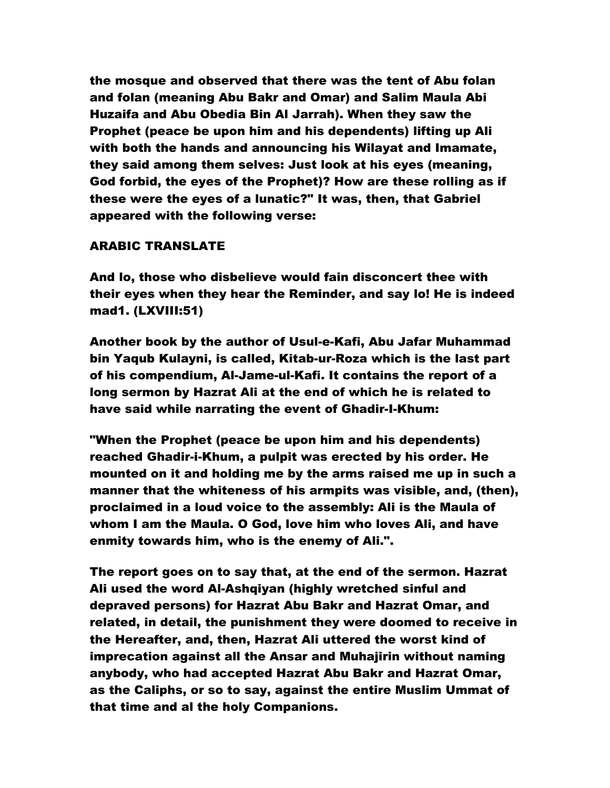the mosque and observed that there was the tent of Abu folan and folan (meaning Abu Bakr and Omar) and Salim Maula Abi Huzaifa and Abu Obedia Bin Al Jarrah). When they saw the Prophet (peace be upon him and his dependents) lifting up Ali with both the hands and announcing his Wilayat and Imamate, they said among them selves: Just look at his eyes (meaning, God forbid, the eyes of the Prophet)? How are these rolling as if these were the eyes of a lunatic?" It was, then, that Gabriel appeared with the following verse:

### ARABIC TRANSLATE

And lo, those who disbelieve would fain disconcert thee with their eyes when they hear the Reminder, and say lo! He is indeed mad1. (LXVIII:51)

Another book by the author of Usul-e-Kafi, Abu Jafar Muhammad bin Yaqub Kulayni, is called, Kitab-ur-Roza which is the last part of his compendium, Al-Jame-ul-Kafi. It contains the report of a long sermon by Hazrat Ali at the end of which he is related to have said while narrating the event of Ghadir-I-Khum:

"When the Prophet (peace be upon him and his dependents) reached Ghadir-i-Khum, a pulpit was erected by his order. He mounted on it and holding me by the arms raised me up in such a manner that the whiteness of his armpits was visible, and, (then), proclaimed in a loud voice to the assembly: Ali is the Maula of whom I am the Maula. O God, love him who loves Ali, and have enmity towards him, who is the enemy of Ali.".

The report goes on to say that, at the end of the sermon. Hazrat Ali used the word Al-Ashqiyan (highly wretched sinful and depraved persons) for Hazrat Abu Bakr and Hazrat Omar, and related, in detail, the punishment they were doomed to receive in the Hereafter, and, then, Hazrat Ali uttered the worst kind of imprecation against all the Ansar and Muhajirin without naming anybody, who had accepted Hazrat Abu Bakr and Hazrat Omar, as the Caliphs, or so to say, against the entire Muslim Ummat of that time and al the holy Companions.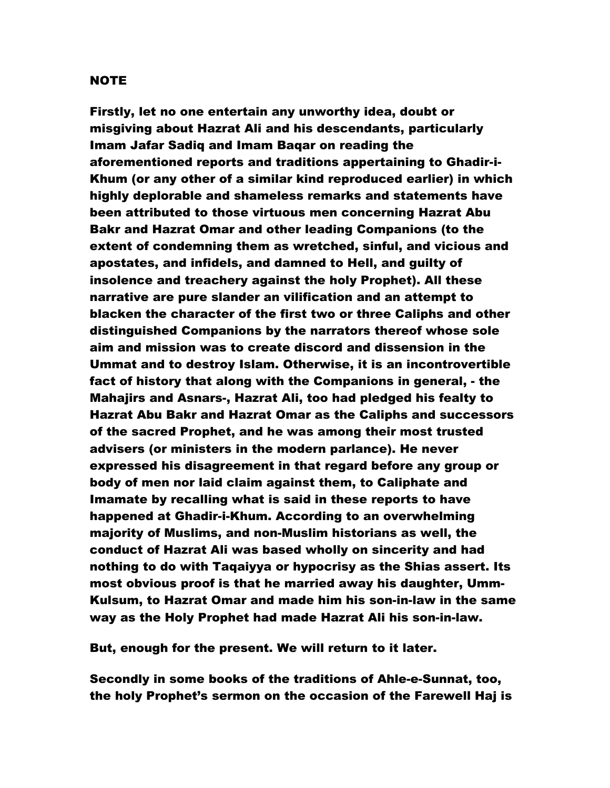#### NOTE

Firstly, let no one entertain any unworthy idea, doubt or misgiving about Hazrat Ali and his descendants, particularly Imam Jafar Sadiq and Imam Baqar on reading the aforementioned reports and traditions appertaining to Ghadir-i-Khum (or any other of a similar kind reproduced earlier) in which highly deplorable and shameless remarks and statements have been attributed to those virtuous men concerning Hazrat Abu Bakr and Hazrat Omar and other leading Companions (to the extent of condemning them as wretched, sinful, and vicious and apostates, and infidels, and damned to Hell, and guilty of insolence and treachery against the holy Prophet). All these narrative are pure slander an vilification and an attempt to blacken the character of the first two or three Caliphs and other distinguished Companions by the narrators thereof whose sole aim and mission was to create discord and dissension in the Ummat and to destroy Islam. Otherwise, it is an incontrovertible fact of history that along with the Companions in general, - the Mahajirs and Asnars-, Hazrat Ali, too had pledged his fealty to Hazrat Abu Bakr and Hazrat Omar as the Caliphs and successors of the sacred Prophet, and he was among their most trusted advisers (or ministers in the modern parlance). He never expressed his disagreement in that regard before any group or body of men nor laid claim against them, to Caliphate and Imamate by recalling what is said in these reports to have happened at Ghadir-i-Khum. According to an overwhelming majority of Muslims, and non-Muslim historians as well, the conduct of Hazrat Ali was based wholly on sincerity and had nothing to do with Taqaiyya or hypocrisy as the Shias assert. Its most obvious proof is that he married away his daughter, Umm-Kulsum, to Hazrat Omar and made him his son-in-law in the same way as the Holy Prophet had made Hazrat Ali his son-in-law.

But, enough for the present. We will return to it later.

Secondly in some books of the traditions of Ahle-e-Sunnat, too, the holy Prophet's sermon on the occasion of the Farewell Haj is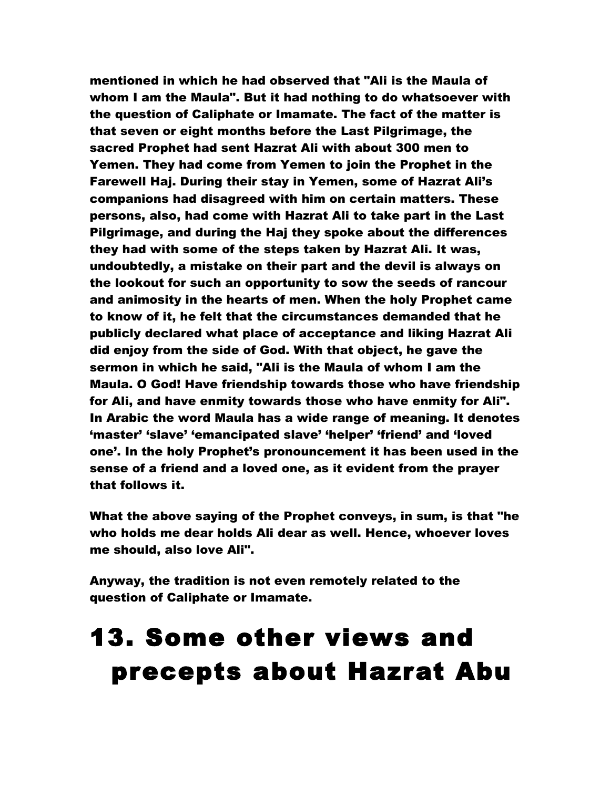mentioned in which he had observed that "Ali is the Maula of whom I am the Maula". But it had nothing to do whatsoever with the question of Caliphate or Imamate. The fact of the matter is that seven or eight months before the Last Pilgrimage, the sacred Prophet had sent Hazrat Ali with about 300 men to Yemen. They had come from Yemen to join the Prophet in the Farewell Haj. During their stay in Yemen, some of Hazrat Ali's companions had disagreed with him on certain matters. These persons, also, had come with Hazrat Ali to take part in the Last Pilgrimage, and during the Haj they spoke about the differences they had with some of the steps taken by Hazrat Ali. It was, undoubtedly, a mistake on their part and the devil is always on the lookout for such an opportunity to sow the seeds of rancour and animosity in the hearts of men. When the holy Prophet came to know of it, he felt that the circumstances demanded that he publicly declared what place of acceptance and liking Hazrat Ali did enjoy from the side of God. With that object, he gave the sermon in which he said, "Ali is the Maula of whom I am the Maula. O God! Have friendship towards those who have friendship for Ali, and have enmity towards those who have enmity for Ali". In Arabic the word Maula has a wide range of meaning. It denotes 'master' 'slave' 'emancipated slave' 'helper' 'friend' and 'loved one'. In the holy Prophet's pronouncement it has been used in the sense of a friend and a loved one, as it evident from the prayer that follows it.

What the above saying of the Prophet conveys, in sum, is that "he who holds me dear holds Ali dear as well. Hence, whoever loves me should, also love Ali".

Anyway, the tradition is not even remotely related to the question of Caliphate or Imamate.

# 13. Some other views and precepts about Hazrat Abu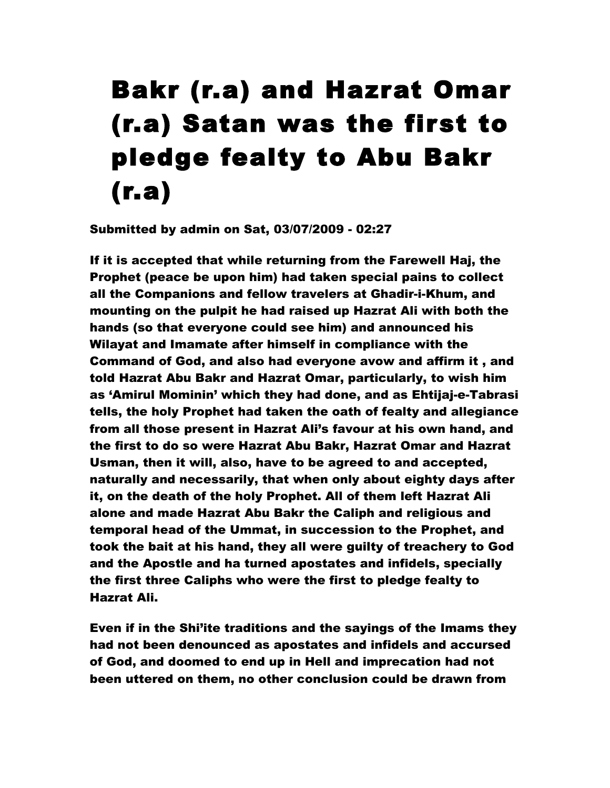# Bakr (r.a) and Hazrat Omar (r.a) Satan was the first to pledge fealty to Abu Bakr (r.a)

Submitted by admin on Sat, 03/07/2009 - 02:27

If it is accepted that while returning from the Farewell Haj, the Prophet (peace be upon him) had taken special pains to collect all the Companions and fellow travelers at Ghadir-i-Khum, and mounting on the pulpit he had raised up Hazrat Ali with both the hands (so that everyone could see him) and announced his Wilayat and Imamate after himself in compliance with the Command of God, and also had everyone avow and affirm it , and told Hazrat Abu Bakr and Hazrat Omar, particularly, to wish him as 'Amirul Mominin' which they had done, and as Ehtijaj-e-Tabrasi tells, the holy Prophet had taken the oath of fealty and allegiance from all those present in Hazrat Ali's favour at his own hand, and the first to do so were Hazrat Abu Bakr, Hazrat Omar and Hazrat Usman, then it will, also, have to be agreed to and accepted, naturally and necessarily, that when only about eighty days after it, on the death of the holy Prophet. All of them left Hazrat Ali alone and made Hazrat Abu Bakr the Caliph and religious and temporal head of the Ummat, in succession to the Prophet, and took the bait at his hand, they all were guilty of treachery to God and the Apostle and ha turned apostates and infidels, specially the first three Caliphs who were the first to pledge fealty to Hazrat Ali.

Even if in the Shi'ite traditions and the sayings of the Imams they had not been denounced as apostates and infidels and accursed of God, and doomed to end up in Hell and imprecation had not been uttered on them, no other conclusion could be drawn from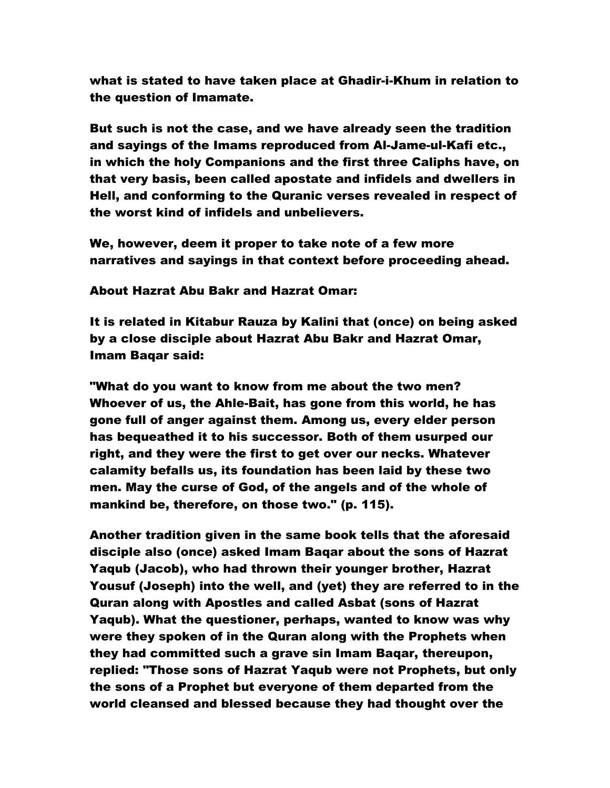what is stated to have taken place at Ghadir-i-Khum in relation to the question of Imamate.

But such is not the case, and we have already seen the tradition and sayings of the Imams reproduced from Al-Jame-ul-Kafi etc., in which the holy Companions and the first three Caliphs have, on that very basis, been called apostate and infidels and dwellers in Hell, and conforming to the Quranic verses revealed in respect of the worst kind of infidels and unbelievers.

We, however, deem it proper to take note of a few more narratives and sayings in that context before proceeding ahead.

#### About Hazrat Abu Bakr and Hazrat Omar:

It is related in Kitabur Rauza by Kalini that (once) on being asked by a close disciple about Hazrat Abu Bakr and Hazrat Omar, Imam Baqar said:

"What do you want to know from me about the two men? Whoever of us, the Ahle-Bait, has gone from this world, he has gone full of anger against them. Among us, every elder person has bequeathed it to his successor. Both of them usurped our right, and they were the first to get over our necks. Whatever calamity befalls us, its foundation has been laid by these two men. May the curse of God, of the angels and of the whole of mankind be, therefore, on those two." (p. 115).

Another tradition given in the same book tells that the aforesaid disciple also (once) asked Imam Baqar about the sons of Hazrat Yaqub (Jacob), who had thrown their younger brother, Hazrat Yousuf (Joseph) into the well, and (yet) they are referred to in the Quran along with Apostles and called Asbat (sons of Hazrat Yaqub). What the questioner, perhaps, wanted to know was why were they spoken of in the Quran along with the Prophets when they had committed such a grave sin Imam Baqar, thereupon, replied: "Those sons of Hazrat Yaqub were not Prophets, but only the sons of a Prophet but everyone of them departed from the world cleansed and blessed because they had thought over the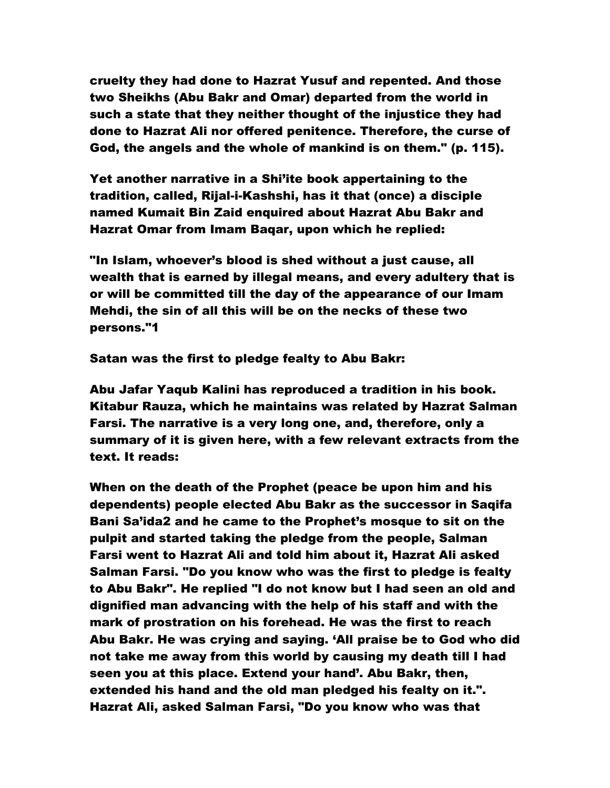cruelty they had done to Hazrat Yusuf and repented. And those two Sheikhs (Abu Bakr and Omar) departed from the world in such a state that they neither thought of the injustice they had done to Hazrat Ali nor offered penitence. Therefore, the curse of God, the angels and the whole of mankind is on them." (p. 115).

Yet another narrative in a Shi'ite book appertaining to the tradition, called, Rijal-i-Kashshi, has it that (once) a disciple named Kumait Bin Zaid enquired about Hazrat Abu Bakr and Hazrat Omar from Imam Baqar, upon which he replied:

"In Islam, whoever's blood is shed without a just cause, all wealth that is earned by illegal means, and every adultery that is or will be committed till the day of the appearance of our Imam Mehdi, the sin of all this will be on the necks of these two persons."1

Satan was the first to pledge fealty to Abu Bakr:

Abu Jafar Yaqub Kalini has reproduced a tradition in his book. Kitabur Rauza, which he maintains was related by Hazrat Salman Farsi. The narrative is a very long one, and, therefore, only a summary of it is given here, with a few relevant extracts from the text. It reads:

When on the death of the Prophet (peace be upon him and his dependents) people elected Abu Bakr as the successor in Saqifa Bani Sa'ida2 and he came to the Prophet's mosque to sit on the pulpit and started taking the pledge from the people, Salman Farsi went to Hazrat Ali and told him about it, Hazrat Ali asked Salman Farsi. "Do you know who was the first to pledge is fealty to Abu Bakr". He replied "I do not know but I had seen an old and dignified man advancing with the help of his staff and with the mark of prostration on his forehead. He was the first to reach Abu Bakr. He was crying and saying. 'All praise be to God who did not take me away from this world by causing my death till I had seen you at this place. Extend your hand'. Abu Bakr, then, extended his hand and the old man pledged his fealty on it.". Hazrat Ali, asked Salman Farsi, "Do you know who was that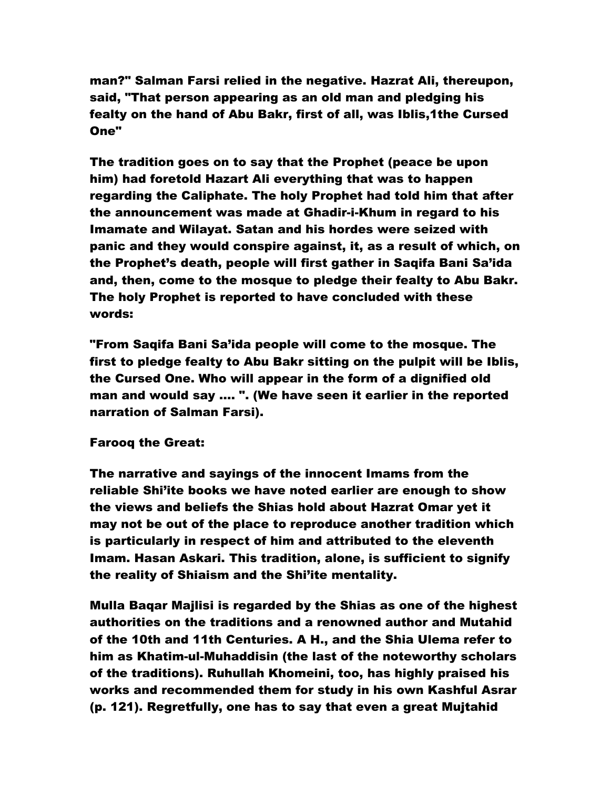man?" Salman Farsi relied in the negative. Hazrat Ali, thereupon, said, "That person appearing as an old man and pledging his fealty on the hand of Abu Bakr, first of all, was Iblis,1the Cursed One"

The tradition goes on to say that the Prophet (peace be upon him) had foretold Hazart Ali everything that was to happen regarding the Caliphate. The holy Prophet had told him that after the announcement was made at Ghadir-i-Khum in regard to his Imamate and Wilayat. Satan and his hordes were seized with panic and they would conspire against, it, as a result of which, on the Prophet's death, people will first gather in Saqifa Bani Sa'ida and, then, come to the mosque to pledge their fealty to Abu Bakr. The holy Prophet is reported to have concluded with these words:

"From Saqifa Bani Sa'ida people will come to the mosque. The first to pledge fealty to Abu Bakr sitting on the pulpit will be Iblis, the Cursed One. Who will appear in the form of a dignified old man and would say …. ". (We have seen it earlier in the reported narration of Salman Farsi).

#### Farooq the Great:

The narrative and sayings of the innocent Imams from the reliable Shi'ite books we have noted earlier are enough to show the views and beliefs the Shias hold about Hazrat Omar yet it may not be out of the place to reproduce another tradition which is particularly in respect of him and attributed to the eleventh Imam. Hasan Askari. This tradition, alone, is sufficient to signify the reality of Shiaism and the Shi'ite mentality.

Mulla Baqar Majlisi is regarded by the Shias as one of the highest authorities on the traditions and a renowned author and Mutahid of the 10th and 11th Centuries. A H., and the Shia Ulema refer to him as Khatim-ul-Muhaddisin (the last of the noteworthy scholars of the traditions). Ruhullah Khomeini, too, has highly praised his works and recommended them for study in his own Kashful Asrar (p. 121). Regretfully, one has to say that even a great Mujtahid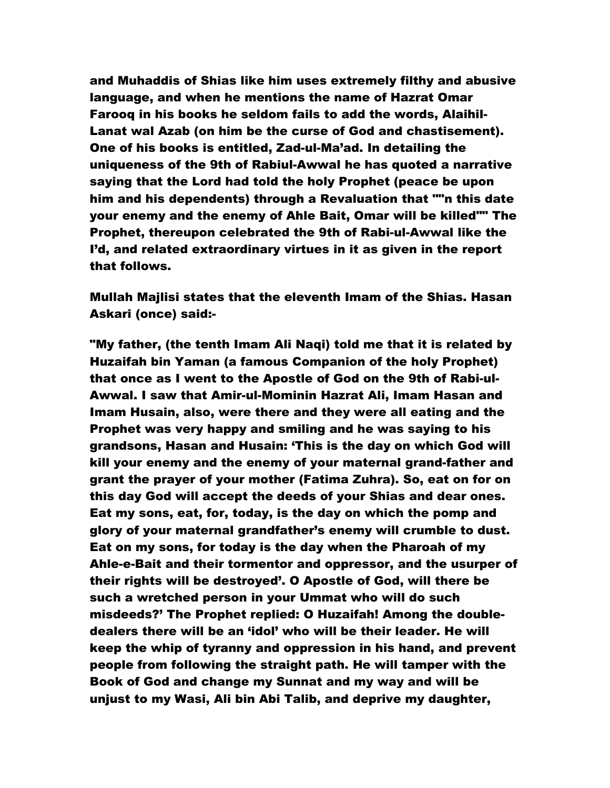and Muhaddis of Shias like him uses extremely filthy and abusive language, and when he mentions the name of Hazrat Omar Farooq in his books he seldom fails to add the words, Alaihil-Lanat wal Azab (on him be the curse of God and chastisement). One of his books is entitled, Zad-ul-Ma'ad. In detailing the uniqueness of the 9th of Rabiul-Awwal he has quoted a narrative saying that the Lord had told the holy Prophet (peace be upon him and his dependents) through a Revaluation that ""n this date your enemy and the enemy of Ahle Bait, Omar will be killed"" The Prophet, thereupon celebrated the 9th of Rabi-ul-Awwal like the I'd, and related extraordinary virtues in it as given in the report that follows.

Mullah Majlisi states that the eleventh Imam of the Shias. Hasan Askari (once) said:-

"My father, (the tenth Imam Ali Naqi) told me that it is related by Huzaifah bin Yaman (a famous Companion of the holy Prophet) that once as I went to the Apostle of God on the 9th of Rabi-ul-Awwal. I saw that Amir-ul-Mominin Hazrat Ali, Imam Hasan and Imam Husain, also, were there and they were all eating and the Prophet was very happy and smiling and he was saying to his grandsons, Hasan and Husain: 'This is the day on which God will kill your enemy and the enemy of your maternal grand-father and grant the prayer of your mother (Fatima Zuhra). So, eat on for on this day God will accept the deeds of your Shias and dear ones. Eat my sons, eat, for, today, is the day on which the pomp and glory of your maternal grandfather's enemy will crumble to dust. Eat on my sons, for today is the day when the Pharoah of my Ahle-e-Bait and their tormentor and oppressor, and the usurper of their rights will be destroyed'. O Apostle of God, will there be such a wretched person in your Ummat who will do such misdeeds?' The Prophet replied: O Huzaifah! Among the doubledealers there will be an 'idol' who will be their leader. He will keep the whip of tyranny and oppression in his hand, and prevent people from following the straight path. He will tamper with the Book of God and change my Sunnat and my way and will be unjust to my Wasi, Ali bin Abi Talib, and deprive my daughter,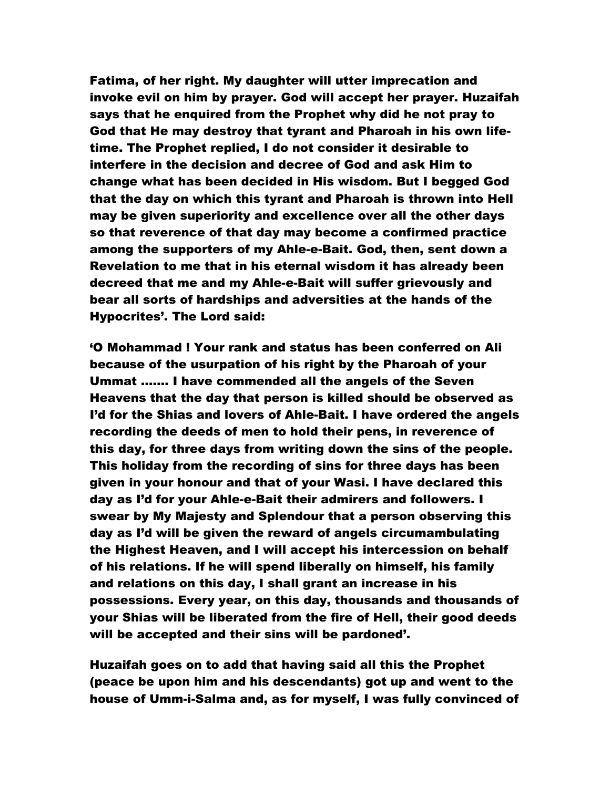Fatima, of her right. My daughter will utter imprecation and invoke evil on him by prayer. God will accept her prayer. Huzaifah says that he enquired from the Prophet why did he not pray to God that He may destroy that tyrant and Pharoah in his own lifetime. The Prophet replied, I do not consider it desirable to interfere in the decision and decree of God and ask Him to change what has been decided in His wisdom. But I begged God that the day on which this tyrant and Pharoah is thrown into Hell may be given superiority and excellence over all the other days so that reverence of that day may become a confirmed practice among the supporters of my Ahle-e-Bait. God, then, sent down a Revelation to me that in his eternal wisdom it has already been decreed that me and my Ahle-e-Bait will suffer grievously and bear all sorts of hardships and adversities at the hands of the Hypocrites'. The Lord said:

'O Mohammad ! Your rank and status has been conferred on Ali because of the usurpation of his right by the Pharoah of your Ummat ……. I have commended all the angels of the Seven Heavens that the day that person is killed should be observed as I'd for the Shias and lovers of Ahle-Bait. I have ordered the angels recording the deeds of men to hold their pens, in reverence of this day, for three days from writing down the sins of the people. This holiday from the recording of sins for three days has been given in your honour and that of your Wasi. I have declared this day as I'd for your Ahle-e-Bait their admirers and followers. I swear by My Majesty and Splendour that a person observing this day as I'd will be given the reward of angels circumambulating the Highest Heaven, and I will accept his intercession on behalf of his relations. If he will spend liberally on himself, his family and relations on this day, I shall grant an increase in his possessions. Every year, on this day, thousands and thousands of your Shias will be liberated from the fire of Hell, their good deeds will be accepted and their sins will be pardoned'.

Huzaifah goes on to add that having said all this the Prophet (peace be upon him and his descendants) got up and went to the house of Umm-i-Salma and, as for myself, I was fully convinced of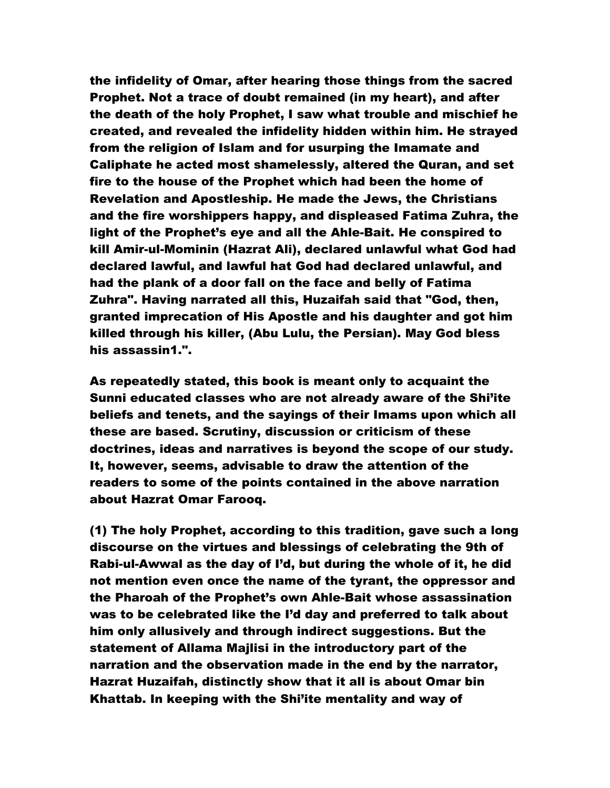the infidelity of Omar, after hearing those things from the sacred Prophet. Not a trace of doubt remained (in my heart), and after the death of the holy Prophet, I saw what trouble and mischief he created, and revealed the infidelity hidden within him. He strayed from the religion of Islam and for usurping the Imamate and Caliphate he acted most shamelessly, altered the Quran, and set fire to the house of the Prophet which had been the home of Revelation and Apostleship. He made the Jews, the Christians and the fire worshippers happy, and displeased Fatima Zuhra, the light of the Prophet's eye and all the Ahle-Bait. He conspired to kill Amir-ul-Mominin (Hazrat Ali), declared unlawful what God had declared lawful, and lawful hat God had declared unlawful, and had the plank of a door fall on the face and belly of Fatima Zuhra". Having narrated all this, Huzaifah said that "God, then, granted imprecation of His Apostle and his daughter and got him killed through his killer, (Abu Lulu, the Persian). May God bless his assassin1.".

As repeatedly stated, this book is meant only to acquaint the Sunni educated classes who are not already aware of the Shi'ite beliefs and tenets, and the sayings of their Imams upon which all these are based. Scrutiny, discussion or criticism of these doctrines, ideas and narratives is beyond the scope of our study. It, however, seems, advisable to draw the attention of the readers to some of the points contained in the above narration about Hazrat Omar Farooq.

(1) The holy Prophet, according to this tradition, gave such a long discourse on the virtues and blessings of celebrating the 9th of Rabi-ul-Awwal as the day of I'd, but during the whole of it, he did not mention even once the name of the tyrant, the oppressor and the Pharoah of the Prophet's own Ahle-Bait whose assassination was to be celebrated like the I'd day and preferred to talk about him only allusively and through indirect suggestions. But the statement of Allama Majlisi in the introductory part of the narration and the observation made in the end by the narrator, Hazrat Huzaifah, distinctly show that it all is about Omar bin Khattab. In keeping with the Shi'ite mentality and way of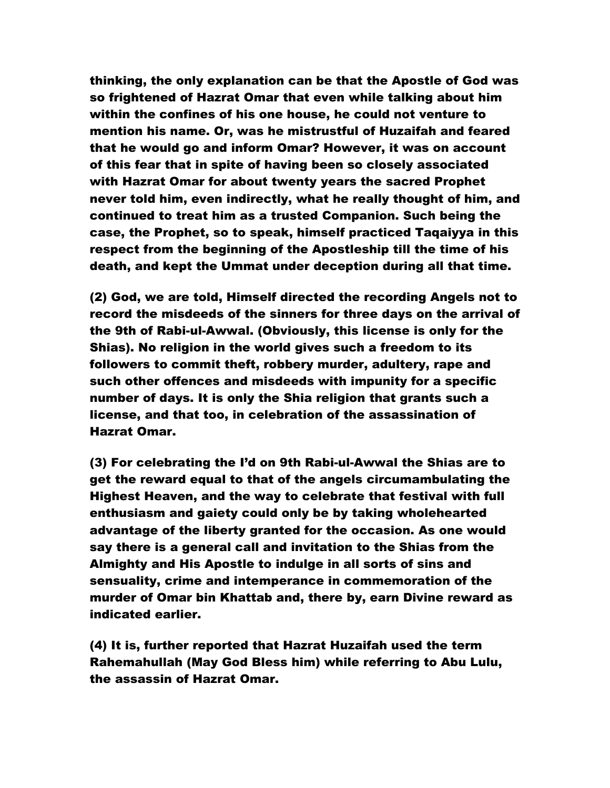thinking, the only explanation can be that the Apostle of God was so frightened of Hazrat Omar that even while talking about him within the confines of his one house, he could not venture to mention his name. Or, was he mistrustful of Huzaifah and feared that he would go and inform Omar? However, it was on account of this fear that in spite of having been so closely associated with Hazrat Omar for about twenty years the sacred Prophet never told him, even indirectly, what he really thought of him, and continued to treat him as a trusted Companion. Such being the case, the Prophet, so to speak, himself practiced Taqaiyya in this respect from the beginning of the Apostleship till the time of his death, and kept the Ummat under deception during all that time.

(2) God, we are told, Himself directed the recording Angels not to record the misdeeds of the sinners for three days on the arrival of the 9th of Rabi-ul-Awwal. (Obviously, this license is only for the Shias). No religion in the world gives such a freedom to its followers to commit theft, robbery murder, adultery, rape and such other offences and misdeeds with impunity for a specific number of days. It is only the Shia religion that grants such a license, and that too, in celebration of the assassination of Hazrat Omar.

(3) For celebrating the I'd on 9th Rabi-ul-Awwal the Shias are to get the reward equal to that of the angels circumambulating the Highest Heaven, and the way to celebrate that festival with full enthusiasm and gaiety could only be by taking wholehearted advantage of the liberty granted for the occasion. As one would say there is a general call and invitation to the Shias from the Almighty and His Apostle to indulge in all sorts of sins and sensuality, crime and intemperance in commemoration of the murder of Omar bin Khattab and, there by, earn Divine reward as indicated earlier.

(4) It is, further reported that Hazrat Huzaifah used the term Rahemahullah (May God Bless him) while referring to Abu Lulu, the assassin of Hazrat Omar.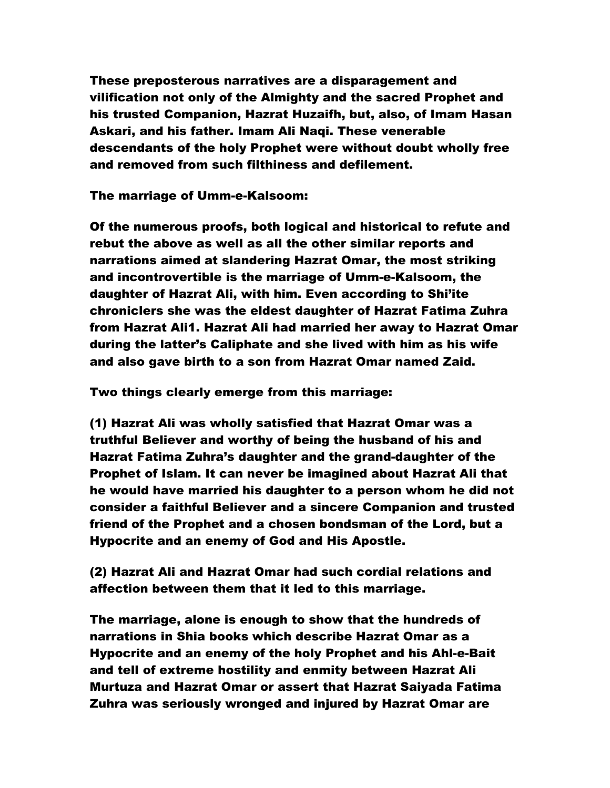These preposterous narratives are a disparagement and vilification not only of the Almighty and the sacred Prophet and his trusted Companion, Hazrat Huzaifh, but, also, of Imam Hasan Askari, and his father. Imam Ali Naqi. These venerable descendants of the holy Prophet were without doubt wholly free and removed from such filthiness and defilement.

The marriage of Umm-e-Kalsoom:

Of the numerous proofs, both logical and historical to refute and rebut the above as well as all the other similar reports and narrations aimed at slandering Hazrat Omar, the most striking and incontrovertible is the marriage of Umm-e-Kalsoom, the daughter of Hazrat Ali, with him. Even according to Shi'ite chroniclers she was the eldest daughter of Hazrat Fatima Zuhra from Hazrat Ali1. Hazrat Ali had married her away to Hazrat Omar during the latter's Caliphate and she lived with him as his wife and also gave birth to a son from Hazrat Omar named Zaid.

Two things clearly emerge from this marriage:

(1) Hazrat Ali was wholly satisfied that Hazrat Omar was a truthful Believer and worthy of being the husband of his and Hazrat Fatima Zuhra's daughter and the grand-daughter of the Prophet of Islam. It can never be imagined about Hazrat Ali that he would have married his daughter to a person whom he did not consider a faithful Believer and a sincere Companion and trusted friend of the Prophet and a chosen bondsman of the Lord, but a Hypocrite and an enemy of God and His Apostle.

(2) Hazrat Ali and Hazrat Omar had such cordial relations and affection between them that it led to this marriage.

The marriage, alone is enough to show that the hundreds of narrations in Shia books which describe Hazrat Omar as a Hypocrite and an enemy of the holy Prophet and his Ahl-e-Bait and tell of extreme hostility and enmity between Hazrat Ali Murtuza and Hazrat Omar or assert that Hazrat Saiyada Fatima Zuhra was seriously wronged and injured by Hazrat Omar are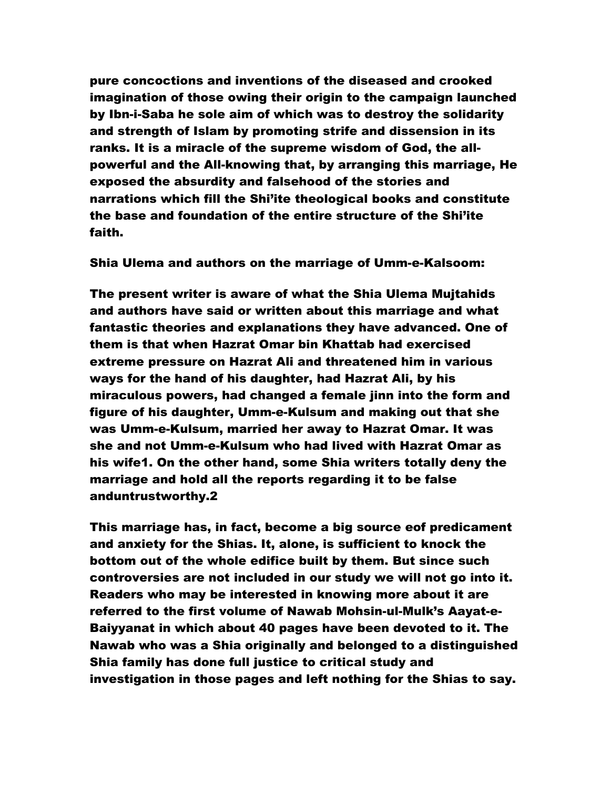pure concoctions and inventions of the diseased and crooked imagination of those owing their origin to the campaign launched by Ibn-i-Saba he sole aim of which was to destroy the solidarity and strength of Islam by promoting strife and dissension in its ranks. It is a miracle of the supreme wisdom of God, the allpowerful and the All-knowing that, by arranging this marriage, He exposed the absurdity and falsehood of the stories and narrations which fill the Shi'ite theological books and constitute the base and foundation of the entire structure of the Shi'ite faith.

Shia Ulema and authors on the marriage of Umm-e-Kalsoom:

The present writer is aware of what the Shia Ulema Mujtahids and authors have said or written about this marriage and what fantastic theories and explanations they have advanced. One of them is that when Hazrat Omar bin Khattab had exercised extreme pressure on Hazrat Ali and threatened him in various ways for the hand of his daughter, had Hazrat Ali, by his miraculous powers, had changed a female jinn into the form and figure of his daughter, Umm-e-Kulsum and making out that she was Umm-e-Kulsum, married her away to Hazrat Omar. It was she and not Umm-e-Kulsum who had lived with Hazrat Omar as his wife1. On the other hand, some Shia writers totally deny the marriage and hold all the reports regarding it to be false anduntrustworthy.2

This marriage has, in fact, become a big source eof predicament and anxiety for the Shias. It, alone, is sufficient to knock the bottom out of the whole edifice built by them. But since such controversies are not included in our study we will not go into it. Readers who may be interested in knowing more about it are referred to the first volume of Nawab Mohsin-ul-Mulk's Aayat-e-Baiyyanat in which about 40 pages have been devoted to it. The Nawab who was a Shia originally and belonged to a distinguished Shia family has done full justice to critical study and investigation in those pages and left nothing for the Shias to say.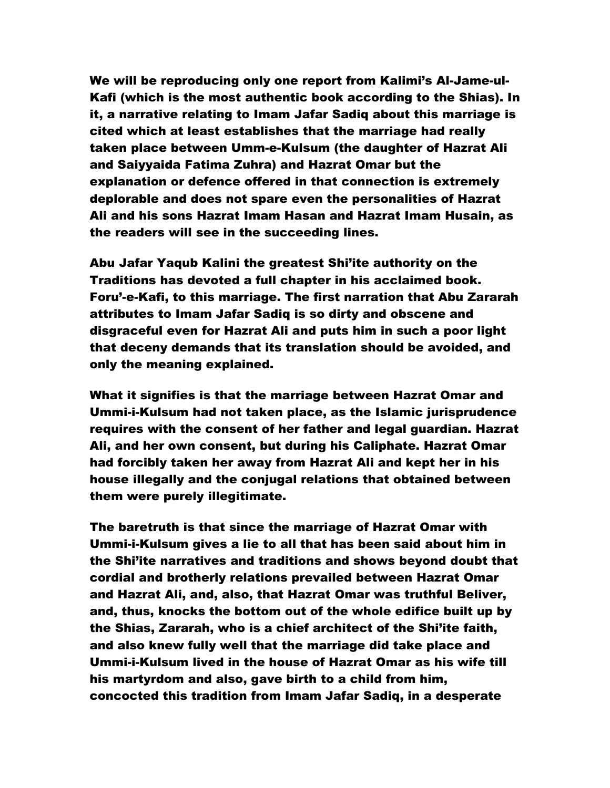We will be reproducing only one report from Kalimi's Al-Jame-ul-Kafi (which is the most authentic book according to the Shias). In it, a narrative relating to Imam Jafar Sadiq about this marriage is cited which at least establishes that the marriage had really taken place between Umm-e-Kulsum (the daughter of Hazrat Ali and Saiyyaida Fatima Zuhra) and Hazrat Omar but the explanation or defence offered in that connection is extremely deplorable and does not spare even the personalities of Hazrat Ali and his sons Hazrat Imam Hasan and Hazrat Imam Husain, as the readers will see in the succeeding lines.

Abu Jafar Yaqub Kalini the greatest Shi'ite authority on the Traditions has devoted a full chapter in his acclaimed book. Foru'-e-Kafi, to this marriage. The first narration that Abu Zararah attributes to Imam Jafar Sadiq is so dirty and obscene and disgraceful even for Hazrat Ali and puts him in such a poor light that deceny demands that its translation should be avoided, and only the meaning explained.

What it signifies is that the marriage between Hazrat Omar and Ummi-i-Kulsum had not taken place, as the Islamic jurisprudence requires with the consent of her father and legal guardian. Hazrat Ali, and her own consent, but during his Caliphate. Hazrat Omar had forcibly taken her away from Hazrat Ali and kept her in his house illegally and the conjugal relations that obtained between them were purely illegitimate.

The baretruth is that since the marriage of Hazrat Omar with Ummi-i-Kulsum gives a lie to all that has been said about him in the Shi'ite narratives and traditions and shows beyond doubt that cordial and brotherly relations prevailed between Hazrat Omar and Hazrat Ali, and, also, that Hazrat Omar was truthful Beliver, and, thus, knocks the bottom out of the whole edifice built up by the Shias, Zararah, who is a chief architect of the Shi'ite faith, and also knew fully well that the marriage did take place and Ummi-i-Kulsum lived in the house of Hazrat Omar as his wife till his martyrdom and also, gave birth to a child from him, concocted this tradition from Imam Jafar Sadiq, in a desperate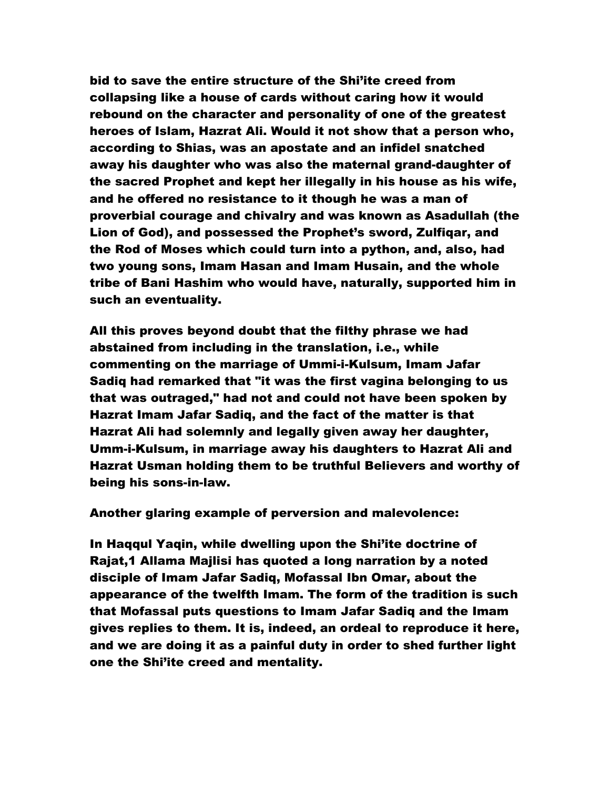bid to save the entire structure of the Shi'ite creed from collapsing like a house of cards without caring how it would rebound on the character and personality of one of the greatest heroes of Islam, Hazrat Ali. Would it not show that a person who, according to Shias, was an apostate and an infidel snatched away his daughter who was also the maternal grand-daughter of the sacred Prophet and kept her illegally in his house as his wife, and he offered no resistance to it though he was a man of proverbial courage and chivalry and was known as Asadullah (the Lion of God), and possessed the Prophet's sword, Zulfiqar, and the Rod of Moses which could turn into a python, and, also, had two young sons, Imam Hasan and Imam Husain, and the whole tribe of Bani Hashim who would have, naturally, supported him in such an eventuality.

All this proves beyond doubt that the filthy phrase we had abstained from including in the translation, i.e., while commenting on the marriage of Ummi-i-Kulsum, Imam Jafar Sadiq had remarked that "it was the first vagina belonging to us that was outraged," had not and could not have been spoken by Hazrat Imam Jafar Sadiq, and the fact of the matter is that Hazrat Ali had solemnly and legally given away her daughter, Umm-i-Kulsum, in marriage away his daughters to Hazrat Ali and Hazrat Usman holding them to be truthful Believers and worthy of being his sons-in-law.

Another glaring example of perversion and malevolence:

In Haqqul Yaqin, while dwelling upon the Shi'ite doctrine of Rajat,1 Allama Majlisi has quoted a long narration by a noted disciple of Imam Jafar Sadiq, Mofassal Ibn Omar, about the appearance of the twelfth Imam. The form of the tradition is such that Mofassal puts questions to Imam Jafar Sadiq and the Imam gives replies to them. It is, indeed, an ordeal to reproduce it here, and we are doing it as a painful duty in order to shed further light one the Shi'ite creed and mentality.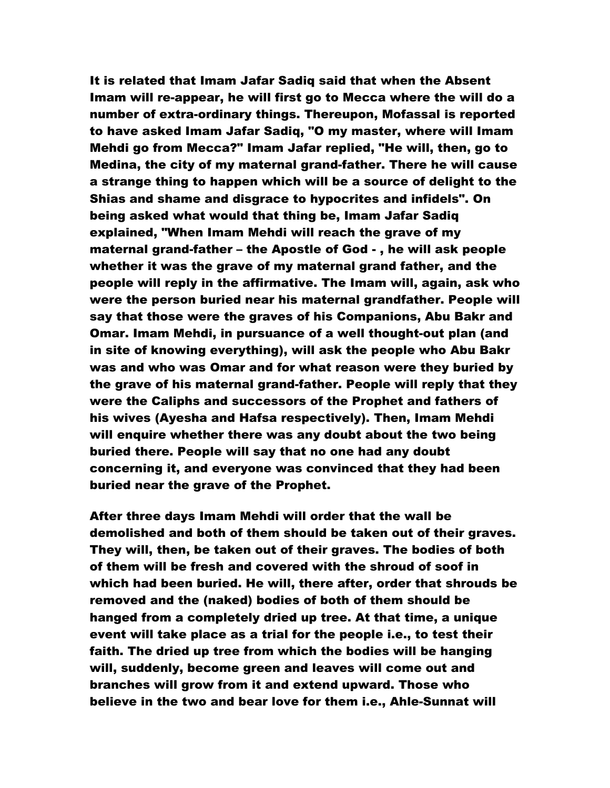It is related that Imam Jafar Sadiq said that when the Absent Imam will re-appear, he will first go to Mecca where the will do a number of extra-ordinary things. Thereupon, Mofassal is reported to have asked Imam Jafar Sadiq, "O my master, where will Imam Mehdi go from Mecca?" Imam Jafar replied, "He will, then, go to Medina, the city of my maternal grand-father. There he will cause a strange thing to happen which will be a source of delight to the Shias and shame and disgrace to hypocrites and infidels". On being asked what would that thing be, Imam Jafar Sadiq explained, "When Imam Mehdi will reach the grave of my maternal grand-father – the Apostle of God - , he will ask people whether it was the grave of my maternal grand father, and the people will reply in the affirmative. The Imam will, again, ask who were the person buried near his maternal grandfather. People will say that those were the graves of his Companions, Abu Bakr and Omar. Imam Mehdi, in pursuance of a well thought-out plan (and in site of knowing everything), will ask the people who Abu Bakr was and who was Omar and for what reason were they buried by the grave of his maternal grand-father. People will reply that they were the Caliphs and successors of the Prophet and fathers of his wives (Ayesha and Hafsa respectively). Then, Imam Mehdi will enquire whether there was any doubt about the two being buried there. People will say that no one had any doubt concerning it, and everyone was convinced that they had been buried near the grave of the Prophet.

After three days Imam Mehdi will order that the wall be demolished and both of them should be taken out of their graves. They will, then, be taken out of their graves. The bodies of both of them will be fresh and covered with the shroud of soof in which had been buried. He will, there after, order that shrouds be removed and the (naked) bodies of both of them should be hanged from a completely dried up tree. At that time, a unique event will take place as a trial for the people i.e., to test their faith. The dried up tree from which the bodies will be hanging will, suddenly, become green and leaves will come out and branches will grow from it and extend upward. Those who believe in the two and bear love for them i.e., Ahle-Sunnat will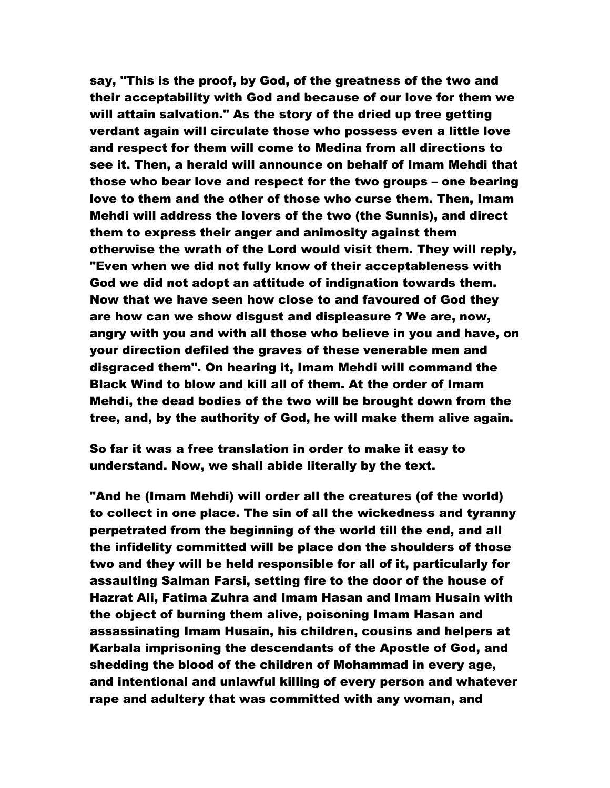say, "This is the proof, by God, of the greatness of the two and their acceptability with God and because of our love for them we will attain salvation." As the story of the dried up tree getting verdant again will circulate those who possess even a little love and respect for them will come to Medina from all directions to see it. Then, a herald will announce on behalf of Imam Mehdi that those who bear love and respect for the two groups – one bearing love to them and the other of those who curse them. Then, Imam Mehdi will address the lovers of the two (the Sunnis), and direct them to express their anger and animosity against them otherwise the wrath of the Lord would visit them. They will reply, "Even when we did not fully know of their acceptableness with God we did not adopt an attitude of indignation towards them. Now that we have seen how close to and favoured of God they are how can we show disgust and displeasure ? We are, now, angry with you and with all those who believe in you and have, on your direction defiled the graves of these venerable men and disgraced them". On hearing it, Imam Mehdi will command the Black Wind to blow and kill all of them. At the order of Imam Mehdi, the dead bodies of the two will be brought down from the tree, and, by the authority of God, he will make them alive again.

So far it was a free translation in order to make it easy to understand. Now, we shall abide literally by the text.

"And he (Imam Mehdi) will order all the creatures (of the world) to collect in one place. The sin of all the wickedness and tyranny perpetrated from the beginning of the world till the end, and all the infidelity committed will be place don the shoulders of those two and they will be held responsible for all of it, particularly for assaulting Salman Farsi, setting fire to the door of the house of Hazrat Ali, Fatima Zuhra and Imam Hasan and Imam Husain with the object of burning them alive, poisoning Imam Hasan and assassinating Imam Husain, his children, cousins and helpers at Karbala imprisoning the descendants of the Apostle of God, and shedding the blood of the children of Mohammad in every age, and intentional and unlawful killing of every person and whatever rape and adultery that was committed with any woman, and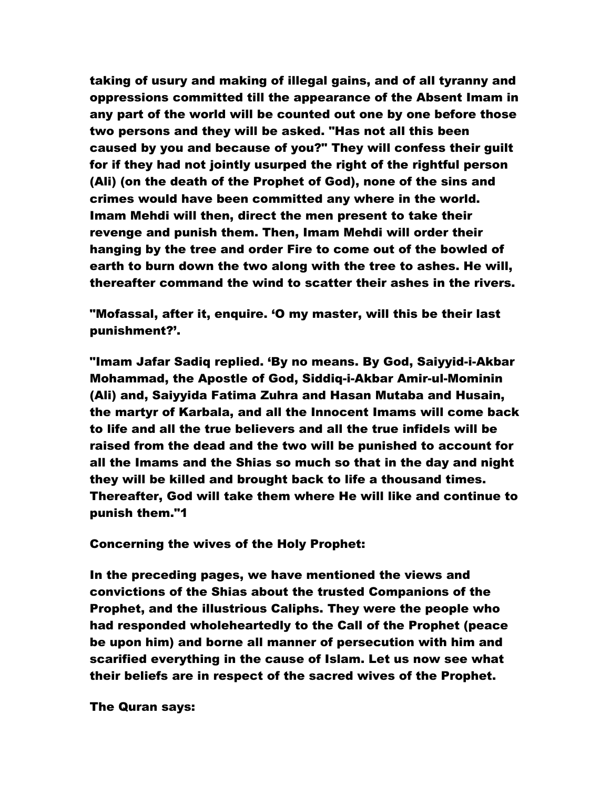taking of usury and making of illegal gains, and of all tyranny and oppressions committed till the appearance of the Absent Imam in any part of the world will be counted out one by one before those two persons and they will be asked. "Has not all this been caused by you and because of you?" They will confess their guilt for if they had not jointly usurped the right of the rightful person (Ali) (on the death of the Prophet of God), none of the sins and crimes would have been committed any where in the world. Imam Mehdi will then, direct the men present to take their revenge and punish them. Then, Imam Mehdi will order their hanging by the tree and order Fire to come out of the bowled of earth to burn down the two along with the tree to ashes. He will, thereafter command the wind to scatter their ashes in the rivers.

"Mofassal, after it, enquire. 'O my master, will this be their last punishment?'.

"Imam Jafar Sadiq replied. 'By no means. By God, Saiyyid-i-Akbar Mohammad, the Apostle of God, Siddiq-i-Akbar Amir-ul-Mominin (Ali) and, Saiyyida Fatima Zuhra and Hasan Mutaba and Husain, the martyr of Karbala, and all the Innocent Imams will come back to life and all the true believers and all the true infidels will be raised from the dead and the two will be punished to account for all the Imams and the Shias so much so that in the day and night they will be killed and brought back to life a thousand times. Thereafter, God will take them where He will like and continue to punish them."1

Concerning the wives of the Holy Prophet:

In the preceding pages, we have mentioned the views and convictions of the Shias about the trusted Companions of the Prophet, and the illustrious Caliphs. They were the people who had responded wholeheartedly to the Call of the Prophet (peace be upon him) and borne all manner of persecution with him and scarified everything in the cause of Islam. Let us now see what their beliefs are in respect of the sacred wives of the Prophet.

The Quran says: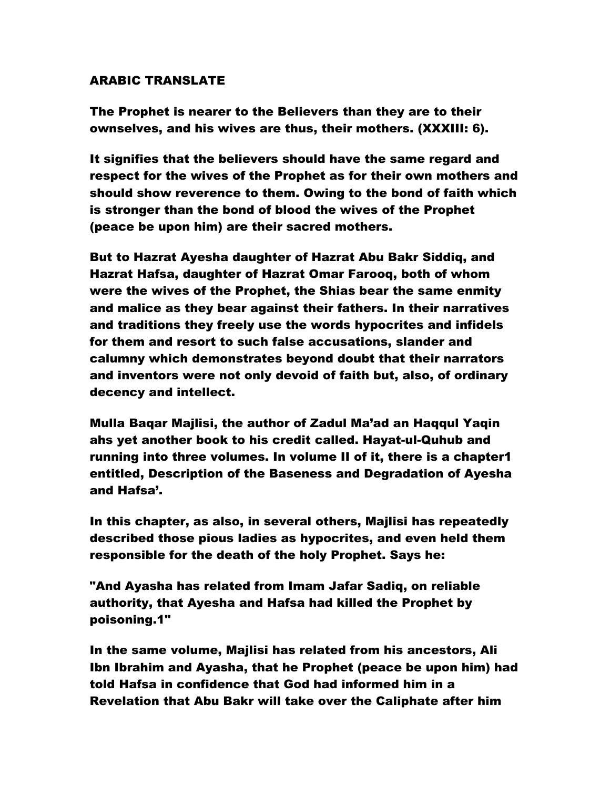## ARABIC TRANSLATE

The Prophet is nearer to the Believers than they are to their ownselves, and his wives are thus, their mothers. (XXXIII: 6).

It signifies that the believers should have the same regard and respect for the wives of the Prophet as for their own mothers and should show reverence to them. Owing to the bond of faith which is stronger than the bond of blood the wives of the Prophet (peace be upon him) are their sacred mothers.

But to Hazrat Ayesha daughter of Hazrat Abu Bakr Siddiq, and Hazrat Hafsa, daughter of Hazrat Omar Farooq, both of whom were the wives of the Prophet, the Shias bear the same enmity and malice as they bear against their fathers. In their narratives and traditions they freely use the words hypocrites and infidels for them and resort to such false accusations, slander and calumny which demonstrates beyond doubt that their narrators and inventors were not only devoid of faith but, also, of ordinary decency and intellect.

Mulla Baqar Majlisi, the author of Zadul Ma'ad an Haqqul Yaqin ahs yet another book to his credit called. Hayat-ul-Quhub and running into three volumes. In volume II of it, there is a chapter1 entitled, Description of the Baseness and Degradation of Ayesha and Hafsa'.

In this chapter, as also, in several others, Majlisi has repeatedly described those pious ladies as hypocrites, and even held them responsible for the death of the holy Prophet. Says he:

"And Ayasha has related from Imam Jafar Sadiq, on reliable authority, that Ayesha and Hafsa had killed the Prophet by poisoning.1"

In the same volume, Majlisi has related from his ancestors, Ali Ibn Ibrahim and Ayasha, that he Prophet (peace be upon him) had told Hafsa in confidence that God had informed him in a Revelation that Abu Bakr will take over the Caliphate after him